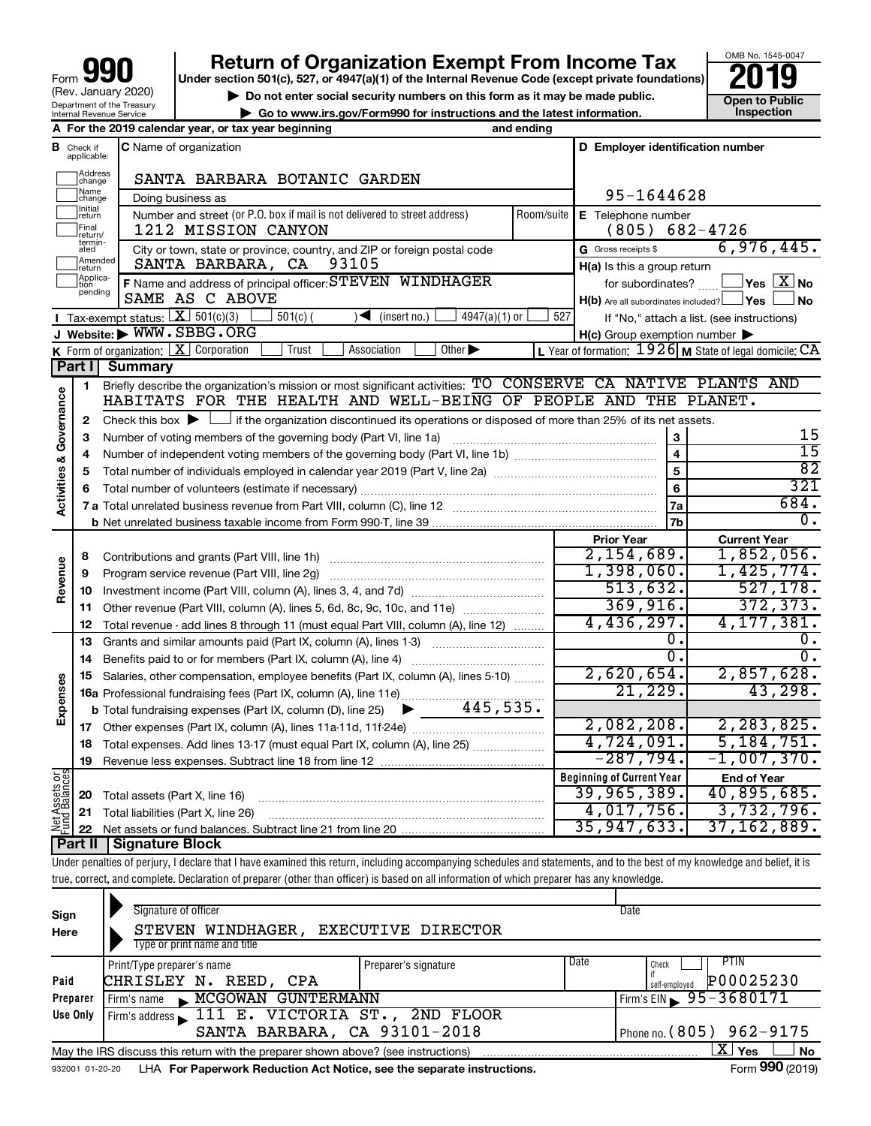# **your Beart of Organization Exempt From Income Tax Properties and Solution Solutions Properties and Solutions Properties and Solutions Properties and Solutions Properties and Solutions Properties and Solutions**

**Open to Public<br>Inspection** 

OMB No. 1545-0047

| Do not enter social security numbers on this form as it may be made public.             |
|-----------------------------------------------------------------------------------------|
| $\triangleright$ Go to www.irs.gov/Form990 for instructions and the latest information. |

|                         |                              | A For the 2019 calendar year, or tax year beginning                                                                                         | and ending |                                                                       |                                                             |
|-------------------------|------------------------------|---------------------------------------------------------------------------------------------------------------------------------------------|------------|-----------------------------------------------------------------------|-------------------------------------------------------------|
| в                       | Check if<br>applicable:      | <b>C</b> Name of organization                                                                                                               |            | D Employer identification number                                      |                                                             |
|                         | Address<br>change            | SANTA BARBARA BOTANIC GARDEN                                                                                                                |            |                                                                       |                                                             |
|                         | Name<br> change              | Doing business as                                                                                                                           |            | 95-1644628                                                            |                                                             |
|                         | Initial<br>return            | Number and street (or P.O. box if mail is not delivered to street address)                                                                  | Room/suite | E Telephone number                                                    |                                                             |
|                         | Final<br>return/             | 1212 MISSION CANYON                                                                                                                         |            | (805)                                                                 | 682-4726                                                    |
|                         | termin-<br>ated              | City or town, state or province, country, and ZIP or foreign postal code                                                                    |            | G Gross receipts \$                                                   | 6,976,445.                                                  |
|                         | Amended<br>Ireturn           | 93105<br>SANTA BARBARA, CA                                                                                                                  |            | H(a) Is this a group return                                           |                                                             |
|                         | Applica-<br>Ition<br>pending | F Name and address of principal officer: STEVEN WINDHAGER<br>SAME AS C ABOVE                                                                |            | for subordinates?<br>$H(b)$ Are all subordinates included? $\Box$ Yes | $\Box$ Yes $~\boxtimes~$ No<br><b>No</b>                    |
|                         |                              | <b>I</b> Tax-exempt status: $X \ 501(c)(3)$<br>$501(c)$ (<br>$\blacktriangleleft$ (insert no.)<br>$4947(a)(1)$ or                           | 527        |                                                                       | If "No," attach a list. (see instructions)                  |
|                         |                              | J Website: WWW.SBBG.ORG                                                                                                                     |            | $H(c)$ Group exemption number $\blacktriangleright$                   |                                                             |
|                         |                              | <b>K</b> Form of organization: $\boxed{\mathbf{X}}$ Corporation<br>Association<br>Other $\blacktriangleright$<br>Trust                      |            |                                                                       | L Year of formation: $1926$ M State of legal domicile: $CA$ |
|                         | Part I                       | Summary                                                                                                                                     |            |                                                                       |                                                             |
|                         | 1                            | Briefly describe the organization's mission or most significant activities: TO CONSERVE CA NATIVE PLANTS AND                                |            |                                                                       |                                                             |
| Activities & Governance |                              | HABITATS FOR THE HEALTH AND WELL-BEING OF PEOPLE AND THE PLANET.                                                                            |            |                                                                       |                                                             |
|                         | $\mathbf{2}$                 | Check this box $\blacktriangleright$ $\Box$ if the organization discontinued its operations or disposed of more than 25% of its net assets. |            |                                                                       |                                                             |
|                         | 3                            | Number of voting members of the governing body (Part VI, line 1a)                                                                           |            | 3                                                                     | 15                                                          |
|                         | 4                            |                                                                                                                                             |            | $\overline{\mathbf{4}}$                                               | $\overline{15}$                                             |
|                         | 5                            |                                                                                                                                             |            | 5                                                                     | $\overline{82}$                                             |
|                         | 6                            |                                                                                                                                             |            | $6\phantom{a}$                                                        | 321                                                         |
|                         |                              |                                                                                                                                             |            | 7a                                                                    | 684.                                                        |
|                         |                              |                                                                                                                                             |            | 7b                                                                    | 0.                                                          |
|                         |                              |                                                                                                                                             |            | <b>Prior Year</b>                                                     | <b>Current Year</b>                                         |
|                         | 8                            | Contributions and grants (Part VIII, line 1h)                                                                                               |            | 2,154,689.                                                            | 1,852,056.                                                  |
|                         | 9                            | Program service revenue (Part VIII, line 2g)                                                                                                |            | 1,398,060.                                                            | 1,425,774.                                                  |
| Revenue                 | 10                           |                                                                                                                                             |            | 513,632.                                                              | 527, 178.                                                   |
|                         | 11                           | Other revenue (Part VIII, column (A), lines 5, 6d, 8c, 9c, 10c, and 11e)                                                                    |            | 369,916.                                                              | 372, 373.                                                   |
|                         | 12                           | Total revenue - add lines 8 through 11 (must equal Part VIII, column (A), line 12)                                                          |            | 4,436,297.                                                            | 4, 177, 381.                                                |
|                         | 13                           | Grants and similar amounts paid (Part IX, column (A), lines 1-3)                                                                            |            | о.                                                                    | ο.                                                          |
|                         | 14                           | Benefits paid to or for members (Part IX, column (A), line 4)                                                                               |            | 0.                                                                    | 0.                                                          |
|                         | 15                           | Salaries, other compensation, employee benefits (Part IX, column (A), lines 5-10)                                                           |            | 2,620,654.                                                            | 2,857,628.                                                  |
|                         |                              | 16a Professional fundraising fees (Part IX, column (A), line 11e)<br>445,535.                                                               |            | 21,229.                                                               | 43,298.                                                     |
| Expenses                |                              | <b>b</b> Total fundraising expenses (Part IX, column (D), line 25)                                                                          |            | 2,082,208.                                                            | 2, 283, 825.                                                |
|                         |                              |                                                                                                                                             |            | 4,724,091.                                                            | 5, 184, 751.                                                |
|                         | 18                           | Total expenses. Add lines 13-17 (must equal Part IX, column (A), line 25)                                                                   |            | $-287,794.$                                                           | $-1,007,370.$                                               |
|                         | 19                           |                                                                                                                                             |            | <b>Beginning of Current Year</b>                                      |                                                             |
| cAssets or              |                              |                                                                                                                                             |            | 39,965,389.                                                           | <b>End of Year</b><br>40,895,685.                           |
|                         | 20                           | Total assets (Part X, line 16)<br>21 Total liabilities (Part X, line 26)                                                                    |            | 4,017,756.                                                            | 3,732,796.                                                  |
| <b>DEL</b><br>Func      |                              |                                                                                                                                             |            | 35, 947, 633.                                                         | 37,162,889.                                                 |
|                         |                              |                                                                                                                                             |            |                                                                       |                                                             |

**Part II Signature Block**

Under penalties of perjury, I declare that I have examined this return, including accompanying schedules and statements, and to the best of my knowledge and belief, it is true, correct, and complete. Declaration of preparer (other than officer) is based on all information of which preparer has any knowledge.

| Sign<br>Here    | Signature of officer<br>STEVEN WINDHAGER,<br>Type or print name and title                                   | <b>EXECUTIVE DIRECTOR</b> | Date                           |  |  |  |  |
|-----------------|-------------------------------------------------------------------------------------------------------------|---------------------------|--------------------------------|--|--|--|--|
|                 | Print/Type preparer's name                                                                                  | Preparer's signature      | Date<br>PTIN<br>Check          |  |  |  |  |
| Paid            | CHRISLEY N. REED,<br>CPA                                                                                    |                           | P00025230<br>self-employed     |  |  |  |  |
| Preparer        | MCGOWAN GUNTERMANN<br>Firm's name                                                                           |                           | Firm's EIN $\geq 95 - 3680171$ |  |  |  |  |
| Use Only        | Firm's address 111 E. VICTORIA ST., 2ND FLOOR                                                               |                           |                                |  |  |  |  |
|                 | SANTA BARBARA, CA 93101-2018                                                                                |                           | Phone no. (805) 962-9175       |  |  |  |  |
|                 | $\mathbf{X}$ Yes<br>No<br>May the IRS discuss this return with the preparer shown above? (see instructions) |                           |                                |  |  |  |  |
| 932001 01-20-20 | LHA For Paperwork Reduction Act Notice, see the separate instructions.                                      |                           | Form 990 (2019)                |  |  |  |  |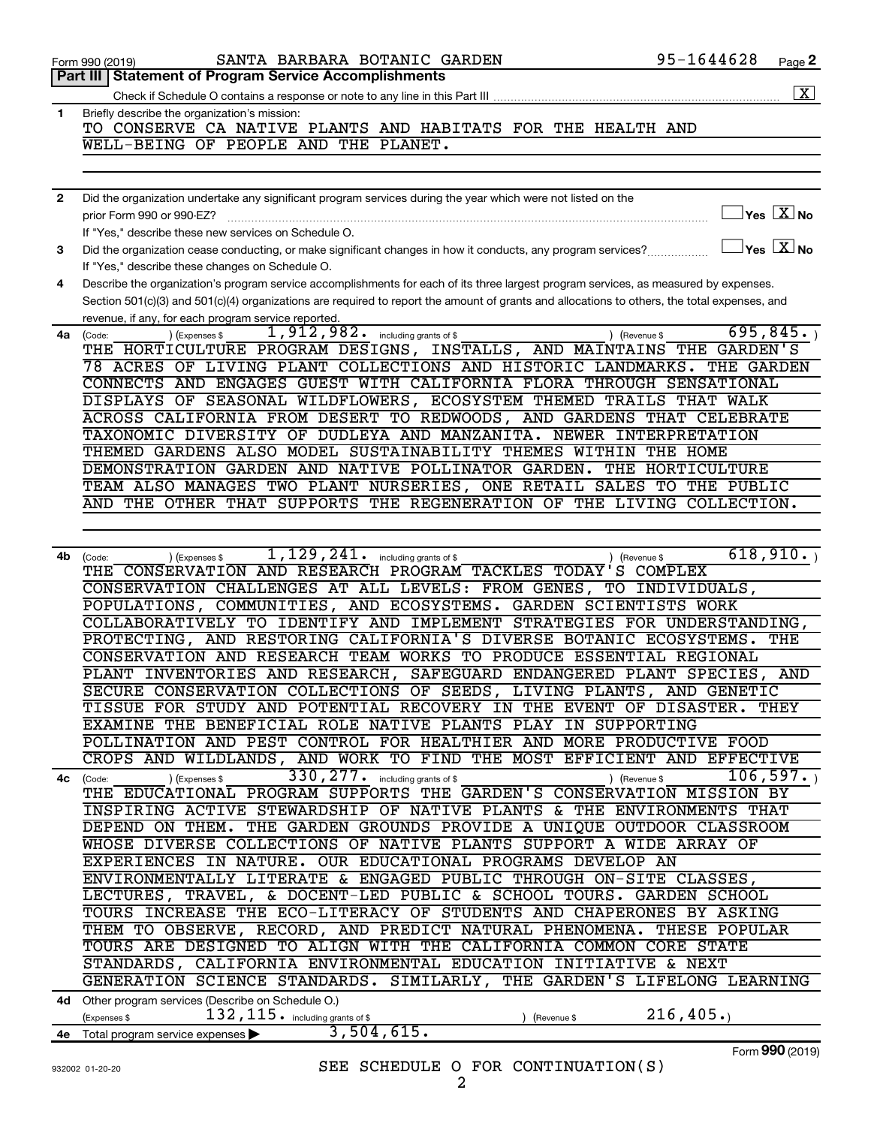|              | SANTA BARBARA BOTANIC GARDEN<br>Form 990 (2019)                                                                                              | 95-1644628                                       | Page 2             |
|--------------|----------------------------------------------------------------------------------------------------------------------------------------------|--------------------------------------------------|--------------------|
|              | Part III Statement of Program Service Accomplishments                                                                                        |                                                  |                    |
|              |                                                                                                                                              |                                                  | $\boxed{\text{X}}$ |
| 1.           | Briefly describe the organization's mission:                                                                                                 |                                                  |                    |
|              | TO CONSERVE CA NATIVE PLANTS AND HABITATS FOR THE HEALTH AND                                                                                 |                                                  |                    |
|              | WELL-BEING OF PEOPLE AND THE PLANET.                                                                                                         |                                                  |                    |
|              |                                                                                                                                              |                                                  |                    |
|              |                                                                                                                                              |                                                  |                    |
| $\mathbf{2}$ | Did the organization undertake any significant program services during the year which were not listed on the                                 |                                                  |                    |
|              | prior Form 990 or 990-EZ?                                                                                                                    | $\overline{\ }$ Yes $\overline{\phantom{a}X}$ No |                    |
|              | If "Yes," describe these new services on Schedule O.                                                                                         |                                                  |                    |
| З            | Did the organization cease conducting, or make significant changes in how it conducts, any program services?                                 | $\exists$ Yes $\boxed{\text{X}}$ No              |                    |
|              | If "Yes," describe these changes on Schedule O.                                                                                              |                                                  |                    |
| 4            | Describe the organization's program service accomplishments for each of its three largest program services, as measured by expenses.         |                                                  |                    |
|              | Section 501(c)(3) and 501(c)(4) organizations are required to report the amount of grants and allocations to others, the total expenses, and |                                                  |                    |
|              | revenue, if any, for each program service reported.                                                                                          |                                                  |                    |
| 4a           | 1,912,982. including grants of \$<br>) (Revenue \$<br>) (Expenses \$<br>(Code:                                                               | 695, 845.                                        |                    |
|              | THE HORTICULTURE PROGRAM DESIGNS, INSTALLS, AND MAINTAINS THE GARDEN'S                                                                       |                                                  |                    |
|              | 78 ACRES OF LIVING PLANT COLLECTIONS AND HISTORIC LANDMARKS. THE GARDEN                                                                      |                                                  |                    |
|              | CONNECTS AND ENGAGES GUEST WITH CALIFORNIA FLORA THROUGH SENSATIONAL                                                                         |                                                  |                    |
|              | DISPLAYS OF SEASONAL WILDFLOWERS, ECOSYSTEM THEMED TRAILS THAT WALK                                                                          |                                                  |                    |
|              | ACROSS CALIFORNIA FROM DESERT TO REDWOODS, AND GARDENS THAT CELEBRATE                                                                        |                                                  |                    |
|              | TAXONOMIC DIVERSITY OF DUDLEYA AND MANZANITA. NEWER INTERPRETATION                                                                           |                                                  |                    |
|              | THEMED GARDENS ALSO MODEL SUSTAINABILITY THEMES WITHIN THE HOME                                                                              |                                                  |                    |
|              | DEMONSTRATION GARDEN AND NATIVE POLLINATOR GARDEN. THE HORTICULTURE                                                                          |                                                  |                    |
|              | TEAM ALSO MANAGES TWO PLANT NURSERIES, ONE RETAIL SALES TO THE PUBLIC                                                                        |                                                  |                    |
|              | AND THE OTHER THAT SUPPORTS THE REGENERATION OF THE LIVING COLLECTION.                                                                       |                                                  |                    |
|              |                                                                                                                                              |                                                  |                    |
|              |                                                                                                                                              |                                                  |                    |
| 4b.          | $1,129,241$ . including grants of \$<br>) (Expenses \$<br>) (Revenue \$<br>(Code:                                                            | 618,910.                                         |                    |
|              | THE CONSERVATION AND RESEARCH PROGRAM TACKLES TODAY'S COMPLEX                                                                                |                                                  |                    |
|              | CONSERVATION CHALLENGES AT ALL LEVELS: FROM GENES, TO INDIVIDUALS,                                                                           |                                                  |                    |
|              | POPULATIONS, COMMUNITIES, AND ECOSYSTEMS. GARDEN SCIENTISTS WORK                                                                             |                                                  |                    |
|              | COLLABORATIVELY TO IDENTIFY AND IMPLEMENT STRATEGIES FOR UNDERSTANDING,                                                                      |                                                  |                    |
|              | PROTECTING, AND RESTORING CALIFORNIA'S DIVERSE BOTANIC ECOSYSTEMS.                                                                           | THE                                              |                    |
|              | CONSERVATION AND RESEARCH TEAM WORKS TO PRODUCE ESSENTIAL REGIONAL                                                                           |                                                  |                    |
|              | PLANT INVENTORIES AND RESEARCH, SAFEGUARD ENDANGERED PLANT SPECIES,                                                                          | AND                                              |                    |
|              | SECURE CONSERVATION COLLECTIONS OF SEEDS, LIVING PLANTS, AND GENETIC                                                                         |                                                  |                    |
|              | TISSUE FOR STUDY AND POTENTIAL RECOVERY IN THE EVENT OF DISASTER. THEY                                                                       |                                                  |                    |
|              | EXAMINE THE BENEFICIAL ROLE NATIVE PLANTS PLAY IN SUPPORTING                                                                                 |                                                  |                    |
|              | POLLINATION AND PEST CONTROL FOR HEALTHIER AND MORE PRODUCTIVE FOOD                                                                          |                                                  |                    |
|              | CROPS AND WILDLANDS, AND WORK TO FIND THE MOST EFFICIENT AND EFFECTIVE                                                                       |                                                  |                    |
| 4с           | 330, 277. including grants of \$<br>) (Expenses \$<br>) (Revenue \$<br>(Code:                                                                | 106, 597.                                        |                    |
|              | THE EDUCATIONAL PROGRAM SUPPORTS THE GARDEN'S CONSERVATION MISSION BY                                                                        |                                                  |                    |
|              | INSPIRING ACTIVE STEWARDSHIP OF NATIVE PLANTS & THE ENVIRONMENTS THAT                                                                        |                                                  |                    |
|              | DEPEND ON THEM. THE GARDEN GROUNDS PROVIDE A UNIQUE OUTDOOR CLASSROOM                                                                        |                                                  |                    |
|              | WHOSE DIVERSE COLLECTIONS OF NATIVE PLANTS SUPPORT A WIDE ARRAY OF                                                                           |                                                  |                    |
|              | EXPERIENCES IN NATURE. OUR EDUCATIONAL PROGRAMS DEVELOP AN                                                                                   |                                                  |                    |
|              | ENVIRONMENTALLY LITERATE & ENGAGED PUBLIC THROUGH ON-SITE CLASSES,                                                                           |                                                  |                    |
|              | LECTURES, TRAVEL, & DOCENT-LED PUBLIC & SCHOOL TOURS. GARDEN SCHOOL                                                                          |                                                  |                    |
|              | TOURS INCREASE THE ECO-LITERACY OF STUDENTS AND CHAPERONES BY ASKING                                                                         |                                                  |                    |
|              | THEM TO OBSERVE, RECORD, AND PREDICT NATURAL PHENOMENA. THESE POPULAR                                                                        |                                                  |                    |
|              | TOURS ARE DESIGNED TO ALIGN WITH THE CALIFORNIA COMMON CORE STATE                                                                            |                                                  |                    |
|              | STANDARDS, CALIFORNIA ENVIRONMENTAL EDUCATION INITIATIVE & NEXT                                                                              |                                                  |                    |
|              | GENERATION SCIENCE STANDARDS. SIMILARLY, THE GARDEN'S LIFELONG LEARNING                                                                      |                                                  |                    |
| 4d -         | Other program services (Describe on Schedule O.)                                                                                             |                                                  |                    |
|              | 132, 115. including grants of \$<br>(Expenses \$<br>(Revenue \$                                                                              | 216, 405.                                        |                    |
|              | 3,504,615.<br>4e Total program service expenses                                                                                              |                                                  |                    |
|              |                                                                                                                                              | Form 990 (2019)                                  |                    |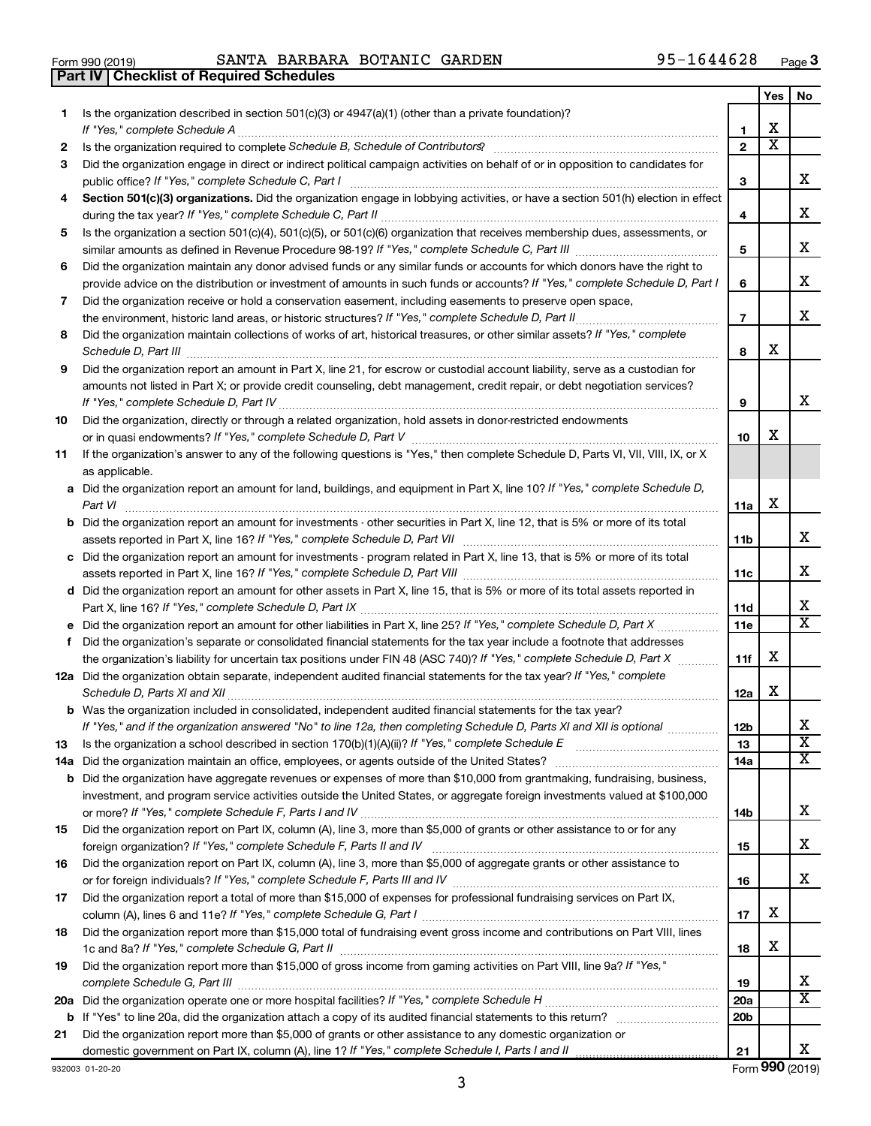| Form 990 (2019) |  |  |
|-----------------|--|--|

**Part IV Checklist of Required Schedules**

Form 990 (2019) Page SANTA BARBARA BOTANIC GARDEN 95-1644628

|    |                                                                                                                                                                                                                                                           |                 | Yes | No                      |
|----|-----------------------------------------------------------------------------------------------------------------------------------------------------------------------------------------------------------------------------------------------------------|-----------------|-----|-------------------------|
| 1. | Is the organization described in section 501(c)(3) or 4947(a)(1) (other than a private foundation)?<br>If "Yes," complete Schedule A                                                                                                                      | 1               | х   |                         |
| 2  |                                                                                                                                                                                                                                                           | $\overline{2}$  | x   |                         |
| 3  | Did the organization engage in direct or indirect political campaign activities on behalf of or in opposition to candidates for                                                                                                                           |                 |     |                         |
|    | public office? If "Yes," complete Schedule C, Part I                                                                                                                                                                                                      | 3               |     | x.                      |
| 4  | Section 501(c)(3) organizations. Did the organization engage in lobbying activities, or have a section 501(h) election in effect                                                                                                                          | 4               |     | х                       |
| 5  | Is the organization a section 501(c)(4), 501(c)(5), or 501(c)(6) organization that receives membership dues, assessments, or                                                                                                                              |                 |     |                         |
|    |                                                                                                                                                                                                                                                           | 5               |     | х                       |
| 6  | Did the organization maintain any donor advised funds or any similar funds or accounts for which donors have the right to<br>provide advice on the distribution or investment of amounts in such funds or accounts? If "Yes," complete Schedule D, Part I | 6               |     | х                       |
| 7  | Did the organization receive or hold a conservation easement, including easements to preserve open space,                                                                                                                                                 | $\overline{7}$  |     | х                       |
| 8  | Did the organization maintain collections of works of art, historical treasures, or other similar assets? If "Yes," complete                                                                                                                              | 8               | x   |                         |
| 9  | Did the organization report an amount in Part X, line 21, for escrow or custodial account liability, serve as a custodian for                                                                                                                             |                 |     |                         |
|    | amounts not listed in Part X; or provide credit counseling, debt management, credit repair, or debt negotiation services?                                                                                                                                 | 9               |     | x                       |
| 10 | Did the organization, directly or through a related organization, hold assets in donor-restricted endowments                                                                                                                                              | 10              | х   |                         |
| 11 | If the organization's answer to any of the following questions is "Yes," then complete Schedule D, Parts VI, VII, VIII, IX, or X<br>as applicable.                                                                                                        |                 |     |                         |
|    | a Did the organization report an amount for land, buildings, and equipment in Part X, line 10? If "Yes," complete Schedule D,<br>Part VI                                                                                                                  | 11a             | X   |                         |
|    | <b>b</b> Did the organization report an amount for investments - other securities in Part X, line 12, that is 5% or more of its total                                                                                                                     | 11b             |     | x                       |
|    | c Did the organization report an amount for investments - program related in Part X, line 13, that is 5% or more of its total                                                                                                                             |                 |     |                         |
|    |                                                                                                                                                                                                                                                           | 11c             |     | x                       |
|    | d Did the organization report an amount for other assets in Part X, line 15, that is 5% or more of its total assets reported in                                                                                                                           |                 |     |                         |
|    |                                                                                                                                                                                                                                                           | 11d             |     | х                       |
|    |                                                                                                                                                                                                                                                           | <b>11e</b>      |     | $\overline{\mathtt{x}}$ |
| f  | Did the organization's separate or consolidated financial statements for the tax year include a footnote that addresses                                                                                                                                   |                 |     |                         |
|    | the organization's liability for uncertain tax positions under FIN 48 (ASC 740)? If "Yes," complete Schedule D, Part X                                                                                                                                    | 11f             | х   |                         |
|    | 12a Did the organization obtain separate, independent audited financial statements for the tax year? If "Yes," complete                                                                                                                                   | 12a             | x   |                         |
|    | <b>b</b> Was the organization included in consolidated, independent audited financial statements for the tax year?                                                                                                                                        |                 |     |                         |
|    | If "Yes." and if the organization answered "No" to line 12a, then completing Schedule D. Parts XI and XII is optional                                                                                                                                     | 12 <sub>b</sub> |     | х                       |
| 13 |                                                                                                                                                                                                                                                           | 13              |     | $\overline{\text{x}}$   |
|    |                                                                                                                                                                                                                                                           | 14a             |     | X                       |
|    | <b>b</b> Did the organization have aggregate revenues or expenses of more than \$10,000 from grantmaking, fundraising, business,                                                                                                                          |                 |     |                         |
|    | investment, and program service activities outside the United States, or aggregate foreign investments valued at \$100,000                                                                                                                                | 14b             |     | x                       |
| 15 | Did the organization report on Part IX, column (A), line 3, more than \$5,000 of grants or other assistance to or for any                                                                                                                                 | 15              |     | x                       |
| 16 | Did the organization report on Part IX, column (A), line 3, more than \$5,000 of aggregate grants or other assistance to                                                                                                                                  | 16              |     | x                       |
| 17 | Did the organization report a total of more than \$15,000 of expenses for professional fundraising services on Part IX,                                                                                                                                   |                 |     |                         |
|    |                                                                                                                                                                                                                                                           | 17              | х   |                         |
| 18 | Did the organization report more than \$15,000 total of fundraising event gross income and contributions on Part VIII, lines                                                                                                                              |                 | х   |                         |
|    |                                                                                                                                                                                                                                                           | 18              |     |                         |
| 19 | Did the organization report more than \$15,000 of gross income from gaming activities on Part VIII, line 9a? If "Yes,"                                                                                                                                    |                 |     | х                       |
|    |                                                                                                                                                                                                                                                           | 19<br>20a       |     | x                       |
|    |                                                                                                                                                                                                                                                           | 20 <sub>b</sub> |     |                         |
| 21 | Did the organization report more than \$5,000 of grants or other assistance to any domestic organization or                                                                                                                                               |                 |     |                         |
|    |                                                                                                                                                                                                                                                           | 21              |     | х                       |

932003 01-20-20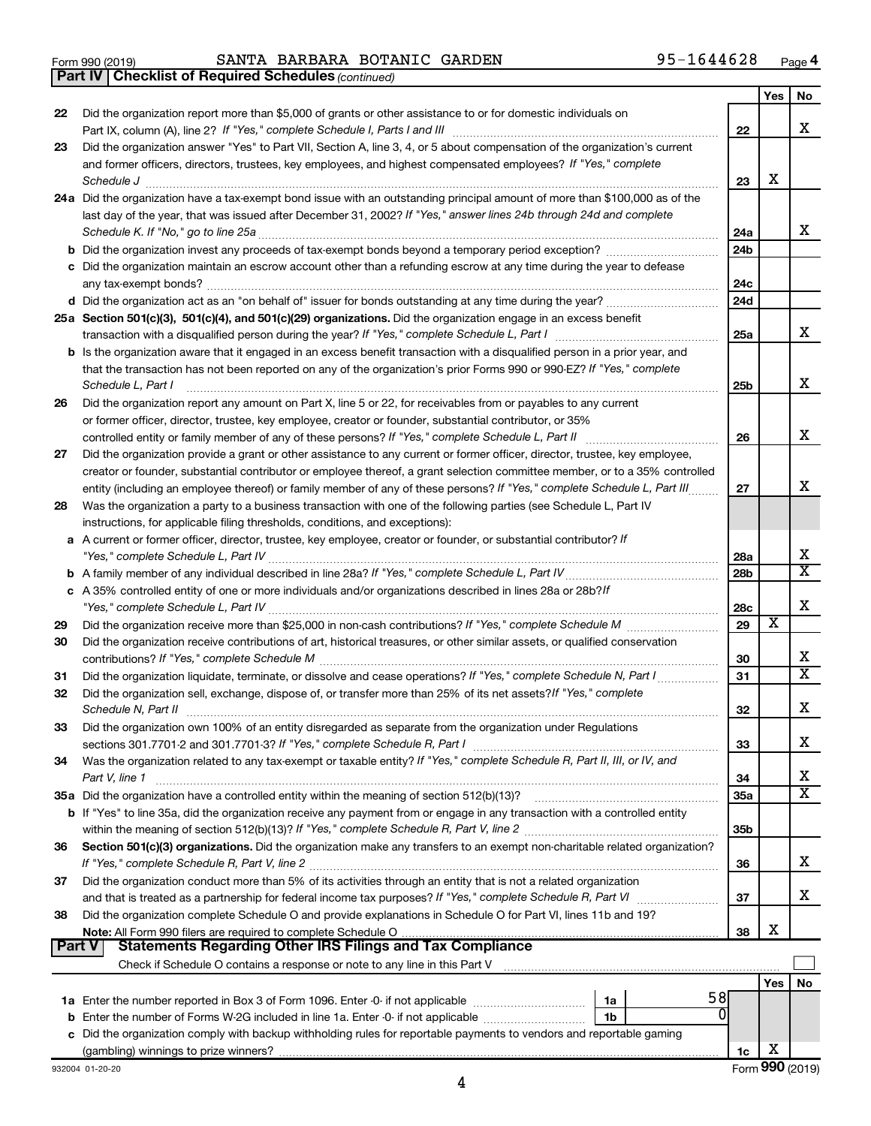|  | Form 990 (2019) |
|--|-----------------|
|  |                 |

Form 990 (2019) Page SANTA BARBARA BOTANIC GARDEN 95-1644628

*(continued)* **Part IV Checklist of Required Schedules**

|        |                                                                                                                                                                                                               |                 | Yes | No                      |
|--------|---------------------------------------------------------------------------------------------------------------------------------------------------------------------------------------------------------------|-----------------|-----|-------------------------|
| 22     | Did the organization report more than \$5,000 of grants or other assistance to or for domestic individuals on                                                                                                 |                 |     |                         |
|        |                                                                                                                                                                                                               | 22              |     | x                       |
| 23     | Did the organization answer "Yes" to Part VII, Section A, line 3, 4, or 5 about compensation of the organization's current                                                                                    |                 |     |                         |
|        | and former officers, directors, trustees, key employees, and highest compensated employees? If "Yes," complete                                                                                                |                 |     |                         |
|        | Schedule J                                                                                                                                                                                                    | 23              | х   |                         |
|        | 24a Did the organization have a tax-exempt bond issue with an outstanding principal amount of more than \$100,000 as of the                                                                                   |                 |     |                         |
|        | last day of the year, that was issued after December 31, 2002? If "Yes," answer lines 24b through 24d and complete                                                                                            |                 |     |                         |
|        | Schedule K. If "No," go to line 25a                                                                                                                                                                           | 24a             |     | х                       |
|        | <b>b</b> Did the organization invest any proceeds of tax-exempt bonds beyond a temporary period exception?                                                                                                    | 24 <sub>b</sub> |     |                         |
|        | c Did the organization maintain an escrow account other than a refunding escrow at any time during the year to defease                                                                                        |                 |     |                         |
|        |                                                                                                                                                                                                               | 24c             |     |                         |
|        |                                                                                                                                                                                                               | 24 <sub>d</sub> |     |                         |
|        | 25a Section 501(c)(3), 501(c)(4), and 501(c)(29) organizations. Did the organization engage in an excess benefit                                                                                              |                 |     | x                       |
|        |                                                                                                                                                                                                               | 25a             |     |                         |
|        | b Is the organization aware that it engaged in an excess benefit transaction with a disqualified person in a prior year, and                                                                                  |                 |     |                         |
|        | that the transaction has not been reported on any of the organization's prior Forms 990 or 990-EZ? If "Yes," complete                                                                                         |                 |     | х                       |
|        | Schedule L, Part I<br>Did the organization report any amount on Part X, line 5 or 22, for receivables from or payables to any current                                                                         | 25b             |     |                         |
| 26     |                                                                                                                                                                                                               |                 |     |                         |
|        | or former officer, director, trustee, key employee, creator or founder, substantial contributor, or 35%<br>controlled entity or family member of any of these persons? If "Yes," complete Schedule L, Part II | 26              |     | x                       |
| 27     | Did the organization provide a grant or other assistance to any current or former officer, director, trustee, key employee,                                                                                   |                 |     |                         |
|        | creator or founder, substantial contributor or employee thereof, a grant selection committee member, or to a 35% controlled                                                                                   |                 |     |                         |
|        | entity (including an employee thereof) or family member of any of these persons? If "Yes," complete Schedule L, Part III                                                                                      | 27              |     | х                       |
| 28     | Was the organization a party to a business transaction with one of the following parties (see Schedule L, Part IV                                                                                             |                 |     |                         |
|        | instructions, for applicable filing thresholds, conditions, and exceptions):                                                                                                                                  |                 |     |                         |
|        | a A current or former officer, director, trustee, key employee, creator or founder, or substantial contributor? If                                                                                            |                 |     |                         |
|        |                                                                                                                                                                                                               | 28a             |     | х                       |
|        |                                                                                                                                                                                                               | 28 <sub>b</sub> |     | $\overline{\texttt{x}}$ |
|        | c A 35% controlled entity of one or more individuals and/or organizations described in lines 28a or 28b?If                                                                                                    |                 |     |                         |
|        |                                                                                                                                                                                                               | 28c             |     | х                       |
| 29     |                                                                                                                                                                                                               | 29              | X   |                         |
| 30     | Did the organization receive contributions of art, historical treasures, or other similar assets, or qualified conservation                                                                                   |                 |     |                         |
|        |                                                                                                                                                                                                               | 30              |     | х                       |
| 31     | Did the organization liquidate, terminate, or dissolve and cease operations? If "Yes," complete Schedule N, Part I                                                                                            | 31              |     | $\overline{\texttt{x}}$ |
| 32     | Did the organization sell, exchange, dispose of, or transfer more than 25% of its net assets? If "Yes," complete                                                                                              |                 |     |                         |
|        | Schedule N, Part II                                                                                                                                                                                           | 32              |     | х                       |
| 33     | Did the organization own 100% of an entity disregarded as separate from the organization under Regulations                                                                                                    |                 |     |                         |
|        |                                                                                                                                                                                                               | 33              |     | х                       |
| 34     | Was the organization related to any tax-exempt or taxable entity? If "Yes," complete Schedule R, Part II, III, or IV, and                                                                                     |                 |     |                         |
|        | Part V, line 1                                                                                                                                                                                                | 34              |     | х                       |
|        |                                                                                                                                                                                                               | 35a             |     | $\overline{\mathbf{X}}$ |
|        | <b>b</b> If "Yes" to line 35a, did the organization receive any payment from or engage in any transaction with a controlled entity                                                                            |                 |     |                         |
|        |                                                                                                                                                                                                               | 35b             |     |                         |
| 36     | Section 501(c)(3) organizations. Did the organization make any transfers to an exempt non-charitable related organization?                                                                                    |                 |     |                         |
|        |                                                                                                                                                                                                               | 36              |     | x                       |
| 37     | Did the organization conduct more than 5% of its activities through an entity that is not a related organization                                                                                              |                 |     |                         |
|        |                                                                                                                                                                                                               | 37              |     | x                       |
| 38     | Did the organization complete Schedule O and provide explanations in Schedule O for Part VI, lines 11b and 19?                                                                                                |                 | х   |                         |
| Part V | Statements Regarding Other IRS Filings and Tax Compliance                                                                                                                                                     | 38              |     |                         |
|        |                                                                                                                                                                                                               |                 |     |                         |
|        |                                                                                                                                                                                                               |                 |     |                         |
|        | 58<br>1a                                                                                                                                                                                                      |                 | Yes | No                      |
|        | ⋒<br>b Enter the number of Forms W-2G included in line 1a. Enter -0- if not applicable<br>1b                                                                                                                  |                 |     |                         |
|        | c Did the organization comply with backup withholding rules for reportable payments to vendors and reportable gaming                                                                                          |                 |     |                         |
|        |                                                                                                                                                                                                               | 1c              | х   |                         |
|        |                                                                                                                                                                                                               |                 |     |                         |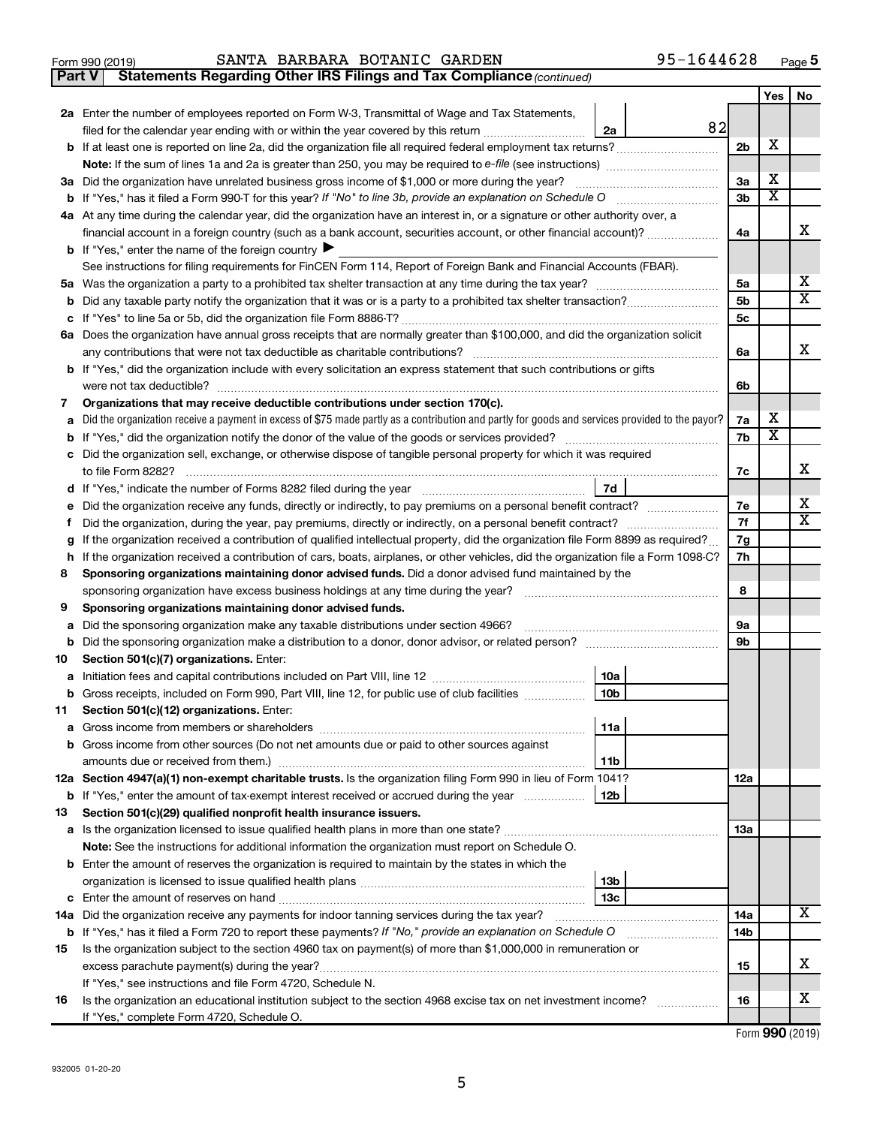|  | Form 990 (2019) |
|--|-----------------|
|  |                 |

# Form 990 (2019) Page SANTA BARBARA BOTANIC GARDEN 95-1644628

**Part V** Statements Regarding Other IRS Filings and Tax Compliance (continued)

|    |                                                                                                                                                 |                        |    |          | Yes | No                      |  |
|----|-------------------------------------------------------------------------------------------------------------------------------------------------|------------------------|----|----------|-----|-------------------------|--|
|    | 2a Enter the number of employees reported on Form W-3, Transmittal of Wage and Tax Statements,                                                  |                        |    |          |     |                         |  |
|    | filed for the calendar year ending with or within the year covered by this return <i>manumumumum</i>                                            | 2a                     | 82 |          | х   |                         |  |
|    |                                                                                                                                                 |                        |    |          |     |                         |  |
|    |                                                                                                                                                 |                        |    |          |     |                         |  |
|    | 3a Did the organization have unrelated business gross income of \$1,000 or more during the year?                                                |                        |    |          |     |                         |  |
|    | <b>b</b> If "Yes," has it filed a Form 990-T for this year? If "No" to line 3b, provide an explanation on Schedule O                            |                        |    |          |     |                         |  |
|    | 4a At any time during the calendar year, did the organization have an interest in, or a signature or other authority over, a                    |                        |    |          |     |                         |  |
|    | financial account in a foreign country (such as a bank account, securities account, or other financial account)?                                |                        |    | 4a       |     | x                       |  |
|    | <b>b</b> If "Yes," enter the name of the foreign country $\triangleright$                                                                       |                        |    |          |     |                         |  |
|    | See instructions for filing requirements for FinCEN Form 114, Report of Foreign Bank and Financial Accounts (FBAR).                             |                        |    | 5а       |     | х                       |  |
|    |                                                                                                                                                 |                        |    |          |     |                         |  |
| b  |                                                                                                                                                 |                        |    | 5b       |     | $\overline{\texttt{x}}$ |  |
| с  |                                                                                                                                                 |                        |    | 5с       |     |                         |  |
|    | 6a Does the organization have annual gross receipts that are normally greater than \$100,000, and did the organization solicit                  |                        |    |          |     | х                       |  |
|    |                                                                                                                                                 |                        |    | 6a       |     |                         |  |
|    | <b>b</b> If "Yes," did the organization include with every solicitation an express statement that such contributions or gifts                   |                        |    |          |     |                         |  |
|    | were not tax deductible?                                                                                                                        |                        |    | 6b       |     |                         |  |
| 7  | Organizations that may receive deductible contributions under section 170(c).                                                                   |                        |    |          | х   |                         |  |
| а  | Did the organization receive a payment in excess of \$75 made partly as a contribution and partly for goods and services provided to the payor? |                        |    | 7a<br>7b | X   |                         |  |
| b  | c Did the organization sell, exchange, or otherwise dispose of tangible personal property for which it was required                             |                        |    |          |     |                         |  |
|    | to file Form 8282?                                                                                                                              |                        |    | 7c       |     | х                       |  |
| d  |                                                                                                                                                 | 7d                     |    |          |     |                         |  |
| е  | Did the organization receive any funds, directly or indirectly, to pay premiums on a personal benefit contract?                                 |                        |    | 7е       |     | х                       |  |
|    | Did the organization, during the year, pay premiums, directly or indirectly, on a personal benefit contract?<br>Ť.                              |                        |    |          |     |                         |  |
| g  | If the organization received a contribution of qualified intellectual property, did the organization file Form 8899 as required?                |                        |    | 7f<br>7g |     | X                       |  |
| h. | If the organization received a contribution of cars, boats, airplanes, or other vehicles, did the organization file a Form 1098-C?              |                        |    | 7h       |     |                         |  |
| 8  | Sponsoring organizations maintaining donor advised funds. Did a donor advised fund maintained by the                                            |                        |    |          |     |                         |  |
|    | sponsoring organization have excess business holdings at any time during the year?                                                              |                        |    | 8        |     |                         |  |
| 9  | Sponsoring organizations maintaining donor advised funds.                                                                                       |                        |    |          |     |                         |  |
| а  | Did the sponsoring organization make any taxable distributions under section 4966?                                                              |                        |    | 9а       |     |                         |  |
| b  |                                                                                                                                                 |                        |    |          |     |                         |  |
| 10 | Section 501(c)(7) organizations. Enter:                                                                                                         |                        |    |          |     |                         |  |
| а  |                                                                                                                                                 | 10a                    |    |          |     |                         |  |
|    | <b>b</b> Gross receipts, included on Form 990, Part VIII, line 12, for public use of club facilities <i>manument</i>                            | 10 <sub>b</sub>        |    |          |     |                         |  |
| 11 | Section 501(c)(12) organizations. Enter:                                                                                                        |                        |    |          |     |                         |  |
|    | <b>a</b> Gross income from members or shareholders                                                                                              | 11a                    |    |          |     |                         |  |
|    | <b>b</b> Gross income from other sources (Do not net amounts due or paid to other sources against                                               |                        |    |          |     |                         |  |
|    |                                                                                                                                                 | 11b                    |    |          |     |                         |  |
|    | 12a Section 4947(a)(1) non-exempt charitable trusts. Is the organization filing Form 990 in lieu of Form 1041?                                  |                        |    | 12a      |     |                         |  |
|    | <b>b</b> If "Yes," enter the amount of tax-exempt interest received or accrued during the year                                                  | 12b                    |    |          |     |                         |  |
| 13 | Section 501(c)(29) qualified nonprofit health insurance issuers.                                                                                |                        |    |          |     |                         |  |
|    |                                                                                                                                                 |                        |    | 13a      |     |                         |  |
|    | Note: See the instructions for additional information the organization must report on Schedule O.                                               |                        |    |          |     |                         |  |
|    | <b>b</b> Enter the amount of reserves the organization is required to maintain by the states in which the                                       |                        |    |          |     |                         |  |
|    |                                                                                                                                                 | 13 <sub>b</sub><br>13с |    |          |     |                         |  |
|    | 14a Did the organization receive any payments for indoor tanning services during the tax year?                                                  |                        |    | 14a      |     | X                       |  |
|    | b If "Yes," has it filed a Form 720 to report these payments? If "No," provide an explanation on Schedule O                                     |                        |    | 14b      |     |                         |  |
| 15 | Is the organization subject to the section 4960 tax on payment(s) of more than \$1,000,000 in remuneration or                                   |                        |    |          |     |                         |  |
|    |                                                                                                                                                 |                        |    | 15       |     | х                       |  |
|    | If "Yes," see instructions and file Form 4720, Schedule N.                                                                                      |                        |    |          |     |                         |  |
| 16 | Is the organization an educational institution subject to the section 4968 excise tax on net investment income?                                 |                        |    | 16       |     | x                       |  |
|    | If "Yes," complete Form 4720, Schedule O.                                                                                                       |                        |    |          |     |                         |  |

Form (2019) **990**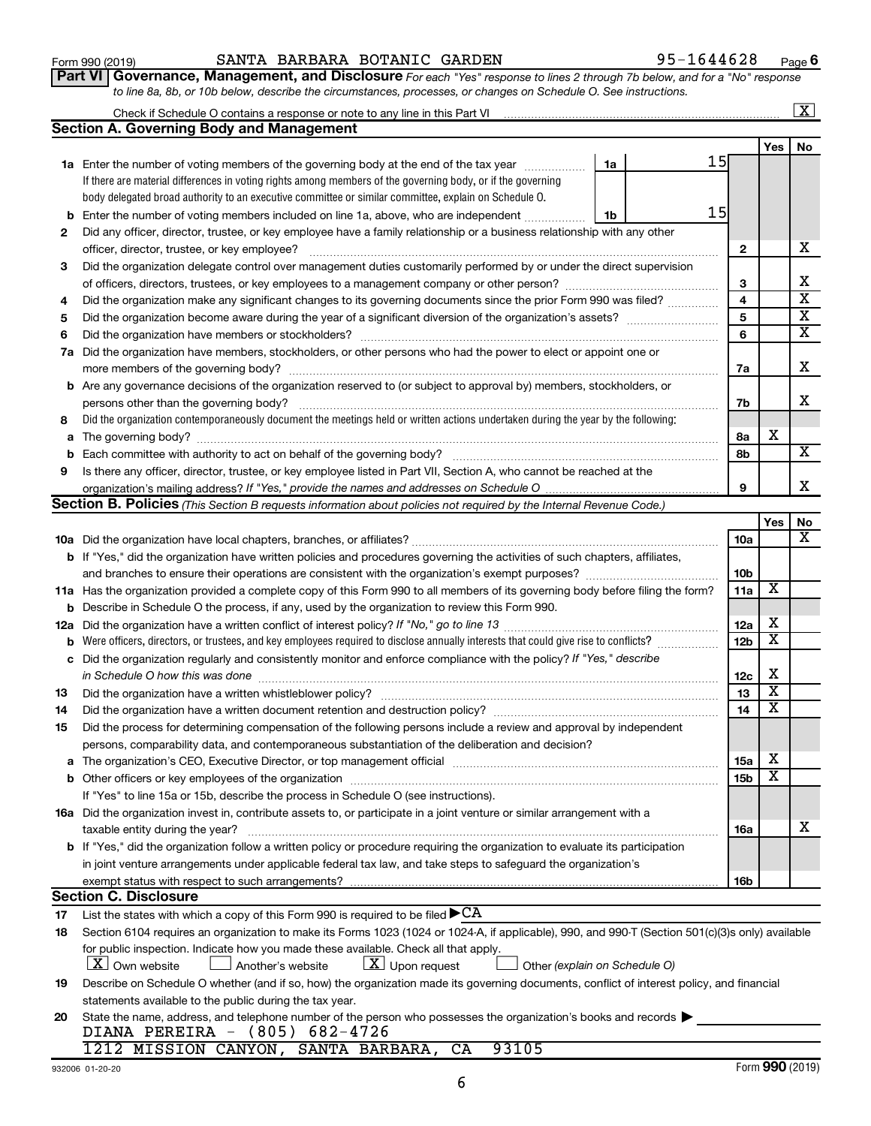|  | 20 State the name, address, and telephone number of the person who possesses the organized |  |  |  |
|--|--------------------------------------------------------------------------------------------|--|--|--|
|  | DIANA PEREIRA - (805) 682-4726                                                             |  |  |  |
|  | 1212 MISSION CANYON, SANTA BARBARA, CA 93105                                               |  |  |  |

**19**

**17 18**

**2**

**3**

**4 5 6**

| 932006 01-20-20 |
|-----------------|

statements available to the public during the tax year.

# **11 a** Has the organization provided a complete copy of this Form 990 to all members of its governing body before filing the form? **a** The organization's CEO, Executive Director, or top management official www.community.community.community.com **b** Other officers or key employees of the organization ~~~~~~~~~~~~~~~~~~~~~~~~~~~~~~~~~~~~ **16a** Did the organization invest in, contribute assets to, or participate in a joint venture or similar arrangement with a **b** If "Yes," did the organization follow a written policy or procedure requiring the organization to evaluate its participation *If "No," go to line 13 in Schedule O how this was done (explain on Schedule O)* Describe in Schedule O the process, if any, used by the organization to review this Form 990. Did the organization regularly and consistently monitor and enforce compliance with the policy? Did the organization have a written whistleblower policy? Did the organization have a written document retention and destruction policy? persons, comparability data, and contemporaneous substantiation of the deliberation and decision? If "Yes" to line 15a or 15b, describe the process in Schedule O (see instructions). taxable entity during the year? ~~~~~~~~~~~~~~~~~~~~~~~~~~~~~~~~~~~~~~~~~~~~~~ in joint venture arrangements under applicable federal tax law, and take steps to safeguard the organization's exempt status with respect to such arrangements? List the states with which a copy of this Form 990 is required to be filed  $\blacktriangleright$   $\rm CA$ Section 6104 requires an organization to make its Forms 1023 (1024 or 1024-A, if applicable), 990, and 990-T (Section 501(c)(3)s only) available for public inspection. Indicate how you made these available. Check all that apply.  $\boxed{\textbf{X}}$  Own website  $\boxed{\textbf{X}}$  Another's website  $\boxed{\textbf{X}}$  Upon request  $\boxed{\textbf{X}}$  Other **Section C. Disclosure**

|    | <b>b</b> Describe in Schedule O the process, if any, used by the organization to review this Form 990.                                       |     |  |
|----|----------------------------------------------------------------------------------------------------------------------------------------------|-----|--|
|    |                                                                                                                                              | 12a |  |
|    | <b>b</b> Were officers, directors, or trustees, and key employees required to disclose annually interests that could give rise to conflicts? | 12b |  |
|    | c Did the organization regularly and consistently monitor and enforce compliance with the policy? If "Yes," describe                         |     |  |
|    | in Schedule O how this was done                                                                                                              | 12с |  |
| 13 | Did the organization have a written whistleblower policy?                                                                                    | 13  |  |
| 14 | Did the organization have a written document retention and destruction policy?                                                               |     |  |
| 15 | Did the process for determining compensation of the following persons include a review and approval by independent                           |     |  |
|    |                                                                                                                                              |     |  |

|   | 7a Did the organization have members, stockholders, or other persons who had the power to elect or appoint one or                 |    |   |
|---|-----------------------------------------------------------------------------------------------------------------------------------|----|---|
|   | more members of the governing body?                                                                                               | 7a |   |
|   | <b>b</b> Are any governance decisions of the organization reserved to (or subject to approval by) members, stockholders, or       |    |   |
|   | persons other than the governing body?                                                                                            | 7b |   |
| 8 | Did the organization contemporaneously document the meetings held or written actions undertaken during the year by the following: |    |   |
|   | <b>a</b> The governing body?                                                                                                      | 8a | х |
|   | <b>b</b> Each committee with authority to act on behalf of the governing body?                                                    | 8b |   |
| 9 | Is there any officer, director, trustee, or key employee listed in Part VII, Section A, who cannot be reached at the              |    |   |
|   |                                                                                                                                   | q  |   |
|   | Section B. Policies (This Section B requests information about policies not required by the Internal Revenue Code.)               |    |   |

**10 a** Did the organization have local chapters, branches, or affiliates? ~~~~~~~~~~~~~~~~~~~~~~~~~~~~~~

and branches to ensure their operations are consistent with the organization's exempt purposes? ~~~~~~~~~~~~~

**b** If "Yes," did the organization have written policies and procedures governing the activities of such chapters, affiliates,

| Form 990 (2019) | SANTA | <b>BARBARA</b> | BOTANIC | GARDEN | .644628<br>$95 - 1$ | Page |
|-----------------|-------|----------------|---------|--------|---------------------|------|

Did any officer, director, trustee, or key employee have a family relationship or a business relationship with any other

officer, director, trustee, or key employee? ~~~~~~~~~~~~~~~~~~~~~~~~~~~~~~~~~~~~~~~~ Did the organization delegate control over management duties customarily performed by or under the direct supervision of officers, directors, trustees, or key employees to a management company or other person? ~~~~~~~~~~~~~~~ Did the organization make any significant changes to its governing documents since the prior Form 990 was filed? ............... Did the organization become aware during the year of a significant diversion of the organization's assets? \_\_\_\_\_\_\_\_\_\_\_\_\_\_\_\_\_\_\_\_\_\_\_\_\_\_\_\_ Did the organization have members or stockholders? ~~~~~~~~~~~~~~~~~~~~~~~~~~~~~~~~~~~

**1a** Enter the number of voting members of the governing body at the end of the tax year *www.fronoming* 

Check if Schedule O contains a response or note to any line in this Part VI

**Section A. Governing Body and Management**

If there are material differences in voting rights among members of the governing body, or if the governing body delegated broad authority to an executive committee or similar committee, explain on Schedule O.

**b** Enter the number of voting members included on line 1a, above, who are independent *controllering* 

**6** 95-1644628

15

15

**2**

**1a**

**1b**

**Part VI** Governance, Management, and Disclosure For each "Yes" response to lines 2 through 7b below, and for a "No" response *to line 8a, 8b, or 10b below, describe the circumstances, processes, or changes on Schedule O. See instructions.*

 $\boxed{\text{X}}$ 

X

X  $\overline{\text{x}}$  $\overline{\text{x}}$ X

X

X

X

X

X

**Yes No**

**Yes No**

X

**10a**

**10b 11a**

**15a 15b** X X

X

**16a**

**16b**

| Form 990 (2019) |  |
|-----------------|--|
|-----------------|--|

Describe on Schedule O whether (and if so, how) the organization made its governing documents, conflict of interest policy, and financial

State the name, address, and telephone number of the person who possesses the organization's books and records  $\blacktriangleright$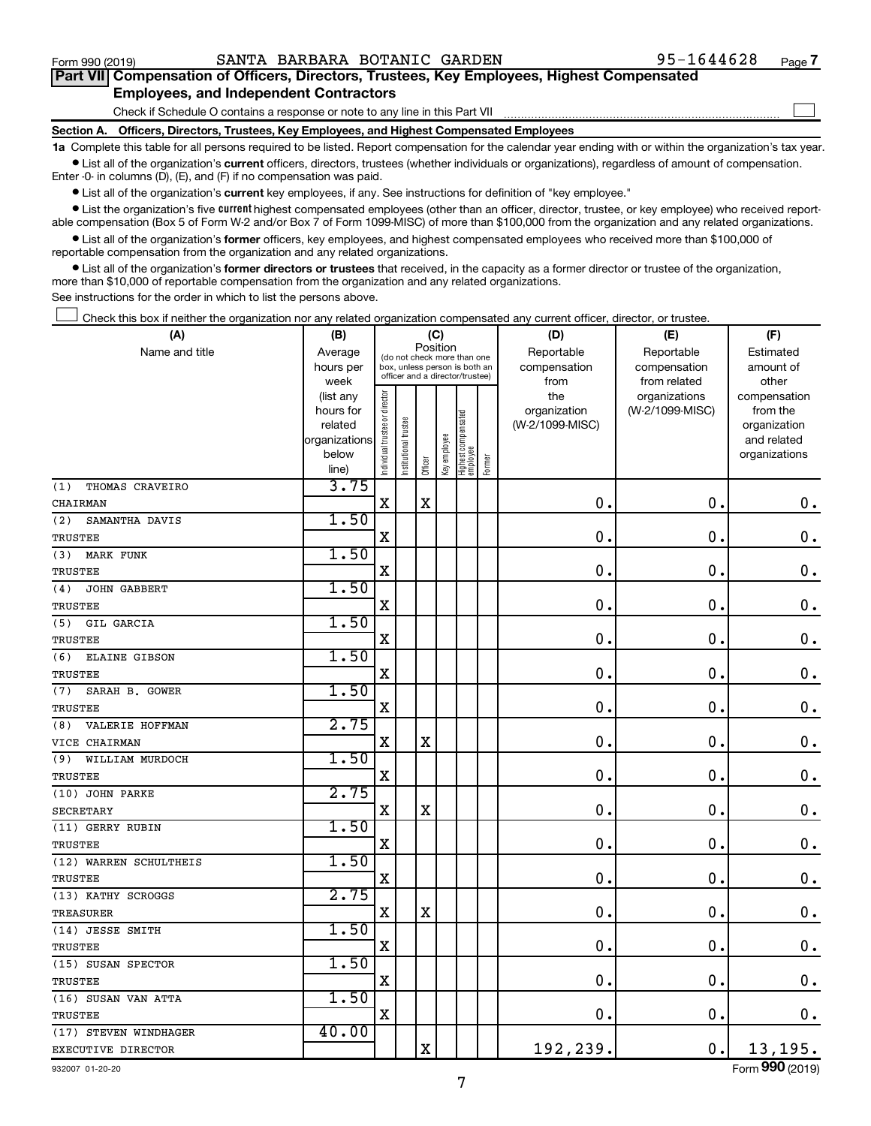$\Box$ 

| Part VII Compensation of Officers, Directors, Trustees, Key Employees, Highest Compensated |  |  |  |  |
|--------------------------------------------------------------------------------------------|--|--|--|--|
| <b>Employees, and Independent Contractors</b>                                              |  |  |  |  |

Check if Schedule O contains a response or note to any line in this Part VII

**Section A. Officers, Directors, Trustees, Key Employees, and Highest Compensated Employees**

**1a**  Complete this table for all persons required to be listed. Report compensation for the calendar year ending with or within the organization's tax year.  $\bullet$  List all of the organization's current officers, directors, trustees (whether individuals or organizations), regardless of amount of compensation.

Enter -0- in columns (D), (E), and (F) if no compensation was paid.

**•** List all of the organization's current key employees, if any. See instructions for definition of "key employee."

• List the organization's five *current* highest compensated employees (other than an officer, director, trustee, or key employee) who received reportable compensation (Box 5 of Form W-2 and/or Box 7 of Form 1099-MISC) of more than \$100,000 from the organization and any related organizations.

 $\bullet$  List all of the organization's former officers, key employees, and highest compensated employees who received more than \$100,000 of reportable compensation from the organization and any related organizations.

**•** List all of the organization's former directors or trustees that received, in the capacity as a former director or trustee of the organization, more than \$10,000 of reportable compensation from the organization and any related organizations.

See instructions for the order in which to list the persons above.

Check this box if neither the organization nor any related organization compensated any current officer, director, or trustee.  $\Box$ 

| (A)                     | (B)               |                                |                                                                  | (C)         |              |                                 |        | (D)                  | (E)                          | (F)                |
|-------------------------|-------------------|--------------------------------|------------------------------------------------------------------|-------------|--------------|---------------------------------|--------|----------------------|------------------------------|--------------------|
| Name and title          | Average           |                                | (do not check more than one                                      | Position    |              |                                 |        | Reportable           | Reportable                   | Estimated          |
|                         | hours per<br>week |                                | box, unless person is both an<br>officer and a director/trustee) |             |              |                                 |        | compensation<br>from | compensation<br>from related | amount of<br>other |
|                         | (list any         |                                |                                                                  |             |              |                                 |        | the                  | organizations                | compensation       |
|                         | hours for         |                                |                                                                  |             |              |                                 |        | organization         | (W-2/1099-MISC)              | from the           |
|                         | related           |                                | trustee                                                          |             |              |                                 |        | (W-2/1099-MISC)      |                              | organization       |
|                         | organizations     |                                |                                                                  |             |              |                                 |        |                      |                              | and related        |
|                         | below             | Individual trustee or director | Institutional t                                                  | Officer     | Key employee | Highest compensated<br>employee | Former |                      |                              | organizations      |
| THOMAS CRAVEIRO<br>(1)  | line)<br>3.75     |                                |                                                                  |             |              |                                 |        |                      |                              |                    |
| CHAIRMAN                |                   | $\rm X$                        |                                                                  | $\mathbf X$ |              |                                 |        | $\mathbf 0$ .        | $\mathbf 0$ .                | $\mathbf 0$ .      |
| (2)<br>SAMANTHA DAVIS   | 1.50              |                                |                                                                  |             |              |                                 |        |                      |                              |                    |
| <b>TRUSTEE</b>          |                   | $\mathbf X$                    |                                                                  |             |              |                                 |        | 0.                   | $\mathbf 0$ .                | $\mathbf 0$ .      |
|                         | 1.50              |                                |                                                                  |             |              |                                 |        |                      |                              |                    |
| (3)<br><b>MARK FUNK</b> |                   | $\mathbf X$                    |                                                                  |             |              |                                 |        | 0.                   | $\mathbf 0$ .                | $\mathbf 0$ .      |
| <b>TRUSTEE</b>          | 1.50              |                                |                                                                  |             |              |                                 |        |                      |                              |                    |
| (4)<br>JOHN GABBERT     |                   | $\overline{\mathbf{X}}$        |                                                                  |             |              |                                 |        | $\mathbf 0$ .        | $\mathbf 0$ .                | $\mathbf 0$ .      |
| TRUSTEE                 | 1.50              |                                |                                                                  |             |              |                                 |        |                      |                              |                    |
| (5)<br>GIL GARCIA       |                   |                                |                                                                  |             |              |                                 |        | $\mathbf 0$ .        | $\mathbf 0$ .                |                    |
| <b>TRUSTEE</b>          |                   | $\mathbf X$                    |                                                                  |             |              |                                 |        |                      |                              | $\boldsymbol{0}$ . |
| (6)<br>ELAINE GIBSON    | 1.50              |                                |                                                                  |             |              |                                 |        | 0.                   |                              |                    |
| <b>TRUSTEE</b>          |                   | $\mathbf X$                    |                                                                  |             |              |                                 |        |                      | $\mathbf 0$ .                | $\mathbf 0$ .      |
| (7)<br>SARAH B. GOWER   | 1.50              |                                |                                                                  |             |              |                                 |        |                      |                              |                    |
| TRUSTEE                 |                   | $\mathbf x$                    |                                                                  |             |              |                                 |        | 0.                   | $\mathbf 0$ .                | $\mathbf 0$ .      |
| VALERIE HOFFMAN<br>(8)  | 2.75              |                                |                                                                  |             |              |                                 |        |                      |                              |                    |
| VICE CHAIRMAN           |                   | $\mathbf X$                    |                                                                  | $\mathbf X$ |              |                                 |        | 0.                   | $\mathbf 0$ .                | $\mathbf 0$ .      |
| WILLIAM MURDOCH<br>(9)  | 1.50              |                                |                                                                  |             |              |                                 |        |                      |                              |                    |
| TRUSTEE                 |                   | $\mathbf X$                    |                                                                  |             |              |                                 |        | $\mathbf 0$ .        | $\mathbf 0$ .                | $\mathbf 0$ .      |
| (10) JOHN PARKE         | 2.75              |                                |                                                                  |             |              |                                 |        |                      |                              |                    |
| <b>SECRETARY</b>        |                   | $\mathbf X$                    |                                                                  | $\mathbf X$ |              |                                 |        | $\mathbf 0$ .        | $\mathbf 0$ .                | $\mathbf 0$ .      |
| (11) GERRY RUBIN        | 1.50              |                                |                                                                  |             |              |                                 |        |                      |                              |                    |
| TRUSTEE                 |                   | X                              |                                                                  |             |              |                                 |        | $\mathbf 0$ .        | $\mathbf 0$ .                | $\mathbf 0$ .      |
| (12) WARREN SCHULTHEIS  | 1.50              |                                |                                                                  |             |              |                                 |        |                      |                              |                    |
| TRUSTEE                 |                   | $\mathbf X$                    |                                                                  |             |              |                                 |        | $\mathbf 0$ .        | $\mathbf 0$ .                | $\mathbf 0$ .      |
| (13) KATHY SCROGGS      | 2.75              |                                |                                                                  |             |              |                                 |        |                      |                              |                    |
| TREASURER               |                   | X                              |                                                                  | $\mathbf X$ |              |                                 |        | $\mathbf 0$ .        | $\mathbf 0$ .                | $\mathbf 0$ .      |
| (14) JESSE SMITH        | 1.50              |                                |                                                                  |             |              |                                 |        |                      |                              |                    |
| TRUSTEE                 |                   | $\mathbf X$                    |                                                                  |             |              |                                 |        | $\mathbf 0$ .        | $\mathbf 0$                  | $\mathbf 0$ .      |
| (15) SUSAN SPECTOR      | 1.50              |                                |                                                                  |             |              |                                 |        |                      |                              |                    |
| <b>TRUSTEE</b>          |                   | $\mathbf X$                    |                                                                  |             |              |                                 |        | $\mathbf 0$ .        | $\mathbf 0$ .                | 0.                 |
| (16) SUSAN VAN ATTA     | 1.50              |                                |                                                                  |             |              |                                 |        |                      |                              |                    |
| TRUSTEE                 |                   | $\mathbf x$                    |                                                                  |             |              |                                 |        | 0.                   | $\mathbf 0$ .                | $\mathbf 0$ .      |
| (17) STEVEN WINDHAGER   | 40.00             |                                |                                                                  |             |              |                                 |        |                      |                              |                    |
| EXECUTIVE DIRECTOR      |                   |                                |                                                                  | X           |              |                                 |        | 192,239.             | $\mathbf 0$ .                | 13,195.            |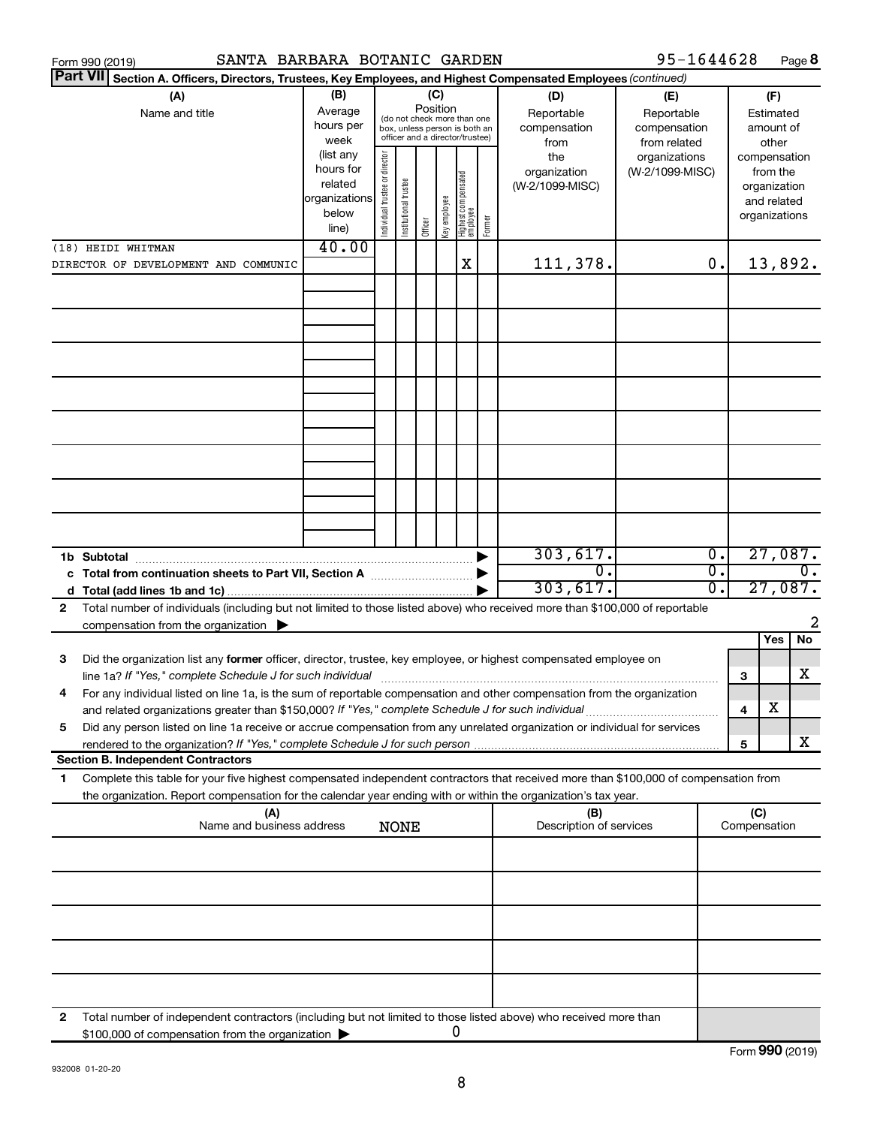|                 | SANTA BARBARA BOTANIC GARDEN<br>Form 990 (2019)                                                                                                                                                                                                        |                                                                              |                               |                       |                 |              |                                                                                                 |        |                                                | 95-1644628                                       |                             |                               |                                                  | Page 8           |
|-----------------|--------------------------------------------------------------------------------------------------------------------------------------------------------------------------------------------------------------------------------------------------------|------------------------------------------------------------------------------|-------------------------------|-----------------------|-----------------|--------------|-------------------------------------------------------------------------------------------------|--------|------------------------------------------------|--------------------------------------------------|-----------------------------|-------------------------------|--------------------------------------------------|------------------|
| <b>Part VII</b> | Section A. Officers, Directors, Trustees, Key Employees, and Highest Compensated Employees (continued)                                                                                                                                                 |                                                                              |                               |                       |                 |              |                                                                                                 |        |                                                |                                                  |                             |                               |                                                  |                  |
|                 | (A)<br>Name and title                                                                                                                                                                                                                                  | (B)<br>Average<br>hours per                                                  |                               |                       | (C)<br>Position |              | (do not check more than one<br>box, unless person is both an<br>officer and a director/trustee) |        | (D)<br>Reportable<br>compensation              | (E)<br>Reportable<br>compensation                |                             |                               | (F)<br>Estimated<br>amount of                    |                  |
|                 |                                                                                                                                                                                                                                                        | week<br>(list any<br>hours for<br>related<br>organizations<br>below<br>line) | ndividual trustee or director | Institutional trustee | Officer         | Key employee | Highest compensated<br>  employee                                                               | Former | from<br>the<br>organization<br>(W-2/1099-MISC) | from related<br>organizations<br>(W-2/1099-MISC) |                             | compensation<br>organizations | other<br>from the<br>organization<br>and related |                  |
|                 | (18) HEIDI WHITMAN                                                                                                                                                                                                                                     | 40.00                                                                        |                               |                       |                 |              |                                                                                                 |        |                                                |                                                  |                             |                               |                                                  |                  |
|                 | DIRECTOR OF DEVELOPMENT AND COMMUNIC                                                                                                                                                                                                                   |                                                                              |                               |                       |                 |              | X                                                                                               |        | 111,378.                                       |                                                  | 0.                          |                               | 13,892.                                          |                  |
|                 |                                                                                                                                                                                                                                                        |                                                                              |                               |                       |                 |              |                                                                                                 |        |                                                |                                                  |                             |                               |                                                  |                  |
|                 |                                                                                                                                                                                                                                                        |                                                                              |                               |                       |                 |              |                                                                                                 |        |                                                |                                                  |                             |                               |                                                  |                  |
|                 |                                                                                                                                                                                                                                                        |                                                                              |                               |                       |                 |              |                                                                                                 |        |                                                |                                                  |                             |                               |                                                  |                  |
|                 |                                                                                                                                                                                                                                                        |                                                                              |                               |                       |                 |              |                                                                                                 |        |                                                |                                                  |                             |                               |                                                  |                  |
|                 |                                                                                                                                                                                                                                                        |                                                                              |                               |                       |                 |              |                                                                                                 |        |                                                |                                                  |                             |                               |                                                  |                  |
|                 | 1b Subtotal                                                                                                                                                                                                                                            |                                                                              |                               |                       |                 |              |                                                                                                 |        | 303,617.                                       |                                                  | $\overline{\mathfrak{o}}$ . |                               | 27,087.                                          |                  |
|                 | c Total from continuation sheets to Part VII, Section A manufactured by                                                                                                                                                                                |                                                                              |                               |                       |                 |              |                                                                                                 |        | σ.                                             |                                                  | σ.                          |                               |                                                  | $\overline{0}$ . |
|                 |                                                                                                                                                                                                                                                        |                                                                              |                               |                       |                 |              |                                                                                                 |        | 303,617.                                       |                                                  | σ.                          |                               | 27,087.                                          |                  |
| 2               | Total number of individuals (including but not limited to those listed above) who received more than \$100,000 of reportable<br>compensation from the organization $\blacktriangleright$                                                               |                                                                              |                               |                       |                 |              |                                                                                                 |        |                                                |                                                  |                             |                               |                                                  | 2                |
|                 |                                                                                                                                                                                                                                                        |                                                                              |                               |                       |                 |              |                                                                                                 |        |                                                |                                                  |                             |                               | Yes                                              | No               |
| 3               | Did the organization list any former officer, director, trustee, key employee, or highest compensated employee on<br>line 1a? If "Yes," complete Schedule J for such individual manufacture content to the successive complete schedu                  |                                                                              |                               |                       |                 |              |                                                                                                 |        |                                                |                                                  |                             | 3                             |                                                  | X                |
|                 | For any individual listed on line 1a, is the sum of reportable compensation and other compensation from the organization<br>and related organizations greater than \$150,000? If "Yes," complete Schedule J for such individual                        |                                                                              |                               |                       |                 |              |                                                                                                 |        |                                                |                                                  |                             | 4                             | X                                                |                  |
| 5               | Did any person listed on line 1a receive or accrue compensation from any unrelated organization or individual for services                                                                                                                             |                                                                              |                               |                       |                 |              |                                                                                                 |        |                                                |                                                  |                             |                               |                                                  |                  |
|                 | rendered to the organization? If "Yes," complete Schedule J for such person.                                                                                                                                                                           |                                                                              |                               |                       |                 |              |                                                                                                 |        |                                                |                                                  |                             | 5                             |                                                  | x                |
|                 | <b>Section B. Independent Contractors</b>                                                                                                                                                                                                              |                                                                              |                               |                       |                 |              |                                                                                                 |        |                                                |                                                  |                             |                               |                                                  |                  |
| 1               | Complete this table for your five highest compensated independent contractors that received more than \$100,000 of compensation from<br>the organization. Report compensation for the calendar year ending with or within the organization's tax year. |                                                                              |                               |                       |                 |              |                                                                                                 |        |                                                |                                                  |                             |                               |                                                  |                  |
|                 | (A)<br>Name and business address                                                                                                                                                                                                                       |                                                                              |                               | <b>NONE</b>           |                 |              |                                                                                                 |        | (B)<br>Description of services                 |                                                  |                             | (C)<br>Compensation           |                                                  |                  |
|                 |                                                                                                                                                                                                                                                        |                                                                              |                               |                       |                 |              |                                                                                                 |        |                                                |                                                  |                             |                               |                                                  |                  |
|                 |                                                                                                                                                                                                                                                        |                                                                              |                               |                       |                 |              |                                                                                                 |        |                                                |                                                  |                             |                               |                                                  |                  |
|                 |                                                                                                                                                                                                                                                        |                                                                              |                               |                       |                 |              |                                                                                                 |        |                                                |                                                  |                             |                               |                                                  |                  |
|                 |                                                                                                                                                                                                                                                        |                                                                              |                               |                       |                 |              |                                                                                                 |        |                                                |                                                  |                             |                               |                                                  |                  |
| 2               | Total number of independent contractors (including but not limited to those listed above) who received more than<br>\$100,000 of compensation from the organization                                                                                    |                                                                              |                               |                       |                 |              | 0                                                                                               |        |                                                |                                                  |                             |                               |                                                  |                  |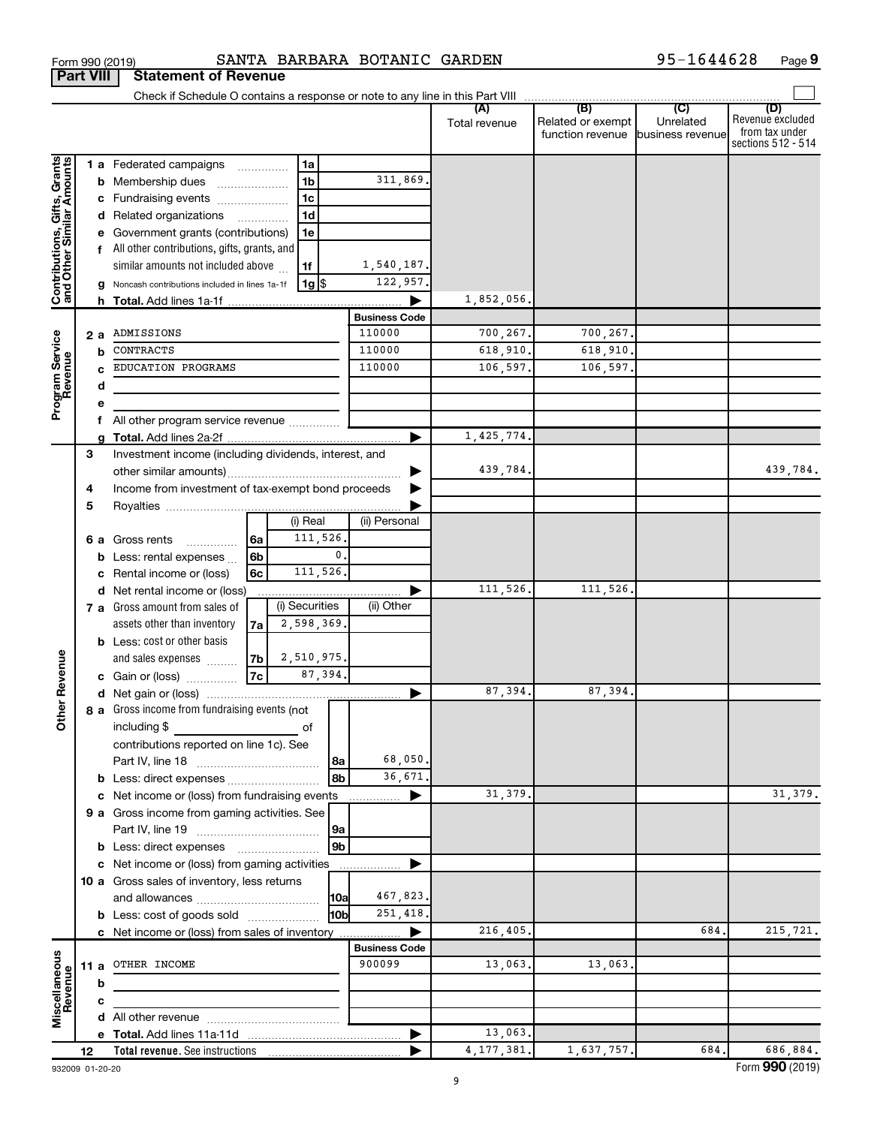| Form 990 (2019)                                           |    |   |                                                                               |    |                    | SANTA BARBARA BOTANIC GARDEN   |               |                                   | 95-1644628       | Page 9                  |
|-----------------------------------------------------------|----|---|-------------------------------------------------------------------------------|----|--------------------|--------------------------------|---------------|-----------------------------------|------------------|-------------------------|
| <b>Part VIII</b>                                          |    |   | <b>Statement of Revenue</b>                                                   |    |                    |                                |               |                                   |                  |                         |
|                                                           |    |   | Check if Schedule O contains a response or note to any line in this Part VIII |    |                    |                                |               |                                   |                  |                         |
|                                                           |    |   |                                                                               |    |                    |                                | (A)           | (B)<br>Related or exempt          | (C)<br>Unrelated | (D)<br>Revenue excluded |
|                                                           |    |   |                                                                               |    |                    |                                | Total revenue | function revenue business revenue |                  | from tax under          |
|                                                           |    |   |                                                                               |    |                    |                                |               |                                   |                  | sections 512 - 514      |
| Contributions, Gifts, Grants<br>and Other Similar Amounts |    |   | 1 a Federated campaigns                                                       |    | 1a                 |                                |               |                                   |                  |                         |
|                                                           |    |   | <b>b</b> Membership dues                                                      |    | 1 <sub>b</sub>     | 311,869.                       |               |                                   |                  |                         |
|                                                           |    |   | c Fundraising events                                                          |    | 1 <sub>c</sub>     |                                |               |                                   |                  |                         |
|                                                           |    |   | d Related organizations                                                       | .  | 1 <sub>d</sub>     |                                |               |                                   |                  |                         |
|                                                           |    |   | e Government grants (contributions)                                           |    | 1e                 |                                |               |                                   |                  |                         |
|                                                           |    |   | f All other contributions, gifts, grants, and                                 |    |                    |                                |               |                                   |                  |                         |
|                                                           |    |   | similar amounts not included above                                            |    | 1f                 | 1,540,187.                     |               |                                   |                  |                         |
|                                                           |    |   | g Noncash contributions included in lines 1a-1f                               |    | $1g$ $\frac{1}{3}$ | 122,957.                       |               |                                   |                  |                         |
|                                                           |    |   |                                                                               |    |                    |                                | 1,852,056.    |                                   |                  |                         |
|                                                           |    |   |                                                                               |    |                    | <b>Business Code</b><br>110000 |               |                                   |                  |                         |
|                                                           |    |   | 2 a ADMISSIONS                                                                |    |                    | 110000                         | 700,267.      | 700,267.                          |                  |                         |
|                                                           |    | b | CONTRACTS                                                                     |    |                    |                                | 618,910.      | 618,910.                          |                  |                         |
| Program Service<br>Revenue                                |    |   | EDUCATION PROGRAMS                                                            |    |                    | 110000                         | 106,597.      | 106,597.                          |                  |                         |
|                                                           |    | d |                                                                               |    |                    |                                |               |                                   |                  |                         |
|                                                           |    | е | f All other program service revenue                                           |    |                    |                                |               |                                   |                  |                         |
|                                                           |    |   |                                                                               |    |                    |                                | 1,425,774.    |                                   |                  |                         |
|                                                           | 3  |   | Investment income (including dividends, interest, and                         |    |                    |                                |               |                                   |                  |                         |
|                                                           |    |   |                                                                               |    |                    |                                | 439,784.      |                                   |                  | 439,784.                |
|                                                           | 4  |   | Income from investment of tax-exempt bond proceeds                            |    |                    |                                |               |                                   |                  |                         |
|                                                           | 5  |   |                                                                               |    |                    |                                |               |                                   |                  |                         |
|                                                           |    |   |                                                                               |    | (i) Real           | (ii) Personal                  |               |                                   |                  |                         |
|                                                           |    |   | 6 a Gross rents<br>$\cdots$                                                   | 6a | 111,526.           |                                |               |                                   |                  |                         |
|                                                           |    |   | <b>b</b> Less: rental expenses $\ldots$                                       | 6b |                    | $\mathbf{0}$ .                 |               |                                   |                  |                         |
|                                                           |    |   | c Rental income or (loss)                                                     | 6с | 111,526.           |                                |               |                                   |                  |                         |
|                                                           |    |   | d Net rental income or (loss)                                                 |    |                    |                                | 111,526.      | 111,526.                          |                  |                         |
|                                                           |    |   | 7 a Gross amount from sales of                                                |    | (i) Securities     | (ii) Other                     |               |                                   |                  |                         |
|                                                           |    |   | assets other than inventory                                                   | 7a | 2,598,369.         |                                |               |                                   |                  |                         |
|                                                           |    |   | <b>b</b> Less: cost or other basis                                            |    |                    |                                |               |                                   |                  |                         |
|                                                           |    |   | and sales expenses                                                            | 7b | 2,510,975.         |                                |               |                                   |                  |                         |
| evenue                                                    |    |   | c Gain or (loss)                                                              | 7c | 87,394.            |                                |               |                                   |                  |                         |
| œ                                                         |    |   |                                                                               |    |                    |                                | 87,394.       | 87,394.                           |                  |                         |
| Other                                                     |    |   | 8 a Gross income from fundraising events (not                                 |    |                    |                                |               |                                   |                  |                         |
|                                                           |    |   | including \$                                                                  |    | of                 |                                |               |                                   |                  |                         |
|                                                           |    |   | contributions reported on line 1c). See                                       |    |                    |                                |               |                                   |                  |                         |
|                                                           |    |   |                                                                               |    | l 8a               | 68,050.                        |               |                                   |                  |                         |
|                                                           |    |   |                                                                               |    | 8b                 | 36,671.                        |               |                                   |                  |                         |
|                                                           |    |   | c Net income or (loss) from fundraising events                                |    |                    |                                | 31,379.       |                                   |                  | 31, 379.                |
|                                                           |    |   | 9 a Gross income from gaming activities. See                                  |    |                    |                                |               |                                   |                  |                         |
|                                                           |    |   |                                                                               |    | 9a                 |                                |               |                                   |                  |                         |
|                                                           |    |   | <b>b</b> Less: direct expenses <b>manually</b>                                |    | 9 <sub>b</sub>     |                                |               |                                   |                  |                         |
|                                                           |    |   | c Net income or (loss) from gaming activities                                 |    |                    |                                |               |                                   |                  |                         |
|                                                           |    |   | 10 a Gross sales of inventory, less returns                                   |    |                    |                                |               |                                   |                  |                         |
|                                                           |    |   |                                                                               |    | 10a                | 467,823.<br>251,418.<br>l10bl  |               |                                   |                  |                         |
|                                                           |    |   | <b>b</b> Less: cost of goods sold                                             |    |                    |                                | 216,405.      |                                   | 684.             | 215,721.                |
|                                                           |    |   | c Net income or (loss) from sales of inventory                                |    |                    | <b>Business Code</b>           |               |                                   |                  |                         |
|                                                           |    |   | 11 a OTHER INCOME                                                             |    |                    | 900099                         | 13,063.       | 13,063.                           |                  |                         |
|                                                           |    | b |                                                                               |    |                    |                                |               |                                   |                  |                         |
|                                                           |    | c |                                                                               |    |                    |                                |               |                                   |                  |                         |
| Miscellaneous<br>Revenue                                  |    |   |                                                                               |    |                    |                                |               |                                   |                  |                         |
|                                                           |    |   |                                                                               |    |                    |                                | 13,063.       |                                   |                  |                         |
|                                                           | 12 |   |                                                                               |    |                    |                                | 4, 177, 381.  | 1,637,757.                        | 684.             | 686,884.                |

**9**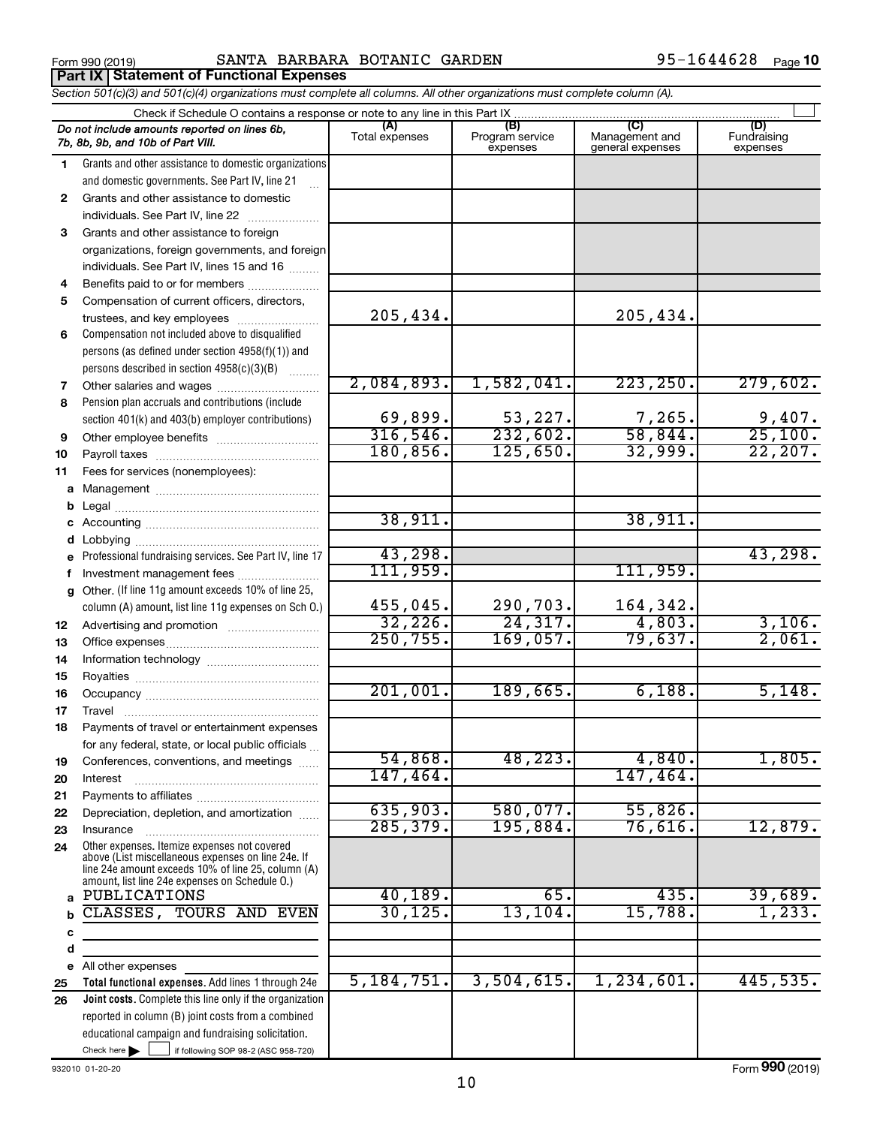Form 990 (2019) Page SANTA BARBARA BOTANIC GARDEN 95-1644628 **Part IX Statement of Functional Expenses**

*Section 501(c)(3) and 501(c)(4) organizations must complete all columns. All other organizations must complete column (A).*

|              | Check if Schedule O contains a response or note to any line in this Part IX                                    |                       |                                    |                                           |                                |  |  |  |  |  |
|--------------|----------------------------------------------------------------------------------------------------------------|-----------------------|------------------------------------|-------------------------------------------|--------------------------------|--|--|--|--|--|
|              | Do not include amounts reported on lines 6b,<br>7b, 8b, 9b, and 10b of Part VIII.                              | (A)<br>Total expenses | (B)<br>Program service<br>expenses | (C)<br>Management and<br>general expenses | (D)<br>Fundraising<br>expenses |  |  |  |  |  |
| 1.           | Grants and other assistance to domestic organizations                                                          |                       |                                    |                                           |                                |  |  |  |  |  |
|              | and domestic governments. See Part IV, line 21                                                                 |                       |                                    |                                           |                                |  |  |  |  |  |
| $\mathbf{2}$ | Grants and other assistance to domestic                                                                        |                       |                                    |                                           |                                |  |  |  |  |  |
|              | individuals. See Part IV, line 22                                                                              |                       |                                    |                                           |                                |  |  |  |  |  |
| 3            | Grants and other assistance to foreign                                                                         |                       |                                    |                                           |                                |  |  |  |  |  |
|              | organizations, foreign governments, and foreign                                                                |                       |                                    |                                           |                                |  |  |  |  |  |
|              | individuals. See Part IV, lines 15 and 16                                                                      |                       |                                    |                                           |                                |  |  |  |  |  |
| 4            | Benefits paid to or for members                                                                                |                       |                                    |                                           |                                |  |  |  |  |  |
| 5            | Compensation of current officers, directors,                                                                   |                       |                                    |                                           |                                |  |  |  |  |  |
|              | trustees, and key employees                                                                                    | 205,434.              |                                    | 205,434.                                  |                                |  |  |  |  |  |
| 6            | Compensation not included above to disqualified                                                                |                       |                                    |                                           |                                |  |  |  |  |  |
|              | persons (as defined under section 4958(f)(1)) and                                                              |                       |                                    |                                           |                                |  |  |  |  |  |
|              | persons described in section 4958(c)(3)(B)                                                                     |                       |                                    |                                           |                                |  |  |  |  |  |
| 7            | Other salaries and wages                                                                                       | 2,084,893.            | 1,582,041.                         | 223, 250.                                 | 279,602.                       |  |  |  |  |  |
| 8            | Pension plan accruals and contributions (include                                                               |                       |                                    |                                           |                                |  |  |  |  |  |
|              | section 401(k) and 403(b) employer contributions)                                                              | 69,899.<br>316,546.   | 53,227.<br>232,602.                | 7,265.<br>58,844.                         | 9,407.<br>25,100.              |  |  |  |  |  |
| 9            |                                                                                                                | 180, 856.             | 125,650.                           | 32,999.                                   | 22, 207.                       |  |  |  |  |  |
| 10           |                                                                                                                |                       |                                    |                                           |                                |  |  |  |  |  |
| 11           | Fees for services (nonemployees):                                                                              |                       |                                    |                                           |                                |  |  |  |  |  |
| a<br>b       |                                                                                                                |                       |                                    |                                           |                                |  |  |  |  |  |
|              |                                                                                                                | 38,911.               |                                    | 38,911.                                   |                                |  |  |  |  |  |
| d            |                                                                                                                |                       |                                    |                                           |                                |  |  |  |  |  |
|              | Professional fundraising services. See Part IV, line 17                                                        | 43,298.               |                                    |                                           | 43,298.                        |  |  |  |  |  |
|              | Investment management fees                                                                                     | 111,959.              |                                    | 111,959.                                  |                                |  |  |  |  |  |
| g            | Other. (If line 11g amount exceeds 10% of line 25,                                                             |                       |                                    |                                           |                                |  |  |  |  |  |
|              | column (A) amount, list line 11g expenses on Sch O.)                                                           | 455,045.              | 290,703.                           | 164,342.                                  |                                |  |  |  |  |  |
| 12           |                                                                                                                | 32,226.               | 24, 317.                           | 4,803.                                    | 3,106.                         |  |  |  |  |  |
| 13           |                                                                                                                | 250, 755.             | 169,057.                           | 79,637.                                   | 2,061.                         |  |  |  |  |  |
| 14           |                                                                                                                |                       |                                    |                                           |                                |  |  |  |  |  |
| 15           |                                                                                                                |                       |                                    |                                           |                                |  |  |  |  |  |
| 16           |                                                                                                                | 201,001.              | 189,665.                           | 6,188.                                    | 5,148.                         |  |  |  |  |  |
| 17           | Travel                                                                                                         |                       |                                    |                                           |                                |  |  |  |  |  |
| 18           | Payments of travel or entertainment expenses                                                                   |                       |                                    |                                           |                                |  |  |  |  |  |
|              | for any federal, state, or local public officials                                                              | 54,868.               | 48,223.                            | 4,840.                                    | 1,805.                         |  |  |  |  |  |
| 19           | Conferences, conventions, and meetings<br>Interest                                                             | 147,464.              |                                    | 147,464.                                  |                                |  |  |  |  |  |
| 20<br>21     |                                                                                                                |                       |                                    |                                           |                                |  |  |  |  |  |
| 22           | Depreciation, depletion, and amortization                                                                      | 635,903.              | 580,077.                           | 55,826                                    |                                |  |  |  |  |  |
| 23           | Insurance                                                                                                      | 285, 379.             | 195,884.                           | 76,616                                    | 12,879.                        |  |  |  |  |  |
| 24           | Other expenses. Itemize expenses not covered                                                                   |                       |                                    |                                           |                                |  |  |  |  |  |
|              | above (List miscellaneous expenses on line 24e. If<br>line 24e amount exceeds 10% of line 25, column (A)       |                       |                                    |                                           |                                |  |  |  |  |  |
|              | amount, list line 24e expenses on Schedule O.)                                                                 |                       |                                    |                                           |                                |  |  |  |  |  |
| a            | PUBLICATIONS                                                                                                   | 40, 189.              | 65.                                | 435.                                      | 39,689.                        |  |  |  |  |  |
| b            | CLASSES, TOURS AND EVEN                                                                                        | 30, 125.              | 13, 104.                           | 15,788                                    | 1, 233.                        |  |  |  |  |  |
| c            |                                                                                                                |                       |                                    |                                           |                                |  |  |  |  |  |
| d            |                                                                                                                |                       |                                    |                                           |                                |  |  |  |  |  |
|              | e All other expenses                                                                                           | 5, 184, 751.          | 3,504,615.                         | 1,234,601.                                | 445,535.                       |  |  |  |  |  |
| 25           | Total functional expenses. Add lines 1 through 24e                                                             |                       |                                    |                                           |                                |  |  |  |  |  |
| 26           | Joint costs. Complete this line only if the organization<br>reported in column (B) joint costs from a combined |                       |                                    |                                           |                                |  |  |  |  |  |
|              | educational campaign and fundraising solicitation.                                                             |                       |                                    |                                           |                                |  |  |  |  |  |
|              | Check here $\blacktriangleright$<br>if following SOP 98-2 (ASC 958-720)                                        |                       |                                    |                                           |                                |  |  |  |  |  |

932010 01-20-20

Form (2019) **990**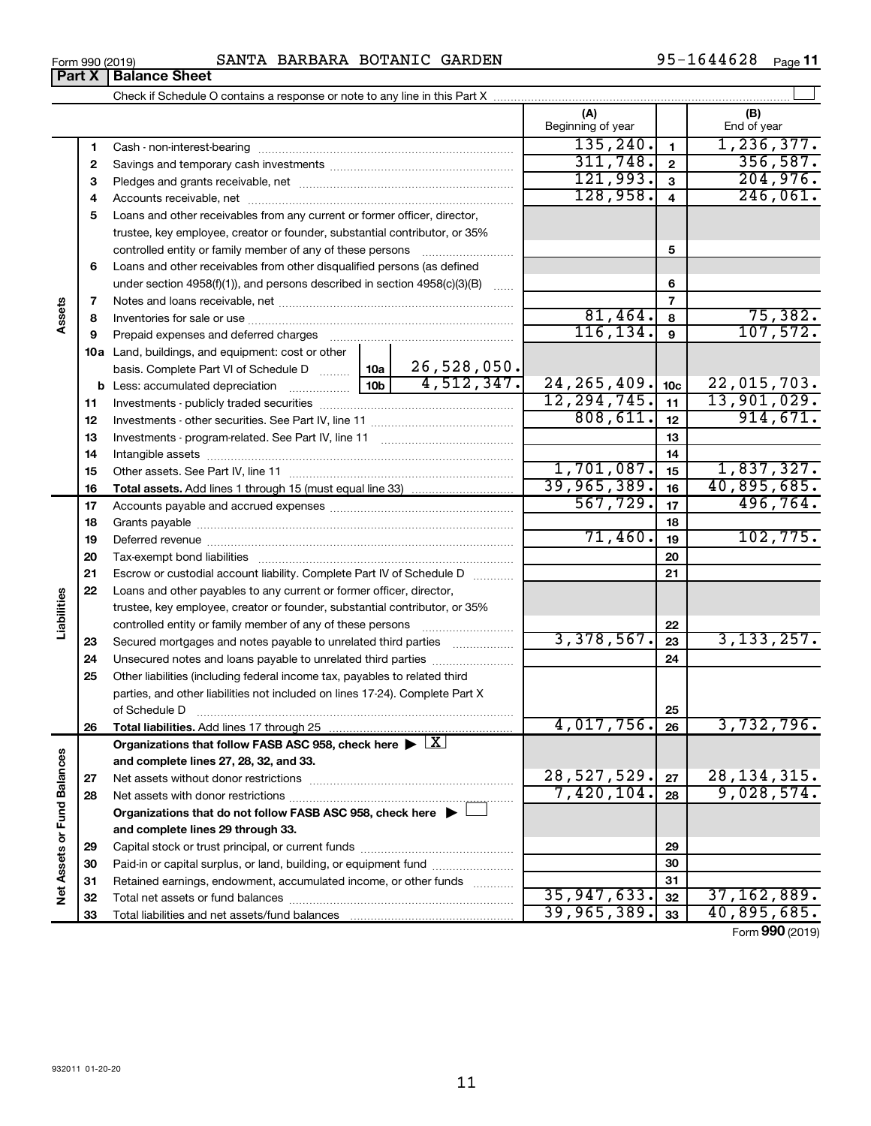$\overline{\phantom{0}}$ 

### Form 990 (2019) Page SANTA BARBARA BOTANIC GARDEN 95-1644628

95-1644628 Page 11

| (A)<br>(B)<br>Beginning of year<br>End of year<br>135, 240.<br>1, 236, 377.<br>1<br>1<br>311,748.<br>$\mathbf{2}$<br>2<br>121,993.<br>204,976.<br>3<br>З<br>128,958.<br>$\overline{4}$<br>4<br>Loans and other receivables from any current or former officer, director,<br>5<br>trustee, key employee, creator or founder, substantial contributor, or 35%<br>5<br>controlled entity or family member of any of these persons<br>Loans and other receivables from other disqualified persons (as defined<br>6<br>under section $4958(f)(1)$ , and persons described in section $4958(c)(3)(B)$<br>6<br>$\overline{7}$<br>Assets<br>7<br>81,464.<br>8<br>8<br>116, 134.<br>9<br>Prepaid expenses and deferred charges<br>9<br>10a Land, buildings, and equipment: cost or other<br>26,528,050.<br>basis. Complete Part VI of Schedule D  10a<br>4,512,347.<br>24, 265, 409.<br>10 <sub>c</sub><br>12, 294, 745.<br>11<br>11<br>808, 611.<br>12<br>12<br>13<br>13<br>14<br>14<br>1,701,087.<br>15<br>15<br>39,965,389.<br>40,895,685.<br>16<br>16<br>567,729.<br>17<br>17<br>18<br>18<br>71,460.<br>19<br>19<br>20<br>20<br>21<br>21<br>Escrow or custodial account liability. Complete Part IV of Schedule D<br>22<br>Loans and other payables to any current or former officer, director,<br>Liabilities<br>trustee, key employee, creator or founder, substantial contributor, or 35%<br>22<br>controlled entity or family member of any of these persons<br><u> 1986 - Johann Stoff, Amerikaansk politiker (</u><br>3,378,567.<br>23<br>Secured mortgages and notes payable to unrelated third parties<br>23<br>24<br>24<br>Unsecured notes and loans payable to unrelated third parties<br>25<br>Other liabilities (including federal income tax, payables to related third<br>parties, and other liabilities not included on lines 17-24). Complete Part X<br>25<br>of Schedule D<br>4,017,756.<br>26<br>26<br>Total liabilities. Add lines 17 through 25<br>Organizations that follow FASB ASC 958, check here $\blacktriangleright \lfloor \underline{X} \rfloor$<br>Net Assets or Fund Balances<br>and complete lines 27, 28, 32, and 33.<br>28,527,529.<br>27<br>27<br>9,028,574.<br>7,420,104.<br>28<br>28<br>Organizations that do not follow FASB ASC 958, check here $\blacktriangleright$<br>and complete lines 29 through 33.<br>29<br>29<br>Paid-in or capital surplus, or land, building, or equipment fund<br>30<br>30<br>Retained earnings, endowment, accumulated income, or other funds<br>31<br>31<br>35,947,633.<br>32<br>32<br>39,965,389.<br>33<br>33 |  |  |  |           |  |               |
|--------------------------------------------------------------------------------------------------------------------------------------------------------------------------------------------------------------------------------------------------------------------------------------------------------------------------------------------------------------------------------------------------------------------------------------------------------------------------------------------------------------------------------------------------------------------------------------------------------------------------------------------------------------------------------------------------------------------------------------------------------------------------------------------------------------------------------------------------------------------------------------------------------------------------------------------------------------------------------------------------------------------------------------------------------------------------------------------------------------------------------------------------------------------------------------------------------------------------------------------------------------------------------------------------------------------------------------------------------------------------------------------------------------------------------------------------------------------------------------------------------------------------------------------------------------------------------------------------------------------------------------------------------------------------------------------------------------------------------------------------------------------------------------------------------------------------------------------------------------------------------------------------------------------------------------------------------------------------------------------------------------------------------------------------------------------------------------------------------------------------------------------------------------------------------------------------------------------------------------------------------------------------------------------------------------------------------------------------------------------------------------------------------------------------------------------------------------------------------------------------------------------------------------------------------------------------------|--|--|--|-----------|--|---------------|
|                                                                                                                                                                                                                                                                                                                                                                                                                                                                                                                                                                                                                                                                                                                                                                                                                                                                                                                                                                                                                                                                                                                                                                                                                                                                                                                                                                                                                                                                                                                                                                                                                                                                                                                                                                                                                                                                                                                                                                                                                                                                                                                                                                                                                                                                                                                                                                                                                                                                                                                                                                                |  |  |  |           |  |               |
|                                                                                                                                                                                                                                                                                                                                                                                                                                                                                                                                                                                                                                                                                                                                                                                                                                                                                                                                                                                                                                                                                                                                                                                                                                                                                                                                                                                                                                                                                                                                                                                                                                                                                                                                                                                                                                                                                                                                                                                                                                                                                                                                                                                                                                                                                                                                                                                                                                                                                                                                                                                |  |  |  |           |  |               |
|                                                                                                                                                                                                                                                                                                                                                                                                                                                                                                                                                                                                                                                                                                                                                                                                                                                                                                                                                                                                                                                                                                                                                                                                                                                                                                                                                                                                                                                                                                                                                                                                                                                                                                                                                                                                                                                                                                                                                                                                                                                                                                                                                                                                                                                                                                                                                                                                                                                                                                                                                                                |  |  |  |           |  |               |
|                                                                                                                                                                                                                                                                                                                                                                                                                                                                                                                                                                                                                                                                                                                                                                                                                                                                                                                                                                                                                                                                                                                                                                                                                                                                                                                                                                                                                                                                                                                                                                                                                                                                                                                                                                                                                                                                                                                                                                                                                                                                                                                                                                                                                                                                                                                                                                                                                                                                                                                                                                                |  |  |  |           |  | 356,587.      |
|                                                                                                                                                                                                                                                                                                                                                                                                                                                                                                                                                                                                                                                                                                                                                                                                                                                                                                                                                                                                                                                                                                                                                                                                                                                                                                                                                                                                                                                                                                                                                                                                                                                                                                                                                                                                                                                                                                                                                                                                                                                                                                                                                                                                                                                                                                                                                                                                                                                                                                                                                                                |  |  |  |           |  |               |
|                                                                                                                                                                                                                                                                                                                                                                                                                                                                                                                                                                                                                                                                                                                                                                                                                                                                                                                                                                                                                                                                                                                                                                                                                                                                                                                                                                                                                                                                                                                                                                                                                                                                                                                                                                                                                                                                                                                                                                                                                                                                                                                                                                                                                                                                                                                                                                                                                                                                                                                                                                                |  |  |  |           |  | 246,061.      |
|                                                                                                                                                                                                                                                                                                                                                                                                                                                                                                                                                                                                                                                                                                                                                                                                                                                                                                                                                                                                                                                                                                                                                                                                                                                                                                                                                                                                                                                                                                                                                                                                                                                                                                                                                                                                                                                                                                                                                                                                                                                                                                                                                                                                                                                                                                                                                                                                                                                                                                                                                                                |  |  |  |           |  |               |
|                                                                                                                                                                                                                                                                                                                                                                                                                                                                                                                                                                                                                                                                                                                                                                                                                                                                                                                                                                                                                                                                                                                                                                                                                                                                                                                                                                                                                                                                                                                                                                                                                                                                                                                                                                                                                                                                                                                                                                                                                                                                                                                                                                                                                                                                                                                                                                                                                                                                                                                                                                                |  |  |  |           |  |               |
|                                                                                                                                                                                                                                                                                                                                                                                                                                                                                                                                                                                                                                                                                                                                                                                                                                                                                                                                                                                                                                                                                                                                                                                                                                                                                                                                                                                                                                                                                                                                                                                                                                                                                                                                                                                                                                                                                                                                                                                                                                                                                                                                                                                                                                                                                                                                                                                                                                                                                                                                                                                |  |  |  |           |  |               |
|                                                                                                                                                                                                                                                                                                                                                                                                                                                                                                                                                                                                                                                                                                                                                                                                                                                                                                                                                                                                                                                                                                                                                                                                                                                                                                                                                                                                                                                                                                                                                                                                                                                                                                                                                                                                                                                                                                                                                                                                                                                                                                                                                                                                                                                                                                                                                                                                                                                                                                                                                                                |  |  |  |           |  |               |
|                                                                                                                                                                                                                                                                                                                                                                                                                                                                                                                                                                                                                                                                                                                                                                                                                                                                                                                                                                                                                                                                                                                                                                                                                                                                                                                                                                                                                                                                                                                                                                                                                                                                                                                                                                                                                                                                                                                                                                                                                                                                                                                                                                                                                                                                                                                                                                                                                                                                                                                                                                                |  |  |  |           |  |               |
|                                                                                                                                                                                                                                                                                                                                                                                                                                                                                                                                                                                                                                                                                                                                                                                                                                                                                                                                                                                                                                                                                                                                                                                                                                                                                                                                                                                                                                                                                                                                                                                                                                                                                                                                                                                                                                                                                                                                                                                                                                                                                                                                                                                                                                                                                                                                                                                                                                                                                                                                                                                |  |  |  |           |  |               |
|                                                                                                                                                                                                                                                                                                                                                                                                                                                                                                                                                                                                                                                                                                                                                                                                                                                                                                                                                                                                                                                                                                                                                                                                                                                                                                                                                                                                                                                                                                                                                                                                                                                                                                                                                                                                                                                                                                                                                                                                                                                                                                                                                                                                                                                                                                                                                                                                                                                                                                                                                                                |  |  |  |           |  | 75,382.       |
|                                                                                                                                                                                                                                                                                                                                                                                                                                                                                                                                                                                                                                                                                                                                                                                                                                                                                                                                                                                                                                                                                                                                                                                                                                                                                                                                                                                                                                                                                                                                                                                                                                                                                                                                                                                                                                                                                                                                                                                                                                                                                                                                                                                                                                                                                                                                                                                                                                                                                                                                                                                |  |  |  |           |  | 107,572.      |
|                                                                                                                                                                                                                                                                                                                                                                                                                                                                                                                                                                                                                                                                                                                                                                                                                                                                                                                                                                                                                                                                                                                                                                                                                                                                                                                                                                                                                                                                                                                                                                                                                                                                                                                                                                                                                                                                                                                                                                                                                                                                                                                                                                                                                                                                                                                                                                                                                                                                                                                                                                                |  |  |  |           |  |               |
|                                                                                                                                                                                                                                                                                                                                                                                                                                                                                                                                                                                                                                                                                                                                                                                                                                                                                                                                                                                                                                                                                                                                                                                                                                                                                                                                                                                                                                                                                                                                                                                                                                                                                                                                                                                                                                                                                                                                                                                                                                                                                                                                                                                                                                                                                                                                                                                                                                                                                                                                                                                |  |  |  |           |  |               |
|                                                                                                                                                                                                                                                                                                                                                                                                                                                                                                                                                                                                                                                                                                                                                                                                                                                                                                                                                                                                                                                                                                                                                                                                                                                                                                                                                                                                                                                                                                                                                                                                                                                                                                                                                                                                                                                                                                                                                                                                                                                                                                                                                                                                                                                                                                                                                                                                                                                                                                                                                                                |  |  |  |           |  | 22,015,703.   |
|                                                                                                                                                                                                                                                                                                                                                                                                                                                                                                                                                                                                                                                                                                                                                                                                                                                                                                                                                                                                                                                                                                                                                                                                                                                                                                                                                                                                                                                                                                                                                                                                                                                                                                                                                                                                                                                                                                                                                                                                                                                                                                                                                                                                                                                                                                                                                                                                                                                                                                                                                                                |  |  |  |           |  | 13,901,029.   |
|                                                                                                                                                                                                                                                                                                                                                                                                                                                                                                                                                                                                                                                                                                                                                                                                                                                                                                                                                                                                                                                                                                                                                                                                                                                                                                                                                                                                                                                                                                                                                                                                                                                                                                                                                                                                                                                                                                                                                                                                                                                                                                                                                                                                                                                                                                                                                                                                                                                                                                                                                                                |  |  |  |           |  | 914,671.      |
|                                                                                                                                                                                                                                                                                                                                                                                                                                                                                                                                                                                                                                                                                                                                                                                                                                                                                                                                                                                                                                                                                                                                                                                                                                                                                                                                                                                                                                                                                                                                                                                                                                                                                                                                                                                                                                                                                                                                                                                                                                                                                                                                                                                                                                                                                                                                                                                                                                                                                                                                                                                |  |  |  |           |  |               |
|                                                                                                                                                                                                                                                                                                                                                                                                                                                                                                                                                                                                                                                                                                                                                                                                                                                                                                                                                                                                                                                                                                                                                                                                                                                                                                                                                                                                                                                                                                                                                                                                                                                                                                                                                                                                                                                                                                                                                                                                                                                                                                                                                                                                                                                                                                                                                                                                                                                                                                                                                                                |  |  |  |           |  |               |
|                                                                                                                                                                                                                                                                                                                                                                                                                                                                                                                                                                                                                                                                                                                                                                                                                                                                                                                                                                                                                                                                                                                                                                                                                                                                                                                                                                                                                                                                                                                                                                                                                                                                                                                                                                                                                                                                                                                                                                                                                                                                                                                                                                                                                                                                                                                                                                                                                                                                                                                                                                                |  |  |  |           |  | 1,837,327.    |
|                                                                                                                                                                                                                                                                                                                                                                                                                                                                                                                                                                                                                                                                                                                                                                                                                                                                                                                                                                                                                                                                                                                                                                                                                                                                                                                                                                                                                                                                                                                                                                                                                                                                                                                                                                                                                                                                                                                                                                                                                                                                                                                                                                                                                                                                                                                                                                                                                                                                                                                                                                                |  |  |  |           |  |               |
|                                                                                                                                                                                                                                                                                                                                                                                                                                                                                                                                                                                                                                                                                                                                                                                                                                                                                                                                                                                                                                                                                                                                                                                                                                                                                                                                                                                                                                                                                                                                                                                                                                                                                                                                                                                                                                                                                                                                                                                                                                                                                                                                                                                                                                                                                                                                                                                                                                                                                                                                                                                |  |  |  |           |  | 496,764.      |
|                                                                                                                                                                                                                                                                                                                                                                                                                                                                                                                                                                                                                                                                                                                                                                                                                                                                                                                                                                                                                                                                                                                                                                                                                                                                                                                                                                                                                                                                                                                                                                                                                                                                                                                                                                                                                                                                                                                                                                                                                                                                                                                                                                                                                                                                                                                                                                                                                                                                                                                                                                                |  |  |  |           |  |               |
|                                                                                                                                                                                                                                                                                                                                                                                                                                                                                                                                                                                                                                                                                                                                                                                                                                                                                                                                                                                                                                                                                                                                                                                                                                                                                                                                                                                                                                                                                                                                                                                                                                                                                                                                                                                                                                                                                                                                                                                                                                                                                                                                                                                                                                                                                                                                                                                                                                                                                                                                                                                |  |  |  | 102, 775. |  |               |
|                                                                                                                                                                                                                                                                                                                                                                                                                                                                                                                                                                                                                                                                                                                                                                                                                                                                                                                                                                                                                                                                                                                                                                                                                                                                                                                                                                                                                                                                                                                                                                                                                                                                                                                                                                                                                                                                                                                                                                                                                                                                                                                                                                                                                                                                                                                                                                                                                                                                                                                                                                                |  |  |  |           |  |               |
|                                                                                                                                                                                                                                                                                                                                                                                                                                                                                                                                                                                                                                                                                                                                                                                                                                                                                                                                                                                                                                                                                                                                                                                                                                                                                                                                                                                                                                                                                                                                                                                                                                                                                                                                                                                                                                                                                                                                                                                                                                                                                                                                                                                                                                                                                                                                                                                                                                                                                                                                                                                |  |  |  |           |  |               |
|                                                                                                                                                                                                                                                                                                                                                                                                                                                                                                                                                                                                                                                                                                                                                                                                                                                                                                                                                                                                                                                                                                                                                                                                                                                                                                                                                                                                                                                                                                                                                                                                                                                                                                                                                                                                                                                                                                                                                                                                                                                                                                                                                                                                                                                                                                                                                                                                                                                                                                                                                                                |  |  |  |           |  |               |
|                                                                                                                                                                                                                                                                                                                                                                                                                                                                                                                                                                                                                                                                                                                                                                                                                                                                                                                                                                                                                                                                                                                                                                                                                                                                                                                                                                                                                                                                                                                                                                                                                                                                                                                                                                                                                                                                                                                                                                                                                                                                                                                                                                                                                                                                                                                                                                                                                                                                                                                                                                                |  |  |  |           |  |               |
|                                                                                                                                                                                                                                                                                                                                                                                                                                                                                                                                                                                                                                                                                                                                                                                                                                                                                                                                                                                                                                                                                                                                                                                                                                                                                                                                                                                                                                                                                                                                                                                                                                                                                                                                                                                                                                                                                                                                                                                                                                                                                                                                                                                                                                                                                                                                                                                                                                                                                                                                                                                |  |  |  |           |  |               |
|                                                                                                                                                                                                                                                                                                                                                                                                                                                                                                                                                                                                                                                                                                                                                                                                                                                                                                                                                                                                                                                                                                                                                                                                                                                                                                                                                                                                                                                                                                                                                                                                                                                                                                                                                                                                                                                                                                                                                                                                                                                                                                                                                                                                                                                                                                                                                                                                                                                                                                                                                                                |  |  |  |           |  | 3, 133, 257.  |
|                                                                                                                                                                                                                                                                                                                                                                                                                                                                                                                                                                                                                                                                                                                                                                                                                                                                                                                                                                                                                                                                                                                                                                                                                                                                                                                                                                                                                                                                                                                                                                                                                                                                                                                                                                                                                                                                                                                                                                                                                                                                                                                                                                                                                                                                                                                                                                                                                                                                                                                                                                                |  |  |  |           |  |               |
|                                                                                                                                                                                                                                                                                                                                                                                                                                                                                                                                                                                                                                                                                                                                                                                                                                                                                                                                                                                                                                                                                                                                                                                                                                                                                                                                                                                                                                                                                                                                                                                                                                                                                                                                                                                                                                                                                                                                                                                                                                                                                                                                                                                                                                                                                                                                                                                                                                                                                                                                                                                |  |  |  |           |  |               |
|                                                                                                                                                                                                                                                                                                                                                                                                                                                                                                                                                                                                                                                                                                                                                                                                                                                                                                                                                                                                                                                                                                                                                                                                                                                                                                                                                                                                                                                                                                                                                                                                                                                                                                                                                                                                                                                                                                                                                                                                                                                                                                                                                                                                                                                                                                                                                                                                                                                                                                                                                                                |  |  |  |           |  |               |
|                                                                                                                                                                                                                                                                                                                                                                                                                                                                                                                                                                                                                                                                                                                                                                                                                                                                                                                                                                                                                                                                                                                                                                                                                                                                                                                                                                                                                                                                                                                                                                                                                                                                                                                                                                                                                                                                                                                                                                                                                                                                                                                                                                                                                                                                                                                                                                                                                                                                                                                                                                                |  |  |  |           |  |               |
|                                                                                                                                                                                                                                                                                                                                                                                                                                                                                                                                                                                                                                                                                                                                                                                                                                                                                                                                                                                                                                                                                                                                                                                                                                                                                                                                                                                                                                                                                                                                                                                                                                                                                                                                                                                                                                                                                                                                                                                                                                                                                                                                                                                                                                                                                                                                                                                                                                                                                                                                                                                |  |  |  |           |  | 3,732,796.    |
|                                                                                                                                                                                                                                                                                                                                                                                                                                                                                                                                                                                                                                                                                                                                                                                                                                                                                                                                                                                                                                                                                                                                                                                                                                                                                                                                                                                                                                                                                                                                                                                                                                                                                                                                                                                                                                                                                                                                                                                                                                                                                                                                                                                                                                                                                                                                                                                                                                                                                                                                                                                |  |  |  |           |  |               |
|                                                                                                                                                                                                                                                                                                                                                                                                                                                                                                                                                                                                                                                                                                                                                                                                                                                                                                                                                                                                                                                                                                                                                                                                                                                                                                                                                                                                                                                                                                                                                                                                                                                                                                                                                                                                                                                                                                                                                                                                                                                                                                                                                                                                                                                                                                                                                                                                                                                                                                                                                                                |  |  |  |           |  |               |
|                                                                                                                                                                                                                                                                                                                                                                                                                                                                                                                                                                                                                                                                                                                                                                                                                                                                                                                                                                                                                                                                                                                                                                                                                                                                                                                                                                                                                                                                                                                                                                                                                                                                                                                                                                                                                                                                                                                                                                                                                                                                                                                                                                                                                                                                                                                                                                                                                                                                                                                                                                                |  |  |  |           |  | 28, 134, 315. |
|                                                                                                                                                                                                                                                                                                                                                                                                                                                                                                                                                                                                                                                                                                                                                                                                                                                                                                                                                                                                                                                                                                                                                                                                                                                                                                                                                                                                                                                                                                                                                                                                                                                                                                                                                                                                                                                                                                                                                                                                                                                                                                                                                                                                                                                                                                                                                                                                                                                                                                                                                                                |  |  |  |           |  |               |
|                                                                                                                                                                                                                                                                                                                                                                                                                                                                                                                                                                                                                                                                                                                                                                                                                                                                                                                                                                                                                                                                                                                                                                                                                                                                                                                                                                                                                                                                                                                                                                                                                                                                                                                                                                                                                                                                                                                                                                                                                                                                                                                                                                                                                                                                                                                                                                                                                                                                                                                                                                                |  |  |  |           |  |               |
|                                                                                                                                                                                                                                                                                                                                                                                                                                                                                                                                                                                                                                                                                                                                                                                                                                                                                                                                                                                                                                                                                                                                                                                                                                                                                                                                                                                                                                                                                                                                                                                                                                                                                                                                                                                                                                                                                                                                                                                                                                                                                                                                                                                                                                                                                                                                                                                                                                                                                                                                                                                |  |  |  |           |  |               |
|                                                                                                                                                                                                                                                                                                                                                                                                                                                                                                                                                                                                                                                                                                                                                                                                                                                                                                                                                                                                                                                                                                                                                                                                                                                                                                                                                                                                                                                                                                                                                                                                                                                                                                                                                                                                                                                                                                                                                                                                                                                                                                                                                                                                                                                                                                                                                                                                                                                                                                                                                                                |  |  |  |           |  |               |
|                                                                                                                                                                                                                                                                                                                                                                                                                                                                                                                                                                                                                                                                                                                                                                                                                                                                                                                                                                                                                                                                                                                                                                                                                                                                                                                                                                                                                                                                                                                                                                                                                                                                                                                                                                                                                                                                                                                                                                                                                                                                                                                                                                                                                                                                                                                                                                                                                                                                                                                                                                                |  |  |  |           |  |               |
|                                                                                                                                                                                                                                                                                                                                                                                                                                                                                                                                                                                                                                                                                                                                                                                                                                                                                                                                                                                                                                                                                                                                                                                                                                                                                                                                                                                                                                                                                                                                                                                                                                                                                                                                                                                                                                                                                                                                                                                                                                                                                                                                                                                                                                                                                                                                                                                                                                                                                                                                                                                |  |  |  |           |  |               |
|                                                                                                                                                                                                                                                                                                                                                                                                                                                                                                                                                                                                                                                                                                                                                                                                                                                                                                                                                                                                                                                                                                                                                                                                                                                                                                                                                                                                                                                                                                                                                                                                                                                                                                                                                                                                                                                                                                                                                                                                                                                                                                                                                                                                                                                                                                                                                                                                                                                                                                                                                                                |  |  |  |           |  | 37,162,889.   |
|                                                                                                                                                                                                                                                                                                                                                                                                                                                                                                                                                                                                                                                                                                                                                                                                                                                                                                                                                                                                                                                                                                                                                                                                                                                                                                                                                                                                                                                                                                                                                                                                                                                                                                                                                                                                                                                                                                                                                                                                                                                                                                                                                                                                                                                                                                                                                                                                                                                                                                                                                                                |  |  |  |           |  | 40,895,685.   |

Form (2019) **990**

**Part X Balance Sheet**<br>**Part X Balance Sheet**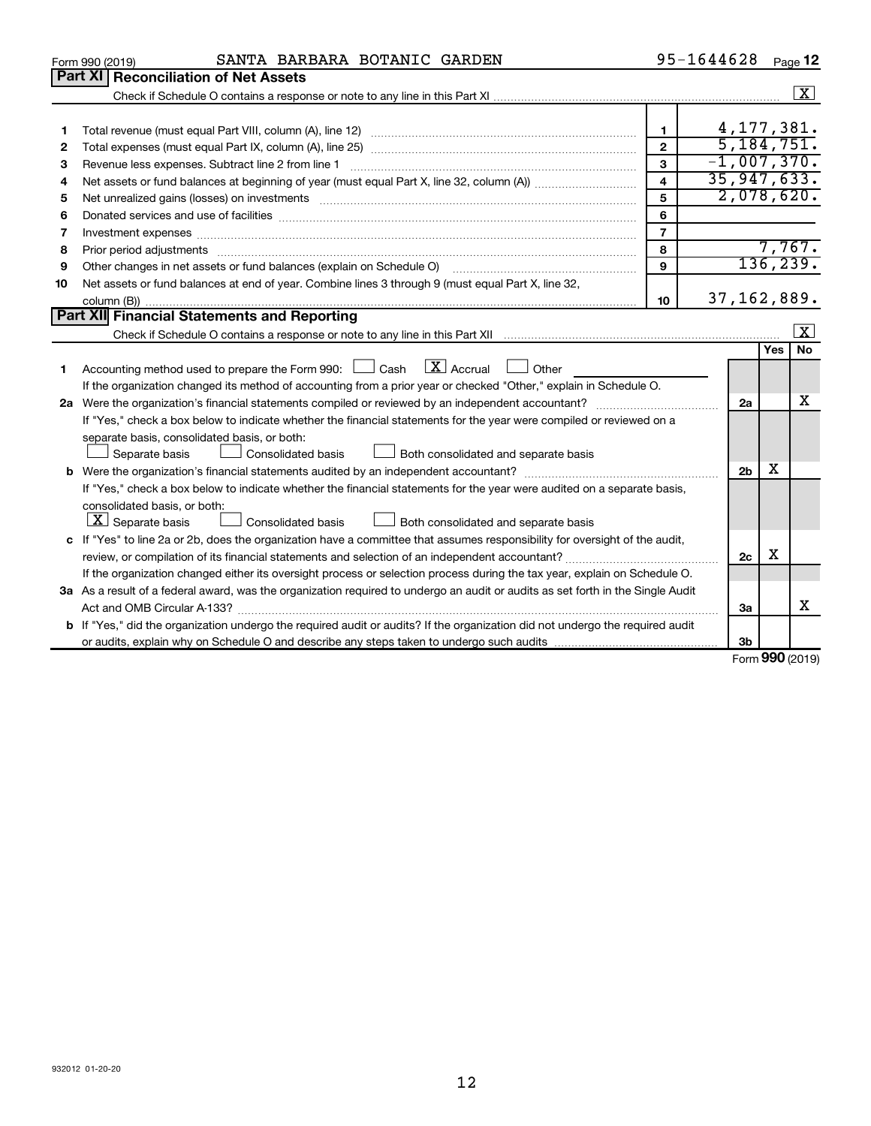|    | SANTA BARBARA BOTANIC GARDEN<br>Form 990 (2019)                                                                                      |                | 95-1644628     |                   | Page 12              |  |  |  |  |
|----|--------------------------------------------------------------------------------------------------------------------------------------|----------------|----------------|-------------------|----------------------|--|--|--|--|
|    | Part XI<br><b>Reconciliation of Net Assets</b>                                                                                       |                |                |                   |                      |  |  |  |  |
|    |                                                                                                                                      |                |                |                   | $\boxed{\textbf{X}}$ |  |  |  |  |
|    |                                                                                                                                      |                |                |                   |                      |  |  |  |  |
| 1  |                                                                                                                                      | $\mathbf{1}$   | 4, 177, 381.   |                   |                      |  |  |  |  |
| 2  |                                                                                                                                      | $\mathbf{2}$   | 5,184,751.     |                   |                      |  |  |  |  |
| З  | $-1,007,370.$<br>3<br>Revenue less expenses. Subtract line 2 from line 1                                                             |                |                |                   |                      |  |  |  |  |
| 4  | 35, 947, 633.<br>$\overline{4}$                                                                                                      |                |                |                   |                      |  |  |  |  |
| 5  |                                                                                                                                      | 5              | 2,078,620.     |                   |                      |  |  |  |  |
| 6  |                                                                                                                                      | 6              |                |                   |                      |  |  |  |  |
| 7  |                                                                                                                                      | $\overline{7}$ |                |                   |                      |  |  |  |  |
| 8  |                                                                                                                                      | 8              |                |                   | 7,767.               |  |  |  |  |
| 9  | Other changes in net assets or fund balances (explain on Schedule O)                                                                 | $\mathbf{9}$   |                |                   | 136, 239.            |  |  |  |  |
| 10 | Net assets or fund balances at end of year. Combine lines 3 through 9 (must equal Part X, line 32,                                   |                |                |                   |                      |  |  |  |  |
|    |                                                                                                                                      | 10             | 37, 162, 889.  |                   |                      |  |  |  |  |
|    | Part XII Financial Statements and Reporting                                                                                          |                |                |                   |                      |  |  |  |  |
|    |                                                                                                                                      |                |                |                   | $\mathbf{x}$         |  |  |  |  |
|    |                                                                                                                                      |                |                | Yes               | <b>No</b>            |  |  |  |  |
| 1  | $\lfloor \mathbf{X} \rfloor$ Accrual<br>Accounting method used to prepare the Form 990: [130] Cash<br>Other                          |                |                |                   |                      |  |  |  |  |
|    | If the organization changed its method of accounting from a prior year or checked "Other," explain in Schedule O.                    |                |                |                   |                      |  |  |  |  |
|    |                                                                                                                                      |                | 2a             |                   | x                    |  |  |  |  |
|    | If "Yes," check a box below to indicate whether the financial statements for the year were compiled or reviewed on a                 |                |                |                   |                      |  |  |  |  |
|    | separate basis, consolidated basis, or both:                                                                                         |                |                |                   |                      |  |  |  |  |
|    | Separate basis<br><b>Consolidated basis</b><br>Both consolidated and separate basis                                                  |                |                |                   |                      |  |  |  |  |
|    |                                                                                                                                      |                | 2 <sub>b</sub> | х                 |                      |  |  |  |  |
|    | If "Yes," check a box below to indicate whether the financial statements for the year were audited on a separate basis,              |                |                |                   |                      |  |  |  |  |
|    | consolidated basis, or both:                                                                                                         |                |                |                   |                      |  |  |  |  |
|    | $ \mathbf{X} $ Separate basis<br><b>Consolidated basis</b><br>Both consolidated and separate basis                                   |                |                |                   |                      |  |  |  |  |
|    | c If "Yes" to line 2a or 2b, does the organization have a committee that assumes responsibility for oversight of the audit,          |                |                |                   |                      |  |  |  |  |
|    | review, or compilation of its financial statements and selection of an independent accountant?                                       |                | 2c             | х                 |                      |  |  |  |  |
|    | If the organization changed either its oversight process or selection process during the tax year, explain on Schedule O.            |                |                |                   |                      |  |  |  |  |
|    | 3a As a result of a federal award, was the organization required to undergo an audit or audits as set forth in the Single Audit      |                |                |                   |                      |  |  |  |  |
|    |                                                                                                                                      |                | За             |                   | x                    |  |  |  |  |
|    | <b>b</b> If "Yes," did the organization undergo the required audit or audits? If the organization did not undergo the required audit |                |                |                   |                      |  |  |  |  |
|    |                                                                                                                                      |                | Зb             |                   |                      |  |  |  |  |
|    |                                                                                                                                      |                |                | $000 \text{ mas}$ |                      |  |  |  |  |

Form (2019) **990**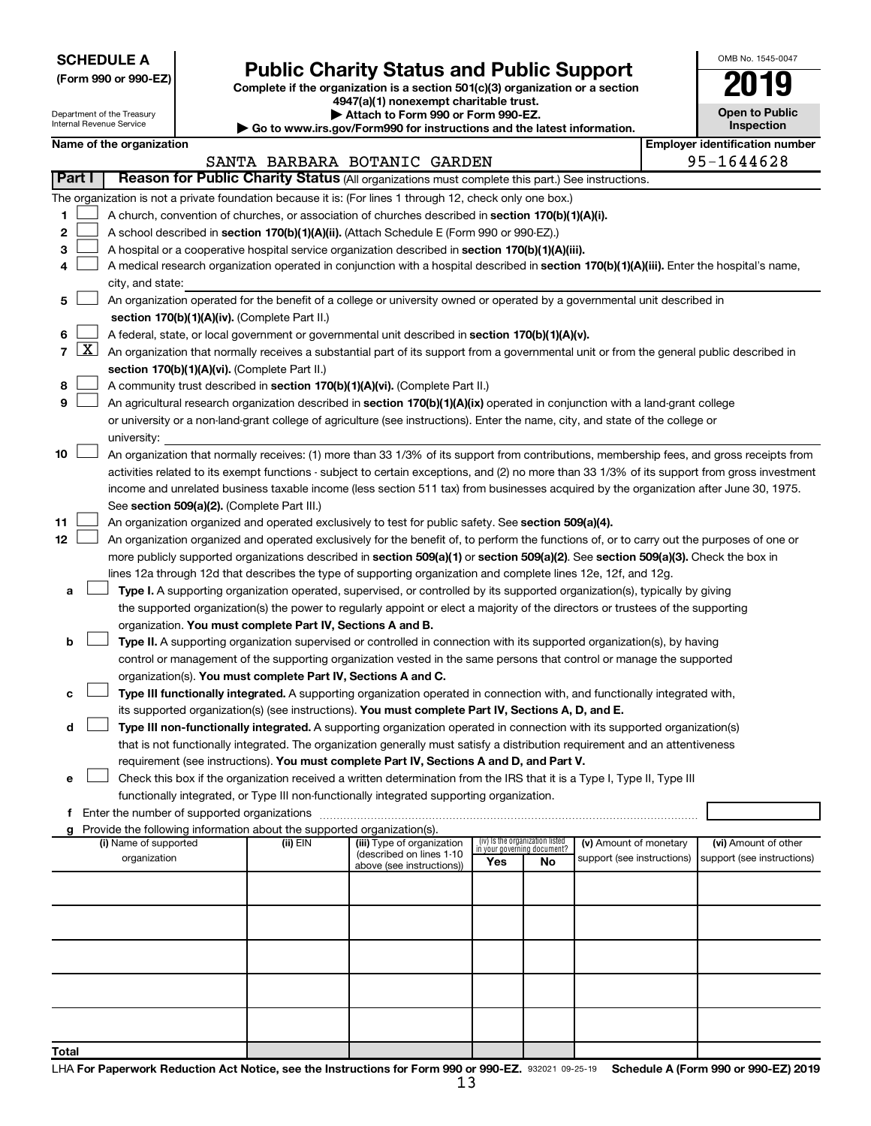**SCHEDULE A**

Department of the Treasury Internal Revenue Service

# Form 990 or 990-EZ)<br>
Complete if the organization is a section 501(c)(3) organization or a section<br> **Public Charity Status and Public Support**

**4947(a)(1) nonexempt charitable trust. | Attach to Form 990 or Form 990-EZ.** 

**| Go to www.irs.gov/Form990 for instructions and the latest information.**

| OMB No. 1545-0047                   |
|-------------------------------------|
| <b>7019</b>                         |
| <b>Open to Public</b><br>Inspection |

| Name of the organization |  |
|--------------------------|--|
|--------------------------|--|

|        | Name of the organization                                                                                                                                                                                                                              |          |                                                       |                                                                |    |                            | <b>Employer identification number</b> |
|--------|-------------------------------------------------------------------------------------------------------------------------------------------------------------------------------------------------------------------------------------------------------|----------|-------------------------------------------------------|----------------------------------------------------------------|----|----------------------------|---------------------------------------|
|        |                                                                                                                                                                                                                                                       |          | SANTA BARBARA BOTANIC GARDEN                          |                                                                |    |                            | 95-1644628                            |
| Part I | Reason for Public Charity Status (All organizations must complete this part.) See instructions.                                                                                                                                                       |          |                                                       |                                                                |    |                            |                                       |
|        | The organization is not a private foundation because it is: (For lines 1 through 12, check only one box.)                                                                                                                                             |          |                                                       |                                                                |    |                            |                                       |
| 1.     | A church, convention of churches, or association of churches described in section 170(b)(1)(A)(i).                                                                                                                                                    |          |                                                       |                                                                |    |                            |                                       |
| 2      | A school described in section 170(b)(1)(A)(ii). (Attach Schedule E (Form 990 or 990-EZ).)                                                                                                                                                             |          |                                                       |                                                                |    |                            |                                       |
| 3.     | A hospital or a cooperative hospital service organization described in section 170(b)(1)(A)(iii).                                                                                                                                                     |          |                                                       |                                                                |    |                            |                                       |
| 4      | A medical research organization operated in conjunction with a hospital described in section 170(b)(1)(A)(iii). Enter the hospital's name,                                                                                                            |          |                                                       |                                                                |    |                            |                                       |
|        | city, and state:<br>An organization operated for the benefit of a college or university owned or operated by a governmental unit described in                                                                                                         |          |                                                       |                                                                |    |                            |                                       |
| 5.     |                                                                                                                                                                                                                                                       |          |                                                       |                                                                |    |                            |                                       |
|        | section 170(b)(1)(A)(iv). (Complete Part II.)                                                                                                                                                                                                         |          |                                                       |                                                                |    |                            |                                       |
| 6.     | A federal, state, or local government or governmental unit described in section 170(b)(1)(A)(v).<br>7 $ X $ An organization that normally receives a substantial part of its support from a governmental unit or from the general public described in |          |                                                       |                                                                |    |                            |                                       |
|        | section 170(b)(1)(A)(vi). (Complete Part II.)                                                                                                                                                                                                         |          |                                                       |                                                                |    |                            |                                       |
| 8      | A community trust described in section 170(b)(1)(A)(vi). (Complete Part II.)                                                                                                                                                                          |          |                                                       |                                                                |    |                            |                                       |
| 9      | An agricultural research organization described in section 170(b)(1)(A)(ix) operated in conjunction with a land-grant college                                                                                                                         |          |                                                       |                                                                |    |                            |                                       |
|        | or university or a non-land-grant college of agriculture (see instructions). Enter the name, city, and state of the college or                                                                                                                        |          |                                                       |                                                                |    |                            |                                       |
|        | university:                                                                                                                                                                                                                                           |          |                                                       |                                                                |    |                            |                                       |
| 10     | An organization that normally receives: (1) more than 33 1/3% of its support from contributions, membership fees, and gross receipts from                                                                                                             |          |                                                       |                                                                |    |                            |                                       |
|        | activities related to its exempt functions - subject to certain exceptions, and (2) no more than 33 1/3% of its support from gross investment                                                                                                         |          |                                                       |                                                                |    |                            |                                       |
|        | income and unrelated business taxable income (less section 511 tax) from businesses acquired by the organization after June 30, 1975.                                                                                                                 |          |                                                       |                                                                |    |                            |                                       |
|        | See section 509(a)(2). (Complete Part III.)                                                                                                                                                                                                           |          |                                                       |                                                                |    |                            |                                       |
| 11     | An organization organized and operated exclusively to test for public safety. See section 509(a)(4).                                                                                                                                                  |          |                                                       |                                                                |    |                            |                                       |
| 12     | An organization organized and operated exclusively for the benefit of, to perform the functions of, or to carry out the purposes of one or                                                                                                            |          |                                                       |                                                                |    |                            |                                       |
|        | more publicly supported organizations described in section 509(a)(1) or section 509(a)(2). See section 509(a)(3). Check the box in                                                                                                                    |          |                                                       |                                                                |    |                            |                                       |
|        | lines 12a through 12d that describes the type of supporting organization and complete lines 12e, 12f, and 12g.                                                                                                                                        |          |                                                       |                                                                |    |                            |                                       |
| а      | Type I. A supporting organization operated, supervised, or controlled by its supported organization(s), typically by giving                                                                                                                           |          |                                                       |                                                                |    |                            |                                       |
|        | the supported organization(s) the power to regularly appoint or elect a majority of the directors or trustees of the supporting                                                                                                                       |          |                                                       |                                                                |    |                            |                                       |
|        | organization. You must complete Part IV, Sections A and B.                                                                                                                                                                                            |          |                                                       |                                                                |    |                            |                                       |
| b      | Type II. A supporting organization supervised or controlled in connection with its supported organization(s), by having                                                                                                                               |          |                                                       |                                                                |    |                            |                                       |
|        | control or management of the supporting organization vested in the same persons that control or manage the supported                                                                                                                                  |          |                                                       |                                                                |    |                            |                                       |
|        | organization(s). You must complete Part IV, Sections A and C.                                                                                                                                                                                         |          |                                                       |                                                                |    |                            |                                       |
| с      | Type III functionally integrated. A supporting organization operated in connection with, and functionally integrated with,                                                                                                                            |          |                                                       |                                                                |    |                            |                                       |
|        | its supported organization(s) (see instructions). You must complete Part IV, Sections A, D, and E.                                                                                                                                                    |          |                                                       |                                                                |    |                            |                                       |
| d      | Type III non-functionally integrated. A supporting organization operated in connection with its supported organization(s)                                                                                                                             |          |                                                       |                                                                |    |                            |                                       |
|        | that is not functionally integrated. The organization generally must satisfy a distribution requirement and an attentiveness                                                                                                                          |          |                                                       |                                                                |    |                            |                                       |
|        | requirement (see instructions). You must complete Part IV, Sections A and D, and Part V.<br>Check this box if the organization received a written determination from the IRS that it is a Type I, Type II, Type III                                   |          |                                                       |                                                                |    |                            |                                       |
|        | functionally integrated, or Type III non-functionally integrated supporting organization.                                                                                                                                                             |          |                                                       |                                                                |    |                            |                                       |
|        | f Enter the number of supported organizations                                                                                                                                                                                                         |          |                                                       |                                                                |    |                            |                                       |
|        | g Provide the following information about the supported organization(s).                                                                                                                                                                              |          |                                                       |                                                                |    |                            |                                       |
|        | (i) Name of supported                                                                                                                                                                                                                                 | (ii) EIN | (iii) Type of organization                            | (iv) Is the organization listed<br>in your governing document? |    | (v) Amount of monetary     | (vi) Amount of other                  |
|        | organization                                                                                                                                                                                                                                          |          | (described on lines 1-10<br>above (see instructions)) | Yes                                                            | No | support (see instructions) | support (see instructions)            |
|        |                                                                                                                                                                                                                                                       |          |                                                       |                                                                |    |                            |                                       |
|        |                                                                                                                                                                                                                                                       |          |                                                       |                                                                |    |                            |                                       |
|        |                                                                                                                                                                                                                                                       |          |                                                       |                                                                |    |                            |                                       |
|        |                                                                                                                                                                                                                                                       |          |                                                       |                                                                |    |                            |                                       |
|        |                                                                                                                                                                                                                                                       |          |                                                       |                                                                |    |                            |                                       |
|        |                                                                                                                                                                                                                                                       |          |                                                       |                                                                |    |                            |                                       |
|        |                                                                                                                                                                                                                                                       |          |                                                       |                                                                |    |                            |                                       |
|        |                                                                                                                                                                                                                                                       |          |                                                       |                                                                |    |                            |                                       |
|        |                                                                                                                                                                                                                                                       |          |                                                       |                                                                |    |                            |                                       |
|        |                                                                                                                                                                                                                                                       |          |                                                       |                                                                |    |                            |                                       |
| Total  |                                                                                                                                                                                                                                                       |          |                                                       |                                                                |    |                            |                                       |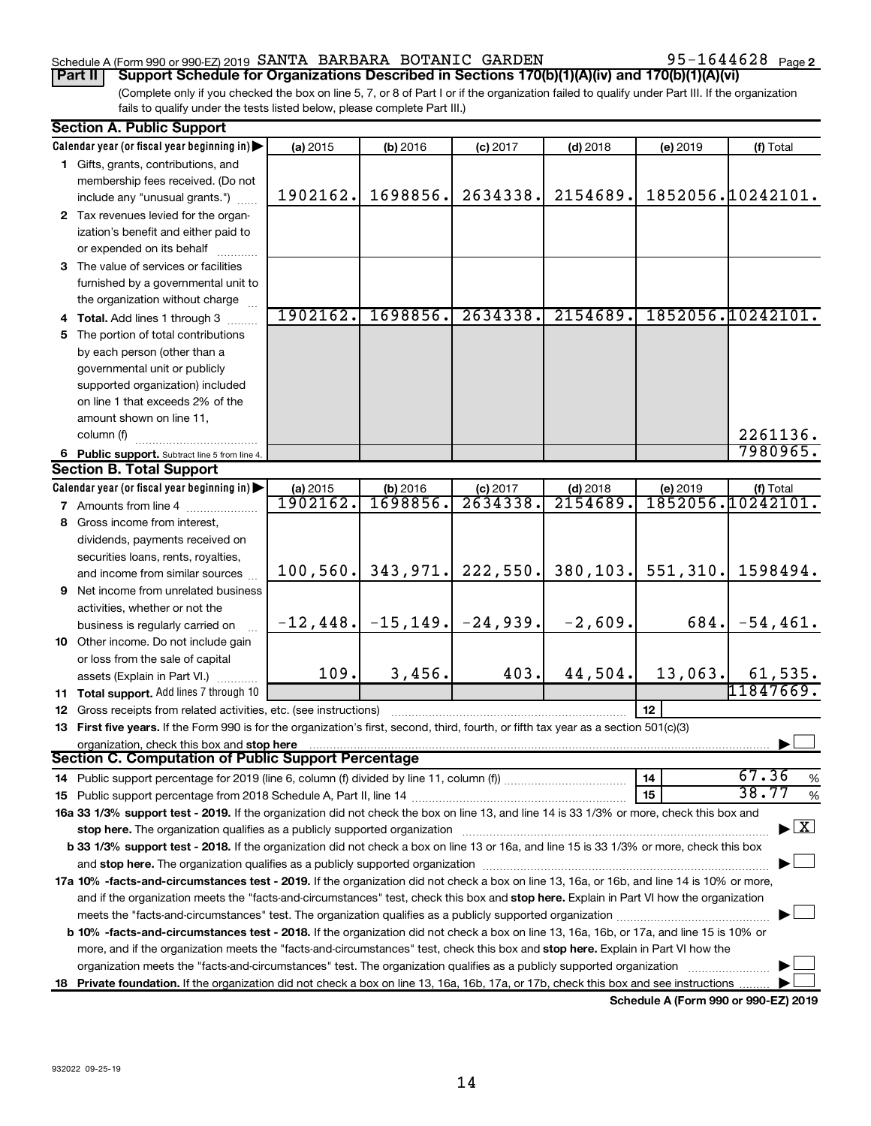# Schedule A (Form 990 or 990-EZ) 2019 SANTA BARBARA BOTANIC GARDEN  $95-1644628$  Page

95-1644628 Page 2

(Complete only if you checked the box on line 5, 7, or 8 of Part I or if the organization failed to qualify under Part III. If the organization fails to qualify under the tests listed below, please complete Part III.) **Part II Support Schedule for Organizations Described in Sections 170(b)(1)(A)(iv) and 170(b)(1)(A)(vi)**

|    | <b>Section A. Public Support</b>                                                                                                                                                                                                                                                      |           |          |                                     |            |          |                                    |  |
|----|---------------------------------------------------------------------------------------------------------------------------------------------------------------------------------------------------------------------------------------------------------------------------------------|-----------|----------|-------------------------------------|------------|----------|------------------------------------|--|
|    | Calendar year (or fiscal year beginning in)                                                                                                                                                                                                                                           | (a) 2015  | (b) 2016 | $(c)$ 2017                          | $(d)$ 2018 | (e) 2019 | (f) Total                          |  |
|    | 1 Gifts, grants, contributions, and                                                                                                                                                                                                                                                   |           |          |                                     |            |          |                                    |  |
|    | membership fees received. (Do not                                                                                                                                                                                                                                                     |           |          |                                     |            |          |                                    |  |
|    | include any "unusual grants.")                                                                                                                                                                                                                                                        | 1902162.  | 1698856. | 2634338.                            | 2154689.   |          | 1852056.10242101.                  |  |
|    | 2 Tax revenues levied for the organ-                                                                                                                                                                                                                                                  |           |          |                                     |            |          |                                    |  |
|    | ization's benefit and either paid to                                                                                                                                                                                                                                                  |           |          |                                     |            |          |                                    |  |
|    | or expended on its behalf                                                                                                                                                                                                                                                             |           |          |                                     |            |          |                                    |  |
|    | 3 The value of services or facilities                                                                                                                                                                                                                                                 |           |          |                                     |            |          |                                    |  |
|    |                                                                                                                                                                                                                                                                                       |           |          |                                     |            |          |                                    |  |
|    | furnished by a governmental unit to                                                                                                                                                                                                                                                   |           |          |                                     |            |          |                                    |  |
|    | the organization without charge                                                                                                                                                                                                                                                       | 1902162.  | 1698856. | 2634338.                            | 2154689.   |          | 1852056.10242101.                  |  |
|    | 4 Total. Add lines 1 through 3                                                                                                                                                                                                                                                        |           |          |                                     |            |          |                                    |  |
|    | 5 The portion of total contributions                                                                                                                                                                                                                                                  |           |          |                                     |            |          |                                    |  |
|    | by each person (other than a                                                                                                                                                                                                                                                          |           |          |                                     |            |          |                                    |  |
|    | governmental unit or publicly                                                                                                                                                                                                                                                         |           |          |                                     |            |          |                                    |  |
|    | supported organization) included                                                                                                                                                                                                                                                      |           |          |                                     |            |          |                                    |  |
|    | on line 1 that exceeds 2% of the                                                                                                                                                                                                                                                      |           |          |                                     |            |          |                                    |  |
|    | amount shown on line 11,                                                                                                                                                                                                                                                              |           |          |                                     |            |          |                                    |  |
|    | column (f)                                                                                                                                                                                                                                                                            |           |          |                                     |            |          | 2261136.                           |  |
|    | 6 Public support. Subtract line 5 from line 4.                                                                                                                                                                                                                                        |           |          |                                     |            |          | 7980965.                           |  |
|    | <b>Section B. Total Support</b>                                                                                                                                                                                                                                                       |           |          |                                     |            |          |                                    |  |
|    | Calendar year (or fiscal year beginning in)                                                                                                                                                                                                                                           | (a) 2015  | (b) 2016 | $(c)$ 2017                          | $(d)$ 2018 | (e) 2019 | (f) Total                          |  |
|    | <b>7</b> Amounts from line 4                                                                                                                                                                                                                                                          | 1902162.  | 1698856  | 2634338.                            | 2154689    |          | 1852056.10242101.                  |  |
|    | 8 Gross income from interest,                                                                                                                                                                                                                                                         |           |          |                                     |            |          |                                    |  |
|    | dividends, payments received on                                                                                                                                                                                                                                                       |           |          |                                     |            |          |                                    |  |
|    | securities loans, rents, royalties,                                                                                                                                                                                                                                                   |           |          |                                     |            |          |                                    |  |
|    | and income from similar sources                                                                                                                                                                                                                                                       | 100, 560. | 343,971. | 222,550.                            | 380, 103.  | 551,310. | 1598494.                           |  |
|    | <b>9</b> Net income from unrelated business                                                                                                                                                                                                                                           |           |          |                                     |            |          |                                    |  |
|    | activities, whether or not the                                                                                                                                                                                                                                                        |           |          |                                     |            |          |                                    |  |
|    | business is regularly carried on                                                                                                                                                                                                                                                      |           |          | $-12, 448.$ $-15, 149.$ $-24, 939.$ | $-2,609.$  | 684.     | $-54, 461.$                        |  |
|    | 10 Other income. Do not include gain                                                                                                                                                                                                                                                  |           |          |                                     |            |          |                                    |  |
|    | or loss from the sale of capital                                                                                                                                                                                                                                                      |           |          |                                     |            |          |                                    |  |
|    | assets (Explain in Part VI.)                                                                                                                                                                                                                                                          | 109.      | 3,456.   | 403.                                | 44,504.    | 13,063.  | 61,535.                            |  |
|    | 11 Total support. Add lines 7 through 10                                                                                                                                                                                                                                              |           |          |                                     |            |          | 11847669.                          |  |
|    | <b>12</b> Gross receipts from related activities, etc. (see instructions)                                                                                                                                                                                                             |           |          |                                     |            | 12       |                                    |  |
|    | 13 First five years. If the Form 990 is for the organization's first, second, third, fourth, or fifth tax year as a section 501(c)(3)                                                                                                                                                 |           |          |                                     |            |          |                                    |  |
|    | organization, check this box and stop here                                                                                                                                                                                                                                            |           |          |                                     |            |          |                                    |  |
|    | <b>Section C. Computation of Public Support Percentage</b>                                                                                                                                                                                                                            |           |          |                                     |            |          |                                    |  |
|    |                                                                                                                                                                                                                                                                                       |           |          |                                     |            | 14       | 67.36<br>$\%$                      |  |
|    |                                                                                                                                                                                                                                                                                       |           |          |                                     |            | 15       | 38.77<br>$\%$                      |  |
|    | 16a 33 1/3% support test - 2019. If the organization did not check the box on line 13, and line 14 is 33 1/3% or more, check this box and                                                                                                                                             |           |          |                                     |            |          |                                    |  |
|    | stop here. The organization qualifies as a publicly supported organization                                                                                                                                                                                                            |           |          |                                     |            |          | $\blacktriangleright$ $\mathbf{X}$ |  |
|    | b 33 1/3% support test - 2018. If the organization did not check a box on line 13 or 16a, and line 15 is 33 1/3% or more, check this box                                                                                                                                              |           |          |                                     |            |          |                                    |  |
|    |                                                                                                                                                                                                                                                                                       |           |          |                                     |            |          |                                    |  |
|    |                                                                                                                                                                                                                                                                                       |           |          |                                     |            |          |                                    |  |
|    | 17a 10% -facts-and-circumstances test - 2019. If the organization did not check a box on line 13, 16a, or 16b, and line 14 is 10% or more,<br>and if the organization meets the "facts-and-circumstances" test, check this box and stop here. Explain in Part VI how the organization |           |          |                                     |            |          |                                    |  |
|    | meets the "facts-and-circumstances" test. The organization qualifies as a publicly supported organization <i>manumumumum</i>                                                                                                                                                          |           |          |                                     |            |          |                                    |  |
|    | <b>b 10%</b> -facts-and-circumstances test - 2018. If the organization did not check a box on line 13, 16a, 16b, or 17a, and line 15 is 10% or                                                                                                                                        |           |          |                                     |            |          |                                    |  |
|    | more, and if the organization meets the "facts-and-circumstances" test, check this box and stop here. Explain in Part VI how the                                                                                                                                                      |           |          |                                     |            |          |                                    |  |
|    | organization meets the "facts-and-circumstances" test. The organization qualifies as a publicly supported organization                                                                                                                                                                |           |          |                                     |            |          |                                    |  |
| 18 | Private foundation. If the organization did not check a box on line 13, 16a, 16b, 17a, or 17b, check this box and see instructions                                                                                                                                                    |           |          |                                     |            |          |                                    |  |
|    |                                                                                                                                                                                                                                                                                       |           |          |                                     |            |          |                                    |  |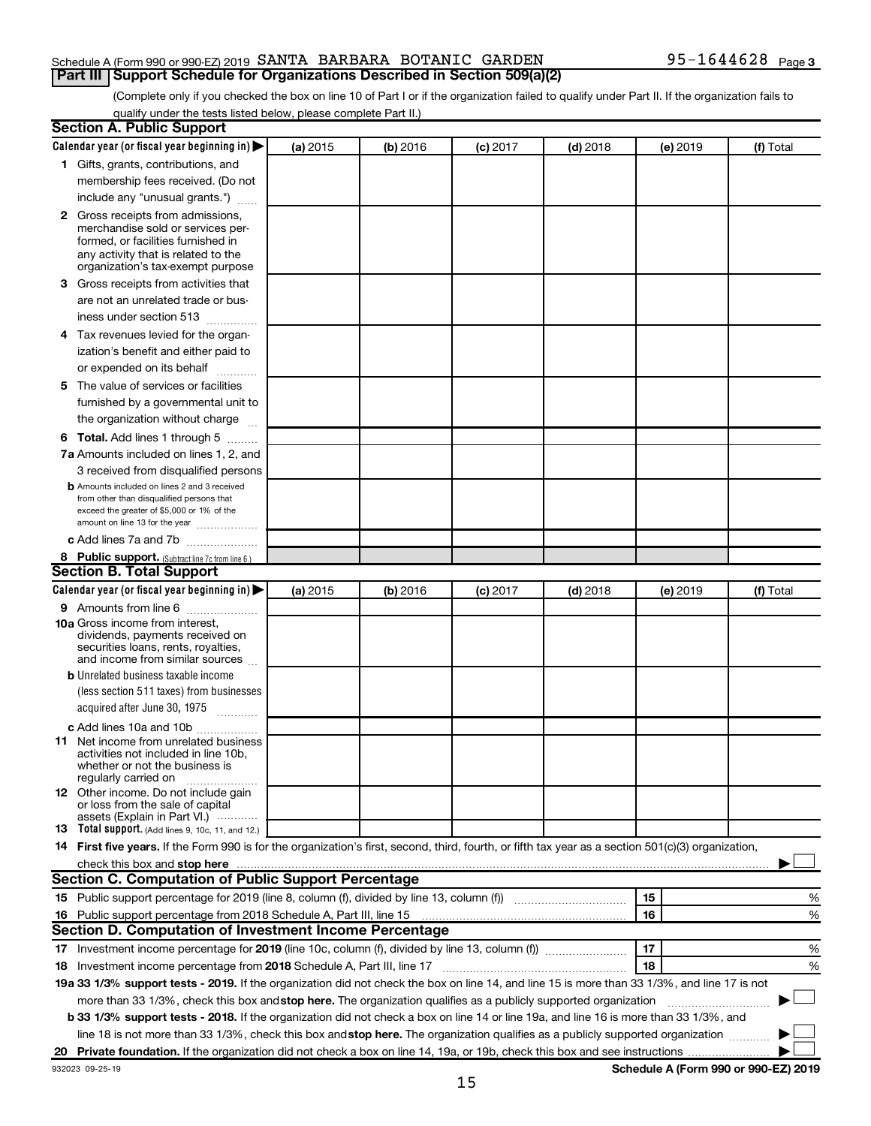### Schedule A (Form 990 or 990-EZ) 2019 SANTA BARBARA BOTANIC GARDEN  $95-1644628$  Page **Part III Support Schedule for Organizations Described in Section 509(a)(2)**

(Complete only if you checked the box on line 10 of Part I or if the organization failed to qualify under Part II. If the organization fails to qualify under the tests listed below, please complete Part II.)

| <b>Section A. Public Support</b>                                                                                                                    |          |          |          |            |          |           |
|-----------------------------------------------------------------------------------------------------------------------------------------------------|----------|----------|----------|------------|----------|-----------|
| Calendar year (or fiscal year beginning in) $\blacktriangleright$                                                                                   | (a) 2015 | (b) 2016 | (c) 2017 | $(d)$ 2018 | (e) 2019 | (f) Total |
| 1 Gifts, grants, contributions, and                                                                                                                 |          |          |          |            |          |           |
| membership fees received. (Do not                                                                                                                   |          |          |          |            |          |           |
| include any "unusual grants.")                                                                                                                      |          |          |          |            |          |           |
| 2 Gross receipts from admissions,                                                                                                                   |          |          |          |            |          |           |
| merchandise sold or services per-                                                                                                                   |          |          |          |            |          |           |
| formed, or facilities furnished in                                                                                                                  |          |          |          |            |          |           |
| any activity that is related to the<br>organization's tax-exempt purpose                                                                            |          |          |          |            |          |           |
| 3 Gross receipts from activities that                                                                                                               |          |          |          |            |          |           |
| are not an unrelated trade or bus-                                                                                                                  |          |          |          |            |          |           |
|                                                                                                                                                     |          |          |          |            |          |           |
| iness under section 513                                                                                                                             |          |          |          |            |          |           |
| 4 Tax revenues levied for the organ-                                                                                                                |          |          |          |            |          |           |
| ization's benefit and either paid to                                                                                                                |          |          |          |            |          |           |
| or expended on its behalf                                                                                                                           |          |          |          |            |          |           |
| 5 The value of services or facilities                                                                                                               |          |          |          |            |          |           |
| furnished by a governmental unit to                                                                                                                 |          |          |          |            |          |           |
| the organization without charge                                                                                                                     |          |          |          |            |          |           |
| 6 Total. Add lines 1 through 5                                                                                                                      |          |          |          |            |          |           |
| 7a Amounts included on lines 1, 2, and                                                                                                              |          |          |          |            |          |           |
| 3 received from disqualified persons                                                                                                                |          |          |          |            |          |           |
| <b>b</b> Amounts included on lines 2 and 3 received                                                                                                 |          |          |          |            |          |           |
| from other than disqualified persons that<br>exceed the greater of \$5,000 or 1% of the                                                             |          |          |          |            |          |           |
| amount on line 13 for the year                                                                                                                      |          |          |          |            |          |           |
| c Add lines 7a and 7b                                                                                                                               |          |          |          |            |          |           |
| 8 Public support. (Subtract line 7c from line 6.)                                                                                                   |          |          |          |            |          |           |
| <b>Section B. Total Support</b>                                                                                                                     |          |          |          |            |          |           |
| Calendar year (or fiscal year beginning in) $\blacktriangleright$                                                                                   | (a) 2015 | (b) 2016 | (c) 2017 | $(d)$ 2018 | (e) 2019 | (f) Total |
| 9 Amounts from line 6                                                                                                                               |          |          |          |            |          |           |
| <b>10a</b> Gross income from interest,                                                                                                              |          |          |          |            |          |           |
| dividends, payments received on                                                                                                                     |          |          |          |            |          |           |
| securities loans, rents, royalties,                                                                                                                 |          |          |          |            |          |           |
| and income from similar sources<br><b>b</b> Unrelated business taxable income                                                                       |          |          |          |            |          |           |
| (less section 511 taxes) from businesses                                                                                                            |          |          |          |            |          |           |
|                                                                                                                                                     |          |          |          |            |          |           |
| acquired after June 30, 1975                                                                                                                        |          |          |          |            |          |           |
| c Add lines 10a and 10b                                                                                                                             |          |          |          |            |          |           |
| <b>11</b> Net income from unrelated business<br>activities not included in line 10b.                                                                |          |          |          |            |          |           |
| whether or not the business is                                                                                                                      |          |          |          |            |          |           |
| regularly carried on                                                                                                                                |          |          |          |            |          |           |
| 12 Other income. Do not include gain<br>or loss from the sale of capital                                                                            |          |          |          |            |          |           |
| assets (Explain in Part VI.)                                                                                                                        |          |          |          |            |          |           |
| <b>13</b> Total support. (Add lines 9, 10c, 11, and 12.)                                                                                            |          |          |          |            |          |           |
| 14 First five years. If the Form 990 is for the organization's first, second, third, fourth, or fifth tax year as a section 501(c)(3) organization, |          |          |          |            |          |           |
| check this box and stop here                                                                                                                        |          |          |          |            |          |           |
| Section C. Computation of Public Support Percentage                                                                                                 |          |          |          |            |          |           |
|                                                                                                                                                     |          |          |          |            | 15       | %         |
| 16 Public support percentage from 2018 Schedule A, Part III, line 15                                                                                |          |          |          |            | 16       | %         |
| Section D. Computation of Investment Income Percentage                                                                                              |          |          |          |            |          |           |
| 17 Investment income percentage for 2019 (line 10c, column (f), divided by line 13, column (f))                                                     |          |          |          |            | 17       | %         |
| 18 Investment income percentage from 2018 Schedule A, Part III, line 17                                                                             |          |          |          |            | 18       | %         |
| 19a 33 1/3% support tests - 2019. If the organization did not check the box on line 14, and line 15 is more than 33 1/3%, and line 17 is not        |          |          |          |            |          |           |
| more than 33 1/3%, check this box and stop here. The organization qualifies as a publicly supported organization                                    |          |          |          |            |          |           |
| b 33 1/3% support tests - 2018. If the organization did not check a box on line 14 or line 19a, and line 16 is more than 33 1/3%, and               |          |          |          |            |          |           |
| line 18 is not more than 33 1/3%, check this box and stop here. The organization qualifies as a publicly supported organization                     |          |          |          |            |          |           |
|                                                                                                                                                     |          |          |          |            |          |           |
|                                                                                                                                                     |          |          |          |            |          |           |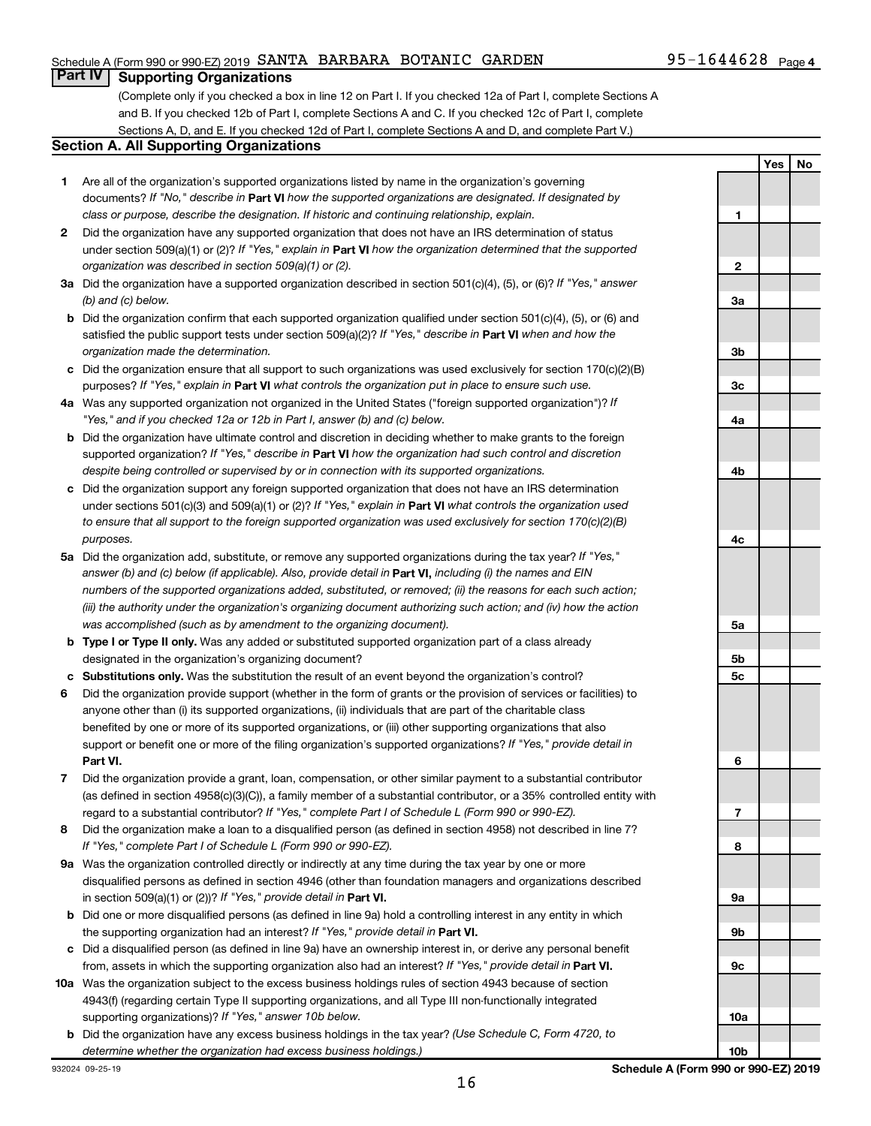# Schedule A (Form 990 or 990-EZ) 2019 SANTA BARBARA BOTANIC GARDEN  $95-1644628$  Page

**Yes No**

# **Part IV Supporting Organizations**

(Complete only if you checked a box in line 12 on Part I. If you checked 12a of Part I, complete Sections A and B. If you checked 12b of Part I, complete Sections A and C. If you checked 12c of Part I, complete Sections A, D, and E. If you checked 12d of Part I, complete Sections A and D, and complete Part V.)

#### **Section A. All Supporting Organizations**

- **1** Are all of the organization's supported organizations listed by name in the organization's governing documents? If "No," describe in Part VI how the supported organizations are designated. If designated by *class or purpose, describe the designation. If historic and continuing relationship, explain.*
- **2** Did the organization have any supported organization that does not have an IRS determination of status under section 509(a)(1) or (2)? If "Yes," explain in Part **VI** how the organization determined that the supported *organization was described in section 509(a)(1) or (2).*
- **3a** Did the organization have a supported organization described in section 501(c)(4), (5), or (6)? If "Yes," answer *(b) and (c) below.*
- **b** Did the organization confirm that each supported organization qualified under section 501(c)(4), (5), or (6) and satisfied the public support tests under section 509(a)(2)? If "Yes," describe in Part VI when and how the *organization made the determination.*
- **c** Did the organization ensure that all support to such organizations was used exclusively for section 170(c)(2)(B) purposes? If "Yes," explain in Part VI what controls the organization put in place to ensure such use.
- **4 a** *If* Was any supported organization not organized in the United States ("foreign supported organization")? *"Yes," and if you checked 12a or 12b in Part I, answer (b) and (c) below.*
- **b** Did the organization have ultimate control and discretion in deciding whether to make grants to the foreign supported organization? If "Yes," describe in Part VI how the organization had such control and discretion *despite being controlled or supervised by or in connection with its supported organizations.*
- **c** Did the organization support any foreign supported organization that does not have an IRS determination under sections 501(c)(3) and 509(a)(1) or (2)? If "Yes," explain in Part VI what controls the organization used *to ensure that all support to the foreign supported organization was used exclusively for section 170(c)(2)(B) purposes.*
- **5a** Did the organization add, substitute, or remove any supported organizations during the tax year? If "Yes," answer (b) and (c) below (if applicable). Also, provide detail in **Part VI,** including (i) the names and EIN *numbers of the supported organizations added, substituted, or removed; (ii) the reasons for each such action; (iii) the authority under the organization's organizing document authorizing such action; and (iv) how the action was accomplished (such as by amendment to the organizing document).*
- **b Type I or Type II only.** Was any added or substituted supported organization part of a class already designated in the organization's organizing document?
- **c Substitutions only.**  Was the substitution the result of an event beyond the organization's control?
- **6** Did the organization provide support (whether in the form of grants or the provision of services or facilities) to **Part VI.** support or benefit one or more of the filing organization's supported organizations? If "Yes," provide detail in anyone other than (i) its supported organizations, (ii) individuals that are part of the charitable class benefited by one or more of its supported organizations, or (iii) other supporting organizations that also
- **7** Did the organization provide a grant, loan, compensation, or other similar payment to a substantial contributor regard to a substantial contributor? If "Yes," complete Part I of Schedule L (Form 990 or 990-EZ). (as defined in section 4958(c)(3)(C)), a family member of a substantial contributor, or a 35% controlled entity with
- **8** Did the organization make a loan to a disqualified person (as defined in section 4958) not described in line 7? *If "Yes," complete Part I of Schedule L (Form 990 or 990-EZ).*
- **9 a** Was the organization controlled directly or indirectly at any time during the tax year by one or more in section 509(a)(1) or (2))? If "Yes," provide detail in **Part VI.** disqualified persons as defined in section 4946 (other than foundation managers and organizations described
- **b** Did one or more disqualified persons (as defined in line 9a) hold a controlling interest in any entity in which the supporting organization had an interest? If "Yes," provide detail in Part VI.
- **c** Did a disqualified person (as defined in line 9a) have an ownership interest in, or derive any personal benefit from, assets in which the supporting organization also had an interest? If "Yes," provide detail in Part VI.
- **10 a** Was the organization subject to the excess business holdings rules of section 4943 because of section supporting organizations)? If "Yes," answer 10b below. 4943(f) (regarding certain Type II supporting organizations, and all Type III non-functionally integrated
- **b** Did the organization have any excess business holdings in the tax year? (Use Schedule C, Form 4720, to *determine whether the organization had excess business holdings.)*

**1 2 3a 3b 3c 4a 4b 4c 5a 5b 5c 6 7 8 9a 9b 9c 10a**

**10b**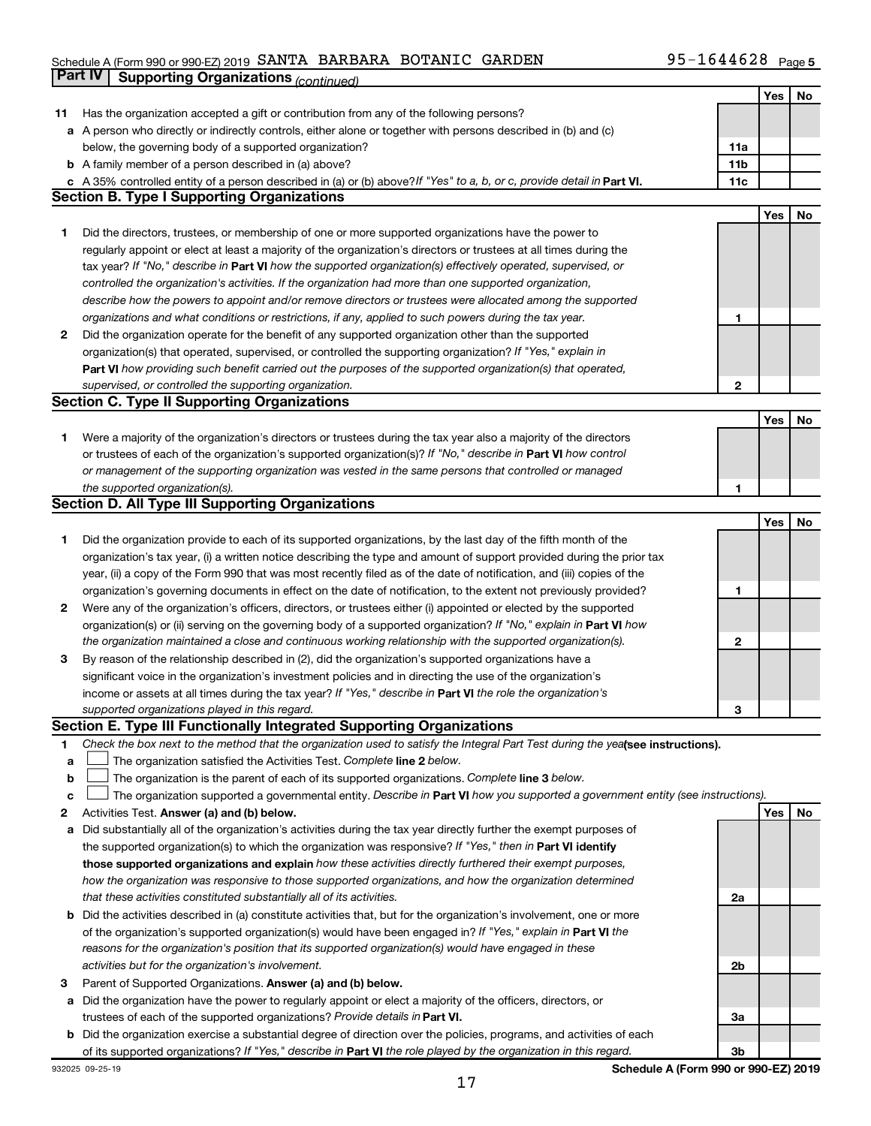# Schedule A (Form 990 or 990-EZ) 2019 SANTA BARBARA BOTANIC GARDEN  $95-1644628$  Page **Part IV Supporting Organizations** *(continued)*

|    |                                                                                                                                 |                | Yes | No |
|----|---------------------------------------------------------------------------------------------------------------------------------|----------------|-----|----|
| 11 | Has the organization accepted a gift or contribution from any of the following persons?                                         |                |     |    |
|    | a A person who directly or indirectly controls, either alone or together with persons described in (b) and (c)                  |                |     |    |
|    | below, the governing body of a supported organization?                                                                          | 11a            |     |    |
|    | <b>b</b> A family member of a person described in (a) above?                                                                    | 11b            |     |    |
|    | A 35% controlled entity of a person described in (a) or (b) above? If "Yes" to a, b, or c, provide detail in Part VI.           | 11c            |     |    |
|    | <b>Section B. Type I Supporting Organizations</b>                                                                               |                |     |    |
|    |                                                                                                                                 |                | Yes | No |
| 1  | Did the directors, trustees, or membership of one or more supported organizations have the power to                             |                |     |    |
|    | regularly appoint or elect at least a majority of the organization's directors or trustees at all times during the              |                |     |    |
|    | tax year? If "No," describe in Part VI how the supported organization(s) effectively operated, supervised, or                   |                |     |    |
|    | controlled the organization's activities. If the organization had more than one supported organization,                         |                |     |    |
|    | describe how the powers to appoint and/or remove directors or trustees were allocated among the supported                       |                |     |    |
|    | organizations and what conditions or restrictions, if any, applied to such powers during the tax year.                          | 1              |     |    |
| 2  | Did the organization operate for the benefit of any supported organization other than the supported                             |                |     |    |
|    | organization(s) that operated, supervised, or controlled the supporting organization? If "Yes," explain in                      |                |     |    |
|    |                                                                                                                                 |                |     |    |
|    | Part VI how providing such benefit carried out the purposes of the supported organization(s) that operated,                     |                |     |    |
|    | supervised, or controlled the supporting organization.                                                                          | $\mathbf{2}$   |     |    |
|    | <b>Section C. Type II Supporting Organizations</b>                                                                              |                |     |    |
|    |                                                                                                                                 |                | Yes | No |
| 1  | Were a majority of the organization's directors or trustees during the tax year also a majority of the directors                |                |     |    |
|    | or trustees of each of the organization's supported organization(s)? If "No," describe in Part VI how control                   |                |     |    |
|    | or management of the supporting organization was vested in the same persons that controlled or managed                          |                |     |    |
|    | the supported organization(s).                                                                                                  | 1              |     |    |
|    | <b>Section D. All Type III Supporting Organizations</b>                                                                         |                |     |    |
|    |                                                                                                                                 |                | Yes | No |
| 1  | Did the organization provide to each of its supported organizations, by the last day of the fifth month of the                  |                |     |    |
|    | organization's tax year, (i) a written notice describing the type and amount of support provided during the prior tax           |                |     |    |
|    | year, (ii) a copy of the Form 990 that was most recently filed as of the date of notification, and (iii) copies of the          |                |     |    |
|    | organization's governing documents in effect on the date of notification, to the extent not previously provided?                | 1              |     |    |
| 2  | Were any of the organization's officers, directors, or trustees either (i) appointed or elected by the supported                |                |     |    |
|    | organization(s) or (ii) serving on the governing body of a supported organization? If "No," explain in Part VI how              |                |     |    |
|    | the organization maintained a close and continuous working relationship with the supported organization(s).                     | 2              |     |    |
| 3  | By reason of the relationship described in (2), did the organization's supported organizations have a                           |                |     |    |
|    | significant voice in the organization's investment policies and in directing the use of the organization's                      |                |     |    |
|    | income or assets at all times during the tax year? If "Yes," describe in Part VI the role the organization's                    |                |     |    |
|    | supported organizations played in this regard.                                                                                  | З              |     |    |
|    | <b>Section E. Type III Functionally Integrated Supporting Organizations</b>                                                     |                |     |    |
| 1  | Check the box next to the method that the organization used to satisfy the Integral Part Test during the yealsee instructions). |                |     |    |
| а  | The organization satisfied the Activities Test. Complete line 2 below.                                                          |                |     |    |
| b  | The organization is the parent of each of its supported organizations. Complete line 3 below.                                   |                |     |    |
| с  | The organization supported a governmental entity. Describe in Part VI how you supported a government entity (see instructions). |                |     |    |
| 2  | Activities Test. Answer (a) and (b) below.                                                                                      |                | Yes | No |
| а  | Did substantially all of the organization's activities during the tax year directly further the exempt purposes of              |                |     |    |
|    | the supported organization(s) to which the organization was responsive? If "Yes," then in Part VI identify                      |                |     |    |
|    | those supported organizations and explain how these activities directly furthered their exempt purposes,                        |                |     |    |
|    | how the organization was responsive to those supported organizations, and how the organization determined                       |                |     |    |
|    | that these activities constituted substantially all of its activities.                                                          | 2a             |     |    |
| b  | Did the activities described in (a) constitute activities that, but for the organization's involvement, one or more             |                |     |    |
|    | of the organization's supported organization(s) would have been engaged in? If "Yes," explain in Part VI the                    |                |     |    |
|    | reasons for the organization's position that its supported organization(s) would have engaged in these                          |                |     |    |
|    | activities but for the organization's involvement.                                                                              | 2 <sub>b</sub> |     |    |
| 3  | Parent of Supported Organizations. Answer (a) and (b) below.                                                                    |                |     |    |
| а  | Did the organization have the power to regularly appoint or elect a majority of the officers, directors, or                     |                |     |    |
|    | trustees of each of the supported organizations? Provide details in Part VI.                                                    | За             |     |    |
| b  | Did the organization exercise a substantial degree of direction over the policies, programs, and activities of each             |                |     |    |
|    | of its supported organizations? If "Yes," describe in Part VI the role played by the organization in this regard.               | 3b             |     |    |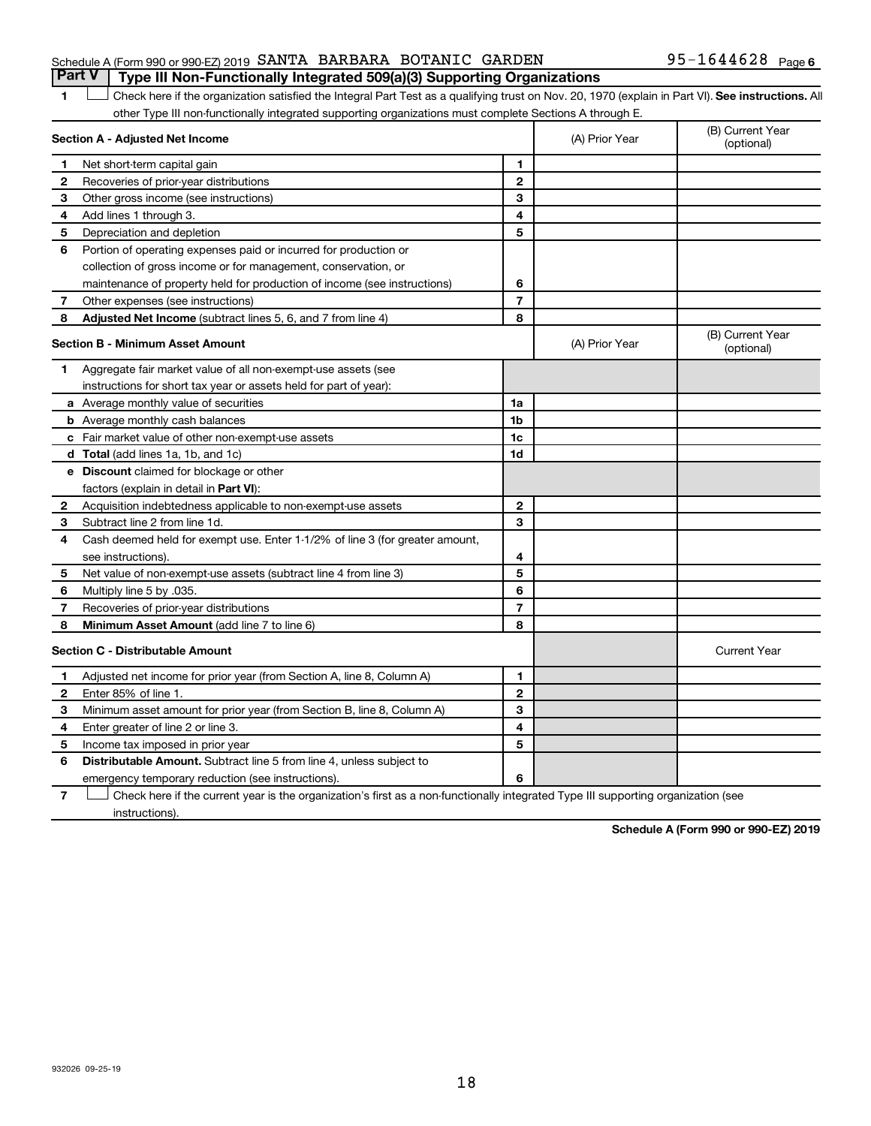## Schedule A (Form 990 or 990-EZ) 2019 SANTA BARBARA BOTANIC GARDEN  $95-1644628$  Page **Part V Type III Non-Functionally Integrated 509(a)(3) Supporting Organizations**

# 1 **Letter See instructions.** All Check here if the organization satisfied the Integral Part Test as a qualifying trust on Nov. 20, 1970 (explain in Part VI). See instructions. All other Type III non-functionally integrated supporting organizations must complete Sections A through E.

|              | Section A - Adjusted Net Income                                              | (A) Prior Year | (B) Current Year<br>(optional) |                                |
|--------------|------------------------------------------------------------------------------|----------------|--------------------------------|--------------------------------|
| 1            | Net short-term capital gain                                                  | 1              |                                |                                |
| 2            | Recoveries of prior-year distributions                                       | $\mathbf{2}$   |                                |                                |
| З            | Other gross income (see instructions)                                        | 3              |                                |                                |
| 4            | Add lines 1 through 3.                                                       | 4              |                                |                                |
| 5            | Depreciation and depletion                                                   | 5              |                                |                                |
| 6            | Portion of operating expenses paid or incurred for production or             |                |                                |                                |
|              | collection of gross income or for management, conservation, or               |                |                                |                                |
|              | maintenance of property held for production of income (see instructions)     | 6              |                                |                                |
| 7            | Other expenses (see instructions)                                            | $\overline{7}$ |                                |                                |
| 8            | Adjusted Net Income (subtract lines 5, 6, and 7 from line 4)                 | 8              |                                |                                |
|              | <b>Section B - Minimum Asset Amount</b>                                      |                | (A) Prior Year                 | (B) Current Year<br>(optional) |
| 1            | Aggregate fair market value of all non-exempt-use assets (see                |                |                                |                                |
|              | instructions for short tax year or assets held for part of year):            |                |                                |                                |
|              | a Average monthly value of securities                                        | 1a             |                                |                                |
|              | <b>b</b> Average monthly cash balances                                       | 1b             |                                |                                |
|              | <b>c</b> Fair market value of other non-exempt-use assets                    | 1c             |                                |                                |
|              | d Total (add lines 1a, 1b, and 1c)                                           | 1d             |                                |                                |
|              | <b>e</b> Discount claimed for blockage or other                              |                |                                |                                |
|              | factors (explain in detail in Part VI):                                      |                |                                |                                |
| 2            | Acquisition indebtedness applicable to non-exempt-use assets                 | $\mathbf{2}$   |                                |                                |
| З            | Subtract line 2 from line 1d.                                                | 3              |                                |                                |
| 4            | Cash deemed held for exempt use. Enter 1-1/2% of line 3 (for greater amount, |                |                                |                                |
|              | see instructions).                                                           | 4              |                                |                                |
| 5            | Net value of non-exempt-use assets (subtract line 4 from line 3)             | 5              |                                |                                |
| 6            | Multiply line 5 by .035.                                                     | 6              |                                |                                |
| 7            | Recoveries of prior-year distributions                                       | $\overline{7}$ |                                |                                |
| 8            | Minimum Asset Amount (add line 7 to line 6)                                  | 8              |                                |                                |
|              | <b>Section C - Distributable Amount</b>                                      |                |                                | <b>Current Year</b>            |
| 1            | Adjusted net income for prior year (from Section A, line 8, Column A)        | 1              |                                |                                |
| $\mathbf{2}$ | Enter 85% of line 1.                                                         | $\overline{2}$ |                                |                                |
| 3            | Minimum asset amount for prior year (from Section B, line 8, Column A)       | 3              |                                |                                |
| 4            | Enter greater of line 2 or line 3.                                           | 4              |                                |                                |
| 5            | Income tax imposed in prior year                                             | 5              |                                |                                |
| 6            | Distributable Amount. Subtract line 5 from line 4, unless subject to         |                |                                |                                |
|              | emergency temporary reduction (see instructions).                            | 6              |                                |                                |
|              |                                                                              |                |                                |                                |

**7** Let Check here if the current year is the organization's first as a non-functionally integrated Type III supporting organization (see instructions).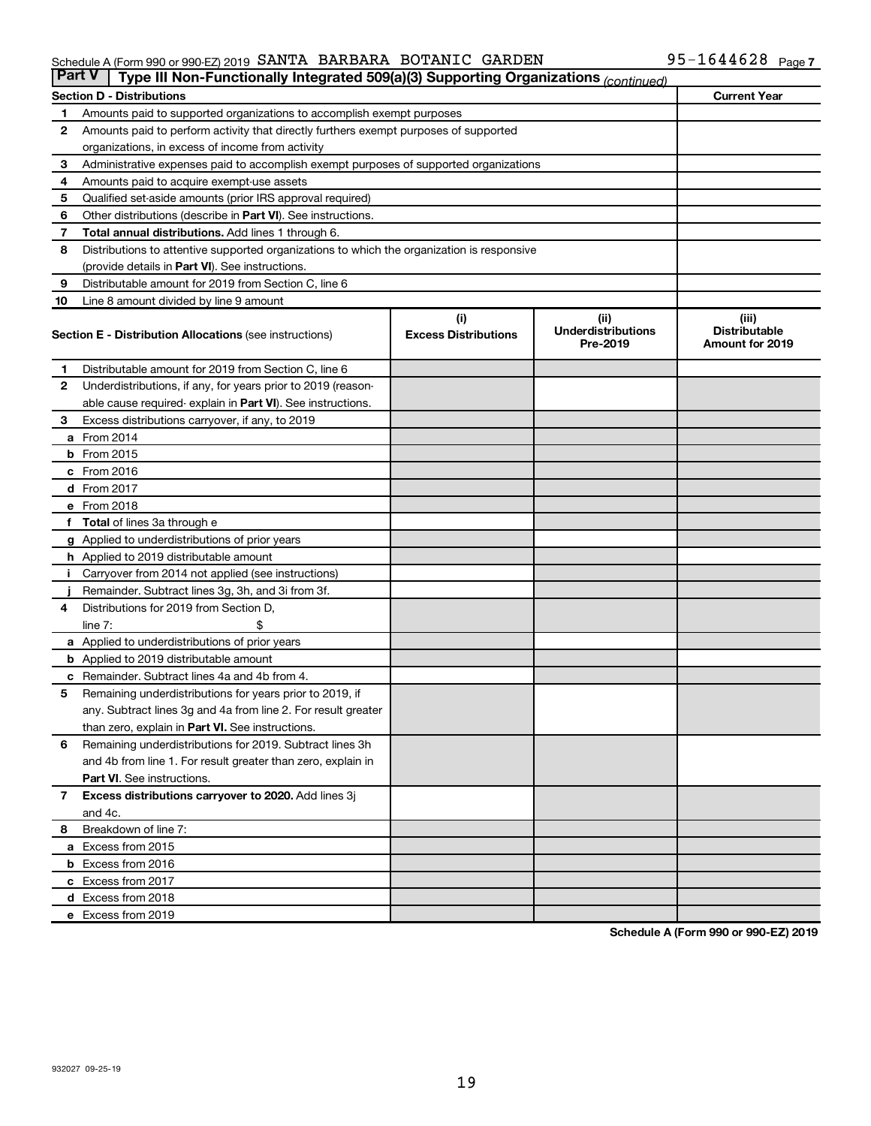#### Schedule A (Form 990 or 990-EZ) 2019 SAN'I'A BARBARA BO'I'ANIC GARDEN 95-I 644628 Page SANTA BARBARA BOTANIC GARDEN 95-1644628

| <b>Part V</b><br>Type III Non-Functionally Integrated 509(a)(3) Supporting Organizations (continued) |                                                                                            |                                    |                                               |                                                         |  |  |  |
|------------------------------------------------------------------------------------------------------|--------------------------------------------------------------------------------------------|------------------------------------|-----------------------------------------------|---------------------------------------------------------|--|--|--|
|                                                                                                      | <b>Section D - Distributions</b>                                                           |                                    |                                               | <b>Current Year</b>                                     |  |  |  |
| 1                                                                                                    | Amounts paid to supported organizations to accomplish exempt purposes                      |                                    |                                               |                                                         |  |  |  |
| 2                                                                                                    | Amounts paid to perform activity that directly furthers exempt purposes of supported       |                                    |                                               |                                                         |  |  |  |
|                                                                                                      | organizations, in excess of income from activity                                           |                                    |                                               |                                                         |  |  |  |
| 3                                                                                                    | Administrative expenses paid to accomplish exempt purposes of supported organizations      |                                    |                                               |                                                         |  |  |  |
| 4                                                                                                    | Amounts paid to acquire exempt-use assets                                                  |                                    |                                               |                                                         |  |  |  |
| 5                                                                                                    | Qualified set-aside amounts (prior IRS approval required)                                  |                                    |                                               |                                                         |  |  |  |
| 6                                                                                                    | Other distributions (describe in Part VI). See instructions.                               |                                    |                                               |                                                         |  |  |  |
| 7                                                                                                    | Total annual distributions. Add lines 1 through 6.                                         |                                    |                                               |                                                         |  |  |  |
| 8                                                                                                    | Distributions to attentive supported organizations to which the organization is responsive |                                    |                                               |                                                         |  |  |  |
|                                                                                                      | (provide details in Part VI). See instructions.                                            |                                    |                                               |                                                         |  |  |  |
| 9                                                                                                    | Distributable amount for 2019 from Section C, line 6                                       |                                    |                                               |                                                         |  |  |  |
| 10                                                                                                   | Line 8 amount divided by line 9 amount                                                     |                                    |                                               |                                                         |  |  |  |
|                                                                                                      | <b>Section E - Distribution Allocations (see instructions)</b>                             | (i)<br><b>Excess Distributions</b> | (ii)<br><b>Underdistributions</b><br>Pre-2019 | (iii)<br><b>Distributable</b><br><b>Amount for 2019</b> |  |  |  |
| 1.                                                                                                   | Distributable amount for 2019 from Section C, line 6                                       |                                    |                                               |                                                         |  |  |  |
| $\mathbf{2}$                                                                                         | Underdistributions, if any, for years prior to 2019 (reason-                               |                                    |                                               |                                                         |  |  |  |
|                                                                                                      | able cause required- explain in Part VI). See instructions.                                |                                    |                                               |                                                         |  |  |  |
| 3                                                                                                    | Excess distributions carryover, if any, to 2019                                            |                                    |                                               |                                                         |  |  |  |
|                                                                                                      | a From 2014                                                                                |                                    |                                               |                                                         |  |  |  |
|                                                                                                      | <b>b</b> From 2015                                                                         |                                    |                                               |                                                         |  |  |  |
|                                                                                                      | c From 2016                                                                                |                                    |                                               |                                                         |  |  |  |
|                                                                                                      | d From 2017                                                                                |                                    |                                               |                                                         |  |  |  |
|                                                                                                      | e From 2018                                                                                |                                    |                                               |                                                         |  |  |  |
|                                                                                                      | f Total of lines 3a through e                                                              |                                    |                                               |                                                         |  |  |  |
|                                                                                                      | <b>g</b> Applied to underdistributions of prior years                                      |                                    |                                               |                                                         |  |  |  |
|                                                                                                      | <b>h</b> Applied to 2019 distributable amount                                              |                                    |                                               |                                                         |  |  |  |
|                                                                                                      | Carryover from 2014 not applied (see instructions)                                         |                                    |                                               |                                                         |  |  |  |
|                                                                                                      | Remainder. Subtract lines 3g, 3h, and 3i from 3f.                                          |                                    |                                               |                                                         |  |  |  |
| 4                                                                                                    | Distributions for 2019 from Section D,                                                     |                                    |                                               |                                                         |  |  |  |
|                                                                                                      | $line 7$ :                                                                                 |                                    |                                               |                                                         |  |  |  |
|                                                                                                      | a Applied to underdistributions of prior years                                             |                                    |                                               |                                                         |  |  |  |
|                                                                                                      | <b>b</b> Applied to 2019 distributable amount                                              |                                    |                                               |                                                         |  |  |  |
| с                                                                                                    | Remainder. Subtract lines 4a and 4b from 4.                                                |                                    |                                               |                                                         |  |  |  |
| 5                                                                                                    | Remaining underdistributions for years prior to 2019, if                                   |                                    |                                               |                                                         |  |  |  |
|                                                                                                      | any. Subtract lines 3g and 4a from line 2. For result greater                              |                                    |                                               |                                                         |  |  |  |
|                                                                                                      | than zero, explain in Part VI. See instructions.                                           |                                    |                                               |                                                         |  |  |  |
| 6                                                                                                    | Remaining underdistributions for 2019. Subtract lines 3h                                   |                                    |                                               |                                                         |  |  |  |
|                                                                                                      | and 4b from line 1. For result greater than zero, explain in                               |                                    |                                               |                                                         |  |  |  |
|                                                                                                      | <b>Part VI.</b> See instructions.                                                          |                                    |                                               |                                                         |  |  |  |
| $\mathbf{7}$                                                                                         | Excess distributions carryover to 2020. Add lines 3j                                       |                                    |                                               |                                                         |  |  |  |
|                                                                                                      | and 4c.                                                                                    |                                    |                                               |                                                         |  |  |  |
| 8                                                                                                    | Breakdown of line 7:                                                                       |                                    |                                               |                                                         |  |  |  |
|                                                                                                      | a Excess from 2015                                                                         |                                    |                                               |                                                         |  |  |  |
|                                                                                                      | <b>b</b> Excess from 2016                                                                  |                                    |                                               |                                                         |  |  |  |
|                                                                                                      | c Excess from 2017                                                                         |                                    |                                               |                                                         |  |  |  |
|                                                                                                      | d Excess from 2018                                                                         |                                    |                                               |                                                         |  |  |  |
|                                                                                                      | e Excess from 2019                                                                         |                                    |                                               |                                                         |  |  |  |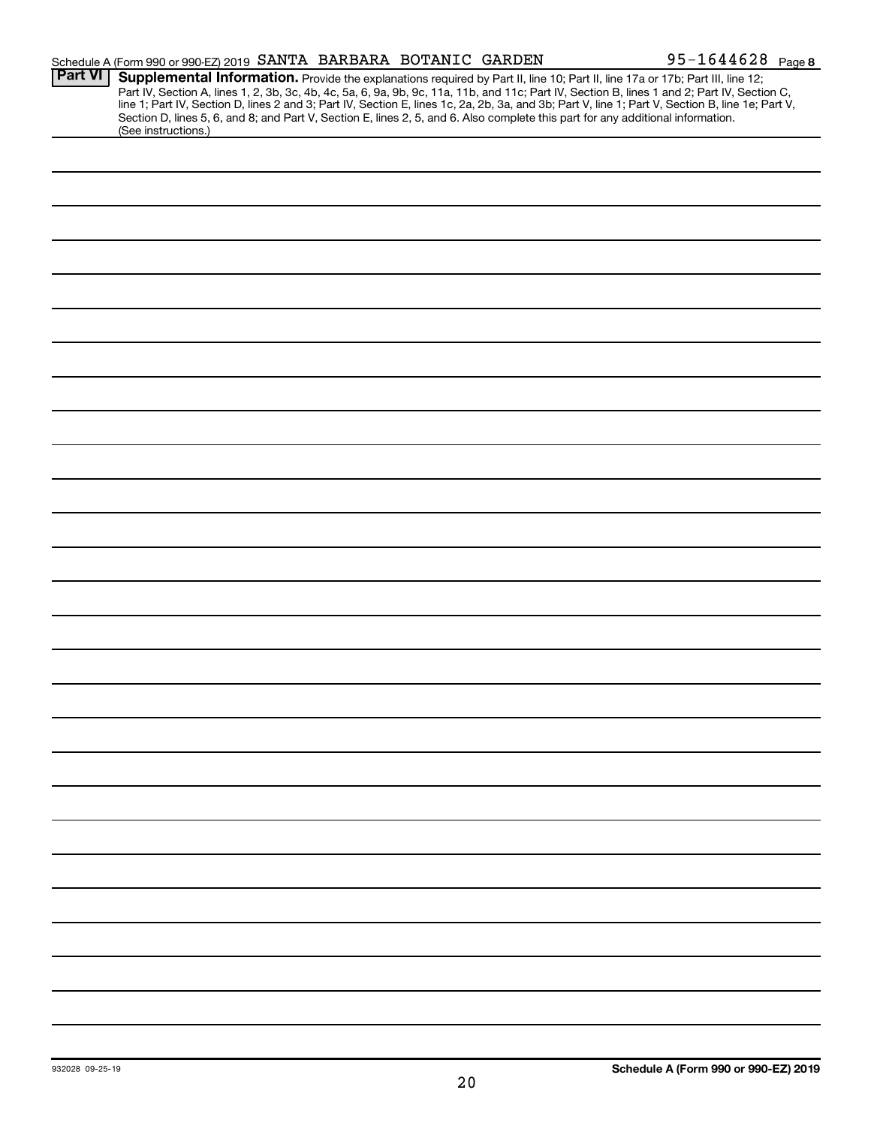|                | Schedule A (Form 990 or 990-EZ) 2019 SANTA BARBARA BOTANIC GARDEN                                                                                                                                                                                                                                                                                                                                                                                                                                                                                                                           |  | 95-1644628 Page 8 |
|----------------|---------------------------------------------------------------------------------------------------------------------------------------------------------------------------------------------------------------------------------------------------------------------------------------------------------------------------------------------------------------------------------------------------------------------------------------------------------------------------------------------------------------------------------------------------------------------------------------------|--|-------------------|
| <b>Part VI</b> | Supplemental Information. Provide the explanations required by Part II, line 10; Part II, line 17a or 17b; Part III, line 12;<br>Part IV, Section A, lines 1, 2, 3b, 3c, 4b, 4c, 5a, 6, 9a, 9b, 9c, 11a, 11b, and 11c; Part IV, Section B, lines 1 and 2; Part IV, Section C,<br>line 1; Part IV, Section D, lines 2 and 3; Part IV, Section E, lines 1c, 2a, 2b, 3a, and 3b; Part V, line 1; Part V, Section B, line 1e; Part V,<br>Section D, lines 5, 6, and 8; and Part V, Section E, lines 2, 5, and 6. Also complete this part for any additional information.<br>(See instructions.) |  |                   |
|                |                                                                                                                                                                                                                                                                                                                                                                                                                                                                                                                                                                                             |  |                   |
|                |                                                                                                                                                                                                                                                                                                                                                                                                                                                                                                                                                                                             |  |                   |
|                |                                                                                                                                                                                                                                                                                                                                                                                                                                                                                                                                                                                             |  |                   |
|                |                                                                                                                                                                                                                                                                                                                                                                                                                                                                                                                                                                                             |  |                   |
|                |                                                                                                                                                                                                                                                                                                                                                                                                                                                                                                                                                                                             |  |                   |
|                |                                                                                                                                                                                                                                                                                                                                                                                                                                                                                                                                                                                             |  |                   |
|                |                                                                                                                                                                                                                                                                                                                                                                                                                                                                                                                                                                                             |  |                   |
|                |                                                                                                                                                                                                                                                                                                                                                                                                                                                                                                                                                                                             |  |                   |
|                |                                                                                                                                                                                                                                                                                                                                                                                                                                                                                                                                                                                             |  |                   |
|                |                                                                                                                                                                                                                                                                                                                                                                                                                                                                                                                                                                                             |  |                   |
|                |                                                                                                                                                                                                                                                                                                                                                                                                                                                                                                                                                                                             |  |                   |
|                |                                                                                                                                                                                                                                                                                                                                                                                                                                                                                                                                                                                             |  |                   |
|                |                                                                                                                                                                                                                                                                                                                                                                                                                                                                                                                                                                                             |  |                   |
|                |                                                                                                                                                                                                                                                                                                                                                                                                                                                                                                                                                                                             |  |                   |
|                |                                                                                                                                                                                                                                                                                                                                                                                                                                                                                                                                                                                             |  |                   |
|                |                                                                                                                                                                                                                                                                                                                                                                                                                                                                                                                                                                                             |  |                   |
|                |                                                                                                                                                                                                                                                                                                                                                                                                                                                                                                                                                                                             |  |                   |
|                |                                                                                                                                                                                                                                                                                                                                                                                                                                                                                                                                                                                             |  |                   |
|                |                                                                                                                                                                                                                                                                                                                                                                                                                                                                                                                                                                                             |  |                   |
|                |                                                                                                                                                                                                                                                                                                                                                                                                                                                                                                                                                                                             |  |                   |
|                |                                                                                                                                                                                                                                                                                                                                                                                                                                                                                                                                                                                             |  |                   |
|                |                                                                                                                                                                                                                                                                                                                                                                                                                                                                                                                                                                                             |  |                   |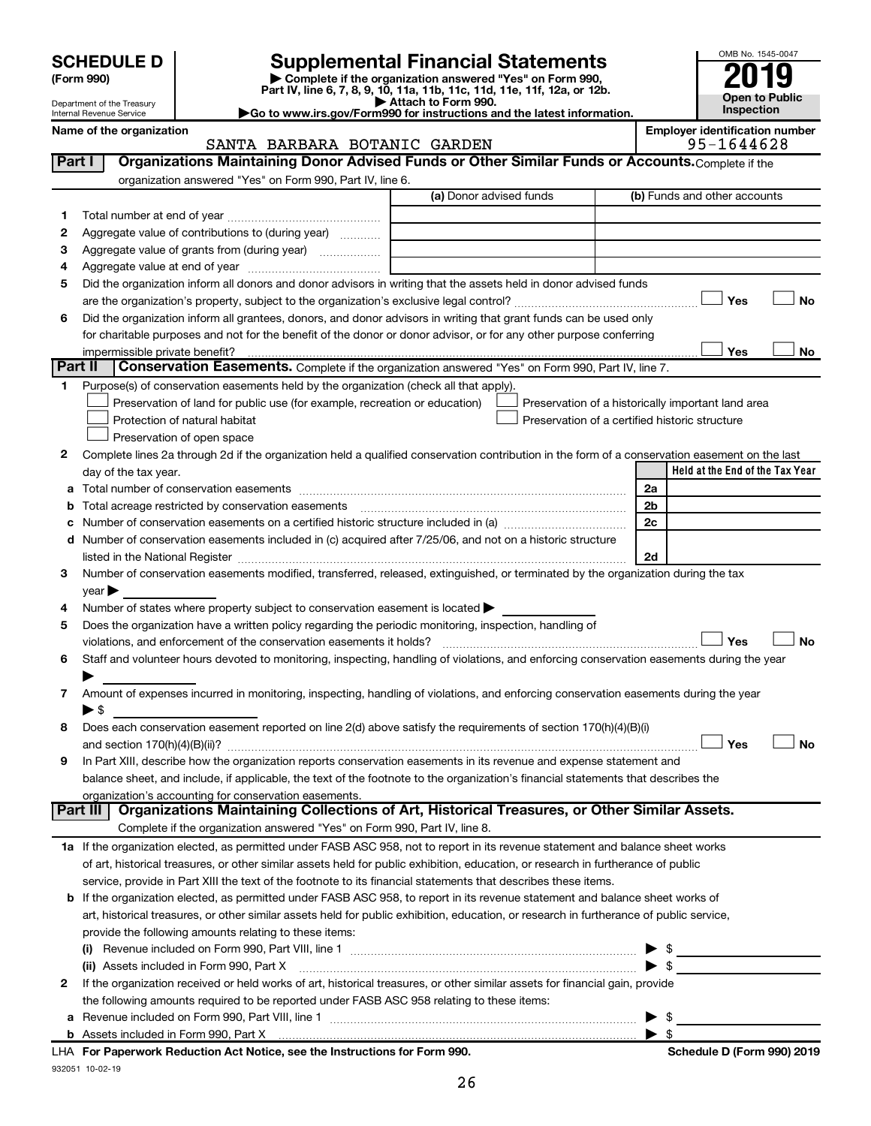| <b>SCHEDULE D</b> |  |
|-------------------|--|
|-------------------|--|

932051 10-02-19

# **SCHEDULE D Supplemental Financial Statements**<br> **Form 990 2019**<br> **Part IV** line 6.7.8.9.10, 11a, 11b, 11d, 11d, 11d, 11d, 11d, 12a, 0r, 12b

**(Form 990) | Complete if the organization answered "Yes" on Form 990, Part IV, line 6, 7, 8, 9, 10, 11a, 11b, 11c, 11d, 11e, 11f, 12a, or 12b.**

**| Attach to Form 990. |Go to www.irs.gov/Form990 for instructions and the latest information.**



| Name of the organization   |  |
|----------------------------|--|
| Internal Revenue Service   |  |
| Department of the Treasury |  |

#### ganization<br>
SANTA BARBARA BOTANIC GARDEN **Properties and SANTA BARBARA BOTANIC GARDEN** SANTA BARBARA BOTANIC GARDEN

| Part I  | Organizations Maintaining Donor Advised Funds or Other Similar Funds or Accounts. Complete if the                                                                                     |                         |                                                    |  |  |  |  |
|---------|---------------------------------------------------------------------------------------------------------------------------------------------------------------------------------------|-------------------------|----------------------------------------------------|--|--|--|--|
|         | organization answered "Yes" on Form 990, Part IV, line 6.                                                                                                                             | (a) Donor advised funds | (b) Funds and other accounts                       |  |  |  |  |
| 1       |                                                                                                                                                                                       |                         |                                                    |  |  |  |  |
| 2       | Aggregate value of contributions to (during year)                                                                                                                                     |                         |                                                    |  |  |  |  |
| 3       | Aggregate value of grants from (during year)                                                                                                                                          |                         |                                                    |  |  |  |  |
| 4       |                                                                                                                                                                                       |                         |                                                    |  |  |  |  |
| 5       | Did the organization inform all donors and donor advisors in writing that the assets held in donor advised funds                                                                      |                         |                                                    |  |  |  |  |
|         |                                                                                                                                                                                       |                         | Yes<br>No                                          |  |  |  |  |
| 6       | Did the organization inform all grantees, donors, and donor advisors in writing that grant funds can be used only                                                                     |                         |                                                    |  |  |  |  |
|         | for charitable purposes and not for the benefit of the donor or donor advisor, or for any other purpose conferring                                                                    |                         |                                                    |  |  |  |  |
|         |                                                                                                                                                                                       |                         | Yes<br>No                                          |  |  |  |  |
| Part II | Conservation Easements. Complete if the organization answered "Yes" on Form 990, Part IV, line 7.                                                                                     |                         |                                                    |  |  |  |  |
| 1       | Purpose(s) of conservation easements held by the organization (check all that apply).                                                                                                 |                         |                                                    |  |  |  |  |
|         | Preservation of land for public use (for example, recreation or education)                                                                                                            |                         | Preservation of a historically important land area |  |  |  |  |
|         | Protection of natural habitat                                                                                                                                                         |                         | Preservation of a certified historic structure     |  |  |  |  |
|         | Preservation of open space                                                                                                                                                            |                         |                                                    |  |  |  |  |
| 2       | Complete lines 2a through 2d if the organization held a qualified conservation contribution in the form of a conservation easement on the last                                        |                         |                                                    |  |  |  |  |
|         | day of the tax year.                                                                                                                                                                  |                         | Held at the End of the Tax Year                    |  |  |  |  |
|         |                                                                                                                                                                                       |                         | 2a                                                 |  |  |  |  |
|         |                                                                                                                                                                                       |                         | 2b                                                 |  |  |  |  |
| b       | Total acreage restricted by conservation easements [11] [12] manufactured acreage restricted by conservation easements [12] manufactured acreage restricted by conservation easements |                         |                                                    |  |  |  |  |
|         | d Number of conservation easements included in (c) acquired after 7/25/06, and not on a historic structure                                                                            |                         | 2c                                                 |  |  |  |  |
|         |                                                                                                                                                                                       |                         |                                                    |  |  |  |  |
|         | listed in the National Register [111] [12] The National Register [11] Manuscritt, Manuscritt, Manuscritt, Manu                                                                        |                         | 2d                                                 |  |  |  |  |
| 3       | Number of conservation easements modified, transferred, released, extinguished, or terminated by the organization during the tax                                                      |                         |                                                    |  |  |  |  |
|         | year                                                                                                                                                                                  |                         |                                                    |  |  |  |  |
| 4       | Number of states where property subject to conservation easement is located >                                                                                                         |                         |                                                    |  |  |  |  |
| 5       | Does the organization have a written policy regarding the periodic monitoring, inspection, handling of<br>violations, and enforcement of the conservation easements it holds?         |                         | Yes<br><b>No</b>                                   |  |  |  |  |
| 6       | Staff and volunteer hours devoted to monitoring, inspecting, handling of violations, and enforcing conservation easements during the year                                             |                         |                                                    |  |  |  |  |
|         |                                                                                                                                                                                       |                         |                                                    |  |  |  |  |
| 7       | Amount of expenses incurred in monitoring, inspecting, handling of violations, and enforcing conservation easements during the year                                                   |                         |                                                    |  |  |  |  |
|         | ▶ \$                                                                                                                                                                                  |                         |                                                    |  |  |  |  |
| 8       | Does each conservation easement reported on line 2(d) above satisfy the requirements of section 170(h)(4)(B)(i)                                                                       |                         |                                                    |  |  |  |  |
|         |                                                                                                                                                                                       |                         | Yes<br>No                                          |  |  |  |  |
| 9       | In Part XIII, describe how the organization reports conservation easements in its revenue and expense statement and                                                                   |                         |                                                    |  |  |  |  |
|         | balance sheet, and include, if applicable, the text of the footnote to the organization's financial statements that describes the                                                     |                         |                                                    |  |  |  |  |
|         | organization's accounting for conservation easements.                                                                                                                                 |                         |                                                    |  |  |  |  |
|         | Organizations Maintaining Collections of Art, Historical Treasures, or Other Similar Assets.<br>Part III                                                                              |                         |                                                    |  |  |  |  |
|         | Complete if the organization answered "Yes" on Form 990, Part IV, line 8.                                                                                                             |                         |                                                    |  |  |  |  |
|         | 1a If the organization elected, as permitted under FASB ASC 958, not to report in its revenue statement and balance sheet works                                                       |                         |                                                    |  |  |  |  |
|         | of art, historical treasures, or other similar assets held for public exhibition, education, or research in furtherance of public                                                     |                         |                                                    |  |  |  |  |
|         | service, provide in Part XIII the text of the footnote to its financial statements that describes these items.                                                                        |                         |                                                    |  |  |  |  |
|         | <b>b</b> If the organization elected, as permitted under FASB ASC 958, to report in its revenue statement and balance sheet works of                                                  |                         |                                                    |  |  |  |  |
|         | art, historical treasures, or other similar assets held for public exhibition, education, or research in furtherance of public service,                                               |                         |                                                    |  |  |  |  |
|         | provide the following amounts relating to these items:                                                                                                                                |                         |                                                    |  |  |  |  |
|         |                                                                                                                                                                                       |                         | - \$                                               |  |  |  |  |
|         | (ii) Assets included in Form 990, Part X                                                                                                                                              |                         | $\blacktriangleright$ \$                           |  |  |  |  |
| 2       | If the organization received or held works of art, historical treasures, or other similar assets for financial gain, provide                                                          |                         |                                                    |  |  |  |  |
|         | the following amounts required to be reported under FASB ASC 958 relating to these items:                                                                                             |                         |                                                    |  |  |  |  |
|         |                                                                                                                                                                                       |                         | \$                                                 |  |  |  |  |
|         | b Assets included in Form 990, Part X [[CONDITED INTERNATION IN ASSETS INCLUDED IN A SSET STATE IN A SET STATES                                                                       |                         | - \$                                               |  |  |  |  |
|         | LHA For Paperwork Reduction Act Notice, see the Instructions for Form 990.                                                                                                            |                         | Schedule D (Form 990) 2019                         |  |  |  |  |
|         |                                                                                                                                                                                       |                         |                                                    |  |  |  |  |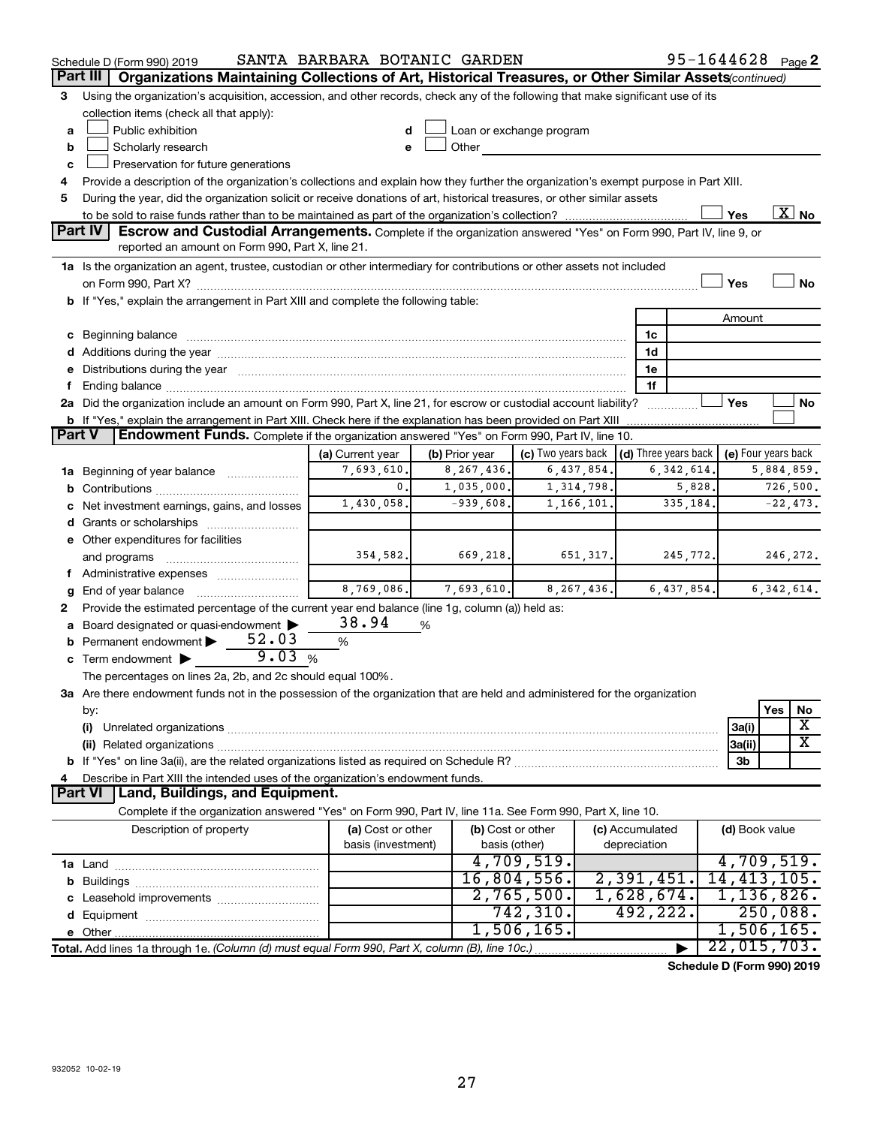|               | Schedule D (Form 990) 2019                                                                                                                                                                                                     | SANTA BARBARA BOTANIC GARDEN |                |                          |                                                          |              | 95-1644628 Page 2 |              |                          |  |  |
|---------------|--------------------------------------------------------------------------------------------------------------------------------------------------------------------------------------------------------------------------------|------------------------------|----------------|--------------------------|----------------------------------------------------------|--------------|-------------------|--------------|--------------------------|--|--|
|               | Part III<br>Organizations Maintaining Collections of Art, Historical Treasures, or Other Similar Assets(continued)                                                                                                             |                              |                |                          |                                                          |              |                   |              |                          |  |  |
| 3             | Using the organization's acquisition, accession, and other records, check any of the following that make significant use of its<br>collection items (check all that apply):                                                    |                              |                |                          |                                                          |              |                   |              |                          |  |  |
| а             | Public exhibition                                                                                                                                                                                                              |                              |                | Loan or exchange program |                                                          |              |                   |              |                          |  |  |
| b             | Scholarly research<br>Other<br><b>Contract Contract</b><br>e                                                                                                                                                                   |                              |                |                          |                                                          |              |                   |              |                          |  |  |
| c             | Preservation for future generations                                                                                                                                                                                            |                              |                |                          |                                                          |              |                   |              |                          |  |  |
| 4             | Provide a description of the organization's collections and explain how they further the organization's exempt purpose in Part XIII.                                                                                           |                              |                |                          |                                                          |              |                   |              |                          |  |  |
| 5             | During the year, did the organization solicit or receive donations of art, historical treasures, or other similar assets                                                                                                       |                              |                |                          |                                                          |              |                   |              |                          |  |  |
|               |                                                                                                                                                                                                                                |                              |                |                          |                                                          |              | Yes               |              | $\overline{\text{X}}$ No |  |  |
|               | Part IV<br>Escrow and Custodial Arrangements. Complete if the organization answered "Yes" on Form 990, Part IV, line 9, or                                                                                                     |                              |                |                          |                                                          |              |                   |              |                          |  |  |
|               | reported an amount on Form 990, Part X, line 21.                                                                                                                                                                               |                              |                |                          |                                                          |              |                   |              |                          |  |  |
|               | 1a Is the organization an agent, trustee, custodian or other intermediary for contributions or other assets not included                                                                                                       |                              |                |                          |                                                          |              |                   |              |                          |  |  |
|               |                                                                                                                                                                                                                                |                              |                |                          |                                                          |              | Yes               |              | No                       |  |  |
|               | b If "Yes," explain the arrangement in Part XIII and complete the following table:                                                                                                                                             |                              |                |                          |                                                          |              |                   |              |                          |  |  |
|               |                                                                                                                                                                                                                                |                              |                |                          |                                                          |              | Amount            |              |                          |  |  |
|               |                                                                                                                                                                                                                                |                              |                |                          | 1c                                                       |              |                   |              |                          |  |  |
|               |                                                                                                                                                                                                                                |                              |                |                          | 1d                                                       |              |                   |              |                          |  |  |
| е             | Distributions during the year manufactured and an account of the year manufactured and the year manufactured and the year manufactured and the year manufactured and the year manufactured and the state of the state of the s |                              |                |                          | 1e                                                       |              |                   |              |                          |  |  |
| f.            |                                                                                                                                                                                                                                |                              |                |                          | 1f                                                       |              |                   |              |                          |  |  |
|               | 2a Did the organization include an amount on Form 990, Part X, line 21, for escrow or custodial account liability?                                                                                                             |                              |                |                          |                                                          |              | Yes               |              | No                       |  |  |
|               | b If "Yes," explain the arrangement in Part XIII. Check here if the explanation has been provided on Part XIII                                                                                                                 |                              |                |                          |                                                          |              |                   |              |                          |  |  |
| <b>Part V</b> | Endowment Funds. Complete if the organization answered "Yes" on Form 990, Part IV, line 10.                                                                                                                                    |                              |                |                          |                                                          |              |                   |              |                          |  |  |
|               |                                                                                                                                                                                                                                | (a) Current year             | (b) Prior year | (c) Two years back       | $\vert$ (d) Three years back $\vert$ (e) Four years back |              |                   |              |                          |  |  |
|               | 1a Beginning of year balance                                                                                                                                                                                                   | 7,693,610.                   | 8, 267, 436.   | 6,437,854.               |                                                          | 6, 342, 614. |                   | 5,884,859.   |                          |  |  |
| b             |                                                                                                                                                                                                                                | 0.                           | 1,035,000.     | 1,314,798.               |                                                          | 5,828.       |                   | 726,500.     |                          |  |  |
| с             | $-939,608.$<br>$-22,473.$<br>1,430,058.<br>1,166,101.<br>335,184.<br>Net investment earnings, gains, and losses                                                                                                                |                              |                |                          |                                                          |              |                   |              |                          |  |  |
|               |                                                                                                                                                                                                                                |                              |                |                          |                                                          |              |                   |              |                          |  |  |
|               | e Other expenditures for facilities                                                                                                                                                                                            |                              |                |                          |                                                          |              |                   |              |                          |  |  |
|               | and programs                                                                                                                                                                                                                   | 354,582.                     | 669,218.       | 651, 317.                |                                                          | 245,772.     |                   | 246,272.     |                          |  |  |
|               | f Administrative expenses <i></i>                                                                                                                                                                                              |                              |                |                          |                                                          |              |                   |              |                          |  |  |
| g             |                                                                                                                                                                                                                                | $\overline{8,769,086}$ .     | 7,693,610.     | 8, 267, 436.             |                                                          | 6,437,854.   |                   | 6, 342, 614. |                          |  |  |
| 2             | Provide the estimated percentage of the current year end balance (line 1g, column (a)) held as:                                                                                                                                |                              |                |                          |                                                          |              |                   |              |                          |  |  |
|               | a Board designated or quasi-endowment >                                                                                                                                                                                        | 38.94                        | %              |                          |                                                          |              |                   |              |                          |  |  |
| b             | Permanent endowment $52.03$                                                                                                                                                                                                    | %                            |                |                          |                                                          |              |                   |              |                          |  |  |
|               | 9.03%<br>c Term endowment $\blacktriangleright$                                                                                                                                                                                |                              |                |                          |                                                          |              |                   |              |                          |  |  |
|               | The percentages on lines 2a, 2b, and 2c should equal 100%.                                                                                                                                                                     |                              |                |                          |                                                          |              |                   |              |                          |  |  |
|               | 3a Are there endowment funds not in the possession of the organization that are held and administered for the organization                                                                                                     |                              |                |                          |                                                          |              |                   |              |                          |  |  |
|               | by:                                                                                                                                                                                                                            |                              |                |                          |                                                          |              |                   | Yes          | No<br>x                  |  |  |
|               | (i)                                                                                                                                                                                                                            |                              |                |                          |                                                          |              | 3a(i)             |              | x                        |  |  |
|               |                                                                                                                                                                                                                                |                              |                |                          |                                                          |              | 3a(ii)<br>3b      |              |                          |  |  |
| 4             |                                                                                                                                                                                                                                |                              |                |                          |                                                          |              |                   |              |                          |  |  |
|               | Describe in Part XIII the intended uses of the organization's endowment funds.<br><b>Land, Buildings, and Equipment.</b><br><b>Part VI</b>                                                                                     |                              |                |                          |                                                          |              |                   |              |                          |  |  |
|               | Complete if the organization answered "Yes" on Form 990, Part IV, line 11a. See Form 990, Part X, line 10.                                                                                                                     |                              |                |                          |                                                          |              |                   |              |                          |  |  |
|               | Description of property                                                                                                                                                                                                        | (a) Cost or other            |                | (b) Cost or other        | (c) Accumulated                                          |              | (d) Book value    |              |                          |  |  |
|               |                                                                                                                                                                                                                                | basis (investment)           |                | basis (other)            | depreciation                                             |              |                   |              |                          |  |  |
|               |                                                                                                                                                                                                                                |                              |                | 4,709,519.               |                                                          |              | 4,709,519.        |              |                          |  |  |
| b             |                                                                                                                                                                                                                                |                              |                | 16,804,556.              | 2,391,451.                                               |              | 14, 413, 105.     |              |                          |  |  |
| с             |                                                                                                                                                                                                                                |                              |                | 2,765,500.               | 1,628,674.                                               |              | 1,136,826.        |              |                          |  |  |
| d             |                                                                                                                                                                                                                                |                              |                | 742,310.                 | 492,222.                                                 |              |                   | 250,088.     |                          |  |  |
|               |                                                                                                                                                                                                                                |                              |                | 1,506,165.               |                                                          |              | 1,506,165.        |              |                          |  |  |
|               | Total. Add lines 1a through 1e. (Column (d) must equal Form 990, Part X, column (B), line 10c.)                                                                                                                                |                              |                |                          |                                                          |              | 22,015,703.       |              |                          |  |  |
|               |                                                                                                                                                                                                                                |                              |                |                          |                                                          |              |                   |              |                          |  |  |

**Schedule D (Form 990) 2019**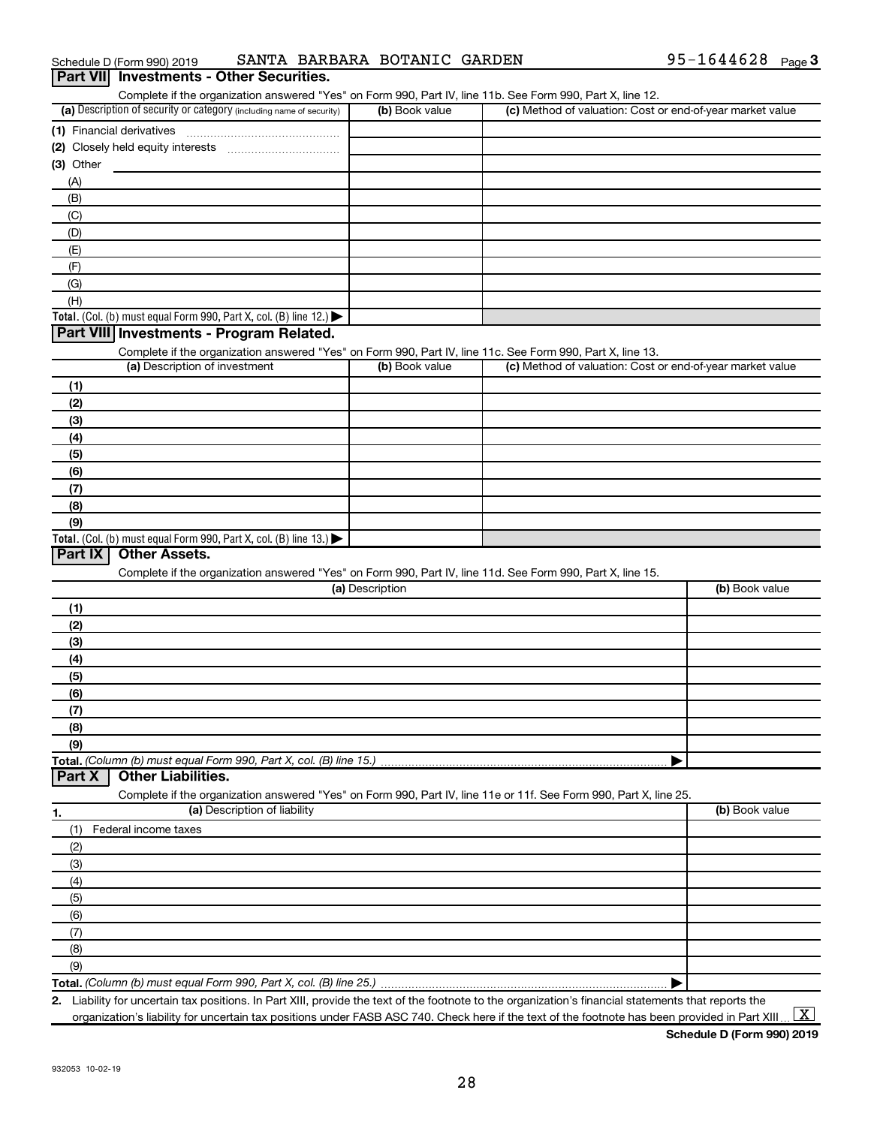| (E)                                                                                                        |                 |                                                                                                                   |                |
|------------------------------------------------------------------------------------------------------------|-----------------|-------------------------------------------------------------------------------------------------------------------|----------------|
| (F)                                                                                                        |                 |                                                                                                                   |                |
| (G)                                                                                                        |                 |                                                                                                                   |                |
| (H)                                                                                                        |                 |                                                                                                                   |                |
| Total. (Col. (b) must equal Form 990, Part X, col. (B) line 12.) $\blacktriangleright$                     |                 |                                                                                                                   |                |
| Part VIII Investments - Program Related.                                                                   |                 |                                                                                                                   |                |
| Complete if the organization answered "Yes" on Form 990, Part IV, line 11c. See Form 990, Part X, line 13. |                 |                                                                                                                   |                |
| (a) Description of investment                                                                              | (b) Book value  | (c) Method of valuation: Cost or end-of-year market value                                                         |                |
| (1)                                                                                                        |                 |                                                                                                                   |                |
| (2)                                                                                                        |                 |                                                                                                                   |                |
| (3)                                                                                                        |                 |                                                                                                                   |                |
| (4)                                                                                                        |                 |                                                                                                                   |                |
| (5)                                                                                                        |                 |                                                                                                                   |                |
| (6)                                                                                                        |                 |                                                                                                                   |                |
| (7)                                                                                                        |                 |                                                                                                                   |                |
| (8)                                                                                                        |                 |                                                                                                                   |                |
| (9)                                                                                                        |                 |                                                                                                                   |                |
| Total. (Col. (b) must equal Form 990, Part X, col. (B) line 13.)                                           |                 |                                                                                                                   |                |
| Part IX<br><b>Other Assets.</b>                                                                            |                 |                                                                                                                   |                |
| Complete if the organization answered "Yes" on Form 990, Part IV, line 11d. See Form 990, Part X, line 15. |                 |                                                                                                                   |                |
|                                                                                                            | (a) Description |                                                                                                                   | (b) Book value |
| (1)                                                                                                        |                 |                                                                                                                   |                |
| (2)                                                                                                        |                 |                                                                                                                   |                |
|                                                                                                            |                 |                                                                                                                   |                |
| (3)                                                                                                        |                 |                                                                                                                   |                |
| (4)                                                                                                        |                 |                                                                                                                   |                |
| (5)                                                                                                        |                 |                                                                                                                   |                |
| (6)                                                                                                        |                 |                                                                                                                   |                |
| (7)                                                                                                        |                 |                                                                                                                   |                |
| (8)                                                                                                        |                 |                                                                                                                   |                |
| (9)                                                                                                        |                 |                                                                                                                   |                |
| Total. (Column (b) must equal Form 990, Part X, col. (B) line 15.)                                         |                 |                                                                                                                   |                |
| <b>Other Liabilities.</b><br>Part X                                                                        |                 |                                                                                                                   |                |
|                                                                                                            |                 | Complete if the organization answered "Yes" on Form 990, Part IV, line 11e or 11f. See Form 990, Part X, line 25. |                |
| (a) Description of liability<br>1.                                                                         |                 |                                                                                                                   | (b) Book value |
| Federal income taxes<br>(1)                                                                                |                 |                                                                                                                   |                |
| (2)                                                                                                        |                 |                                                                                                                   |                |
| (3)                                                                                                        |                 |                                                                                                                   |                |
| (4)                                                                                                        |                 |                                                                                                                   |                |
| (5)                                                                                                        |                 |                                                                                                                   |                |
| (6)                                                                                                        |                 |                                                                                                                   |                |
| (7)                                                                                                        |                 |                                                                                                                   |                |
| (8)                                                                                                        |                 |                                                                                                                   |                |
| (9)                                                                                                        |                 |                                                                                                                   |                |

(b) Book value (c) Method of valuation: Cost or end-of-year market value

# Schedule D (Form 990) 2019 SANTA BARBARA BOTANIC GARDEN 95-1644628 Page

(a) Description of security or category (including name of security)  $\vert$  (b) Book value  $\vert$  (c)

**Part VII Investments - Other Securities.**

**(1)** Financial derivatives ~~~~~~~~~~~~~~~ **(2)** Closely held equity interests ~~~~~~~~~~~

**(3)** Other

(A) (B) (C) Complete if the organization answered "Yes" on Form 990, Part IV, line 11b. See Form 990, Part X, line 12.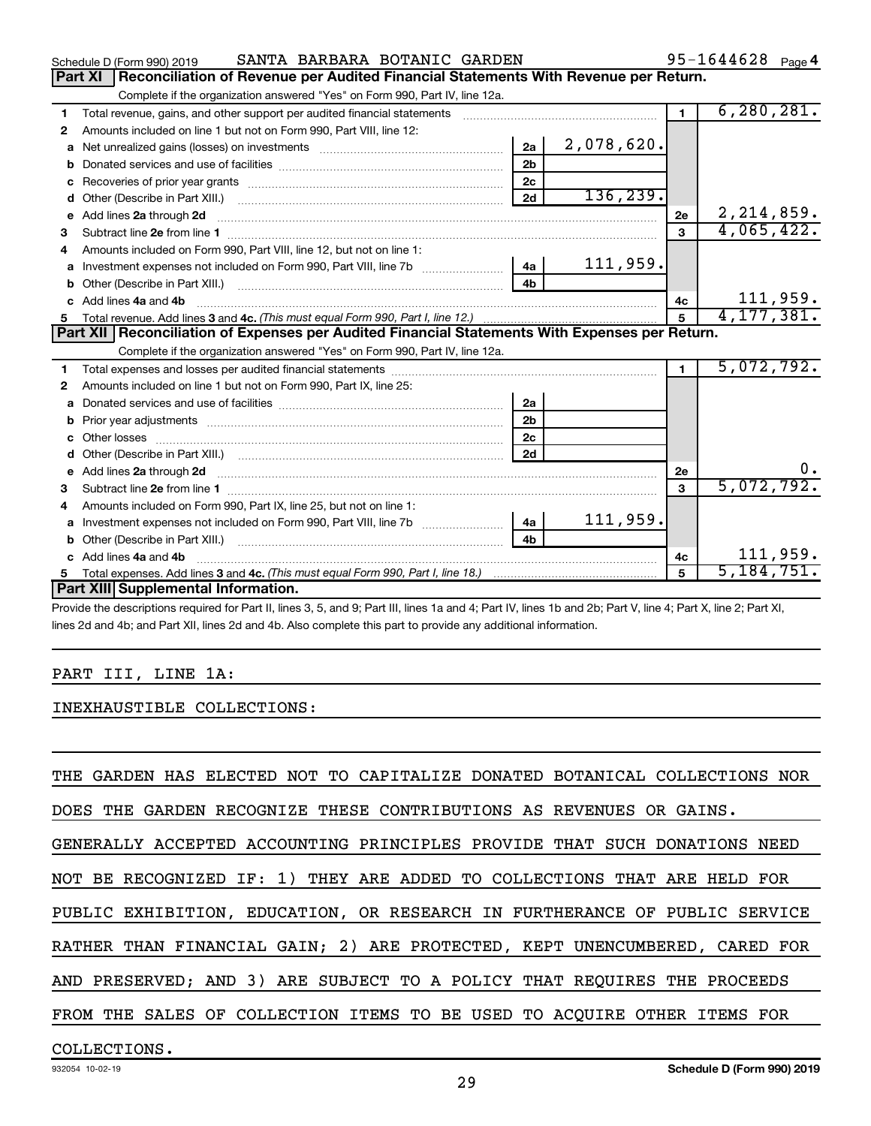|    | SANTA BARBARA BOTANIC GARDEN<br>Schedule D (Form 990) 2019                                                                                                                                                                                                                                                                                                                            |                |              |                | 95-1644628 $_{Page 4}$ |
|----|---------------------------------------------------------------------------------------------------------------------------------------------------------------------------------------------------------------------------------------------------------------------------------------------------------------------------------------------------------------------------------------|----------------|--------------|----------------|------------------------|
|    | <b>Part XI</b><br>Reconciliation of Revenue per Audited Financial Statements With Revenue per Return.                                                                                                                                                                                                                                                                                 |                |              |                |                        |
|    | Complete if the organization answered "Yes" on Form 990, Part IV, line 12a.                                                                                                                                                                                                                                                                                                           |                |              |                |                        |
| 1  | Total revenue, gains, and other support per audited financial statements                                                                                                                                                                                                                                                                                                              |                |              | $\blacksquare$ | 6, 280, 281.           |
| 2  | Amounts included on line 1 but not on Form 990, Part VIII, line 12:                                                                                                                                                                                                                                                                                                                   |                |              |                |                        |
| a  |                                                                                                                                                                                                                                                                                                                                                                                       | 2a             | 2,078,620.   |                |                        |
| b  |                                                                                                                                                                                                                                                                                                                                                                                       | 2 <sub>b</sub> |              |                |                        |
|    |                                                                                                                                                                                                                                                                                                                                                                                       | 2c             |              |                |                        |
| d  |                                                                                                                                                                                                                                                                                                                                                                                       | 2d             | 136, 239.    |                |                        |
| e  | Add lines 2a through 2d                                                                                                                                                                                                                                                                                                                                                               |                |              | 2e             | 2, 214, 859.           |
| 3  |                                                                                                                                                                                                                                                                                                                                                                                       |                |              | $\mathbf{3}$   | 4,065,422.             |
| 4  | Amounts included on Form 990, Part VIII, line 12, but not on line 1:                                                                                                                                                                                                                                                                                                                  |                |              |                |                        |
| a  | Investment expenses not included on Form 990, Part VIII, line 7b [11, 111, 120]                                                                                                                                                                                                                                                                                                       | 4a             | 111,959.     |                |                        |
|    |                                                                                                                                                                                                                                                                                                                                                                                       | 4 <sub>h</sub> |              |                |                        |
| c. | Add lines 4a and 4b                                                                                                                                                                                                                                                                                                                                                                   |                |              | 4c             | 111,959.               |
|    |                                                                                                                                                                                                                                                                                                                                                                                       | 5              | 4, 177, 381. |                |                        |
|    | Part XII   Reconciliation of Expenses per Audited Financial Statements With Expenses per Return.                                                                                                                                                                                                                                                                                      |                |              |                |                        |
|    | Complete if the organization answered "Yes" on Form 990, Part IV, line 12a.                                                                                                                                                                                                                                                                                                           |                |              |                |                        |
| 1  |                                                                                                                                                                                                                                                                                                                                                                                       |                |              | $\blacksquare$ | 5,072,792.             |
| 2  | Amounts included on line 1 but not on Form 990, Part IX, line 25:                                                                                                                                                                                                                                                                                                                     |                |              |                |                        |
| a  |                                                                                                                                                                                                                                                                                                                                                                                       | 2a             |              |                |                        |
| b  |                                                                                                                                                                                                                                                                                                                                                                                       | 2 <sub>b</sub> |              |                |                        |
|    | Other losses                                                                                                                                                                                                                                                                                                                                                                          | 2c             |              |                |                        |
| d  |                                                                                                                                                                                                                                                                                                                                                                                       | 2d             |              |                |                        |
| е  | Add lines 2a through 2d <b>must be a constructed as the constant of the construction of the construction</b> and the construction of the construction of the construction of the construction of the construction of the constructi                                                                                                                                                   |                |              | 2e             |                        |
| з  |                                                                                                                                                                                                                                                                                                                                                                                       |                |              | 3              | 5,072,792.             |
|    | Amounts included on Form 990, Part IX, line 25, but not on line 1:                                                                                                                                                                                                                                                                                                                    |                |              |                |                        |
| a  | Investment expenses not included on Form 990, Part VIII, line 7b [100] [100] [100] [100] [100] [100] [100] [10                                                                                                                                                                                                                                                                        | 4a             | 111,959.     |                |                        |
| b  | Other (Describe in Part XIII.)                                                                                                                                                                                                                                                                                                                                                        | 4 <sub>b</sub> |              |                |                        |
|    | Add lines 4a and 4b                                                                                                                                                                                                                                                                                                                                                                   |                |              | 4c             | 111,959.               |
| 5  |                                                                                                                                                                                                                                                                                                                                                                                       |                |              | 5              | 5,184,751.             |
|    | Part XIII Supplemental Information.                                                                                                                                                                                                                                                                                                                                                   |                |              |                |                        |
|    | $\mathcal{L} = \{ \mathbf{L} \in \mathbb{R}^n : \mathbb{R}^n : \mathbb{R}^n : \mathbb{R}^n : \mathbb{R}^n : \mathbb{R}^n : \mathbb{R}^n : \mathbb{R}^n : \mathbb{R}^n : \mathbb{R}^n : \mathbb{R}^n : \mathbb{R}^n : \mathbb{R}^n : \mathbb{R}^n : \mathbb{R}^n : \mathbb{R}^n : \mathbb{R}^n : \mathbb{R}^n : \mathbb{R}^n : \mathbb{R}^n : \mathbb{R}^n : \mathbb{R}^n : \mathbb{R$ |                |              |                |                        |

Provide the descriptions required for Part II, lines 3, 5, and 9; Part III, lines 1a and 4; Part IV, lines 1b and 2b; Part V, line 4; Part X, line 2; Part XI, lines 2d and 4b; and Part XII, lines 2d and 4b. Also complete this part to provide any additional information.

# PART III, LINE 1A:

INEXHAUSTIBLE COLLECTIONS:

THE GARDEN HAS ELECTED NOT TO CAPITALIZE DONATED BOTANICAL COLLECTIONS NOR DOES THE GARDEN RECOGNIZE THESE CONTRIBUTIONS AS REVENUES OR GAINS. GENERALLY ACCEPTED ACCOUNTING PRINCIPLES PROVIDE THAT SUCH DONATIONS NEED NOT BE RECOGNIZED IF: 1) THEY ARE ADDED TO COLLECTIONS THAT ARE HELD FOR PUBLIC EXHIBITION, EDUCATION, OR RESEARCH IN FURTHERANCE OF PUBLIC SERVICE RATHER THAN FINANCIAL GAIN; 2) ARE PROTECTED, KEPT UNENCUMBERED, CARED FOR AND PRESERVED; AND 3) ARE SUBJECT TO A POLICY THAT REQUIRES THE PROCEEDS FROM THE SALES OF COLLECTION ITEMS TO BE USED TO ACQUIRE OTHER ITEMS FOR

# COLLECTIONS.

 $95 - 1644628$  Page 4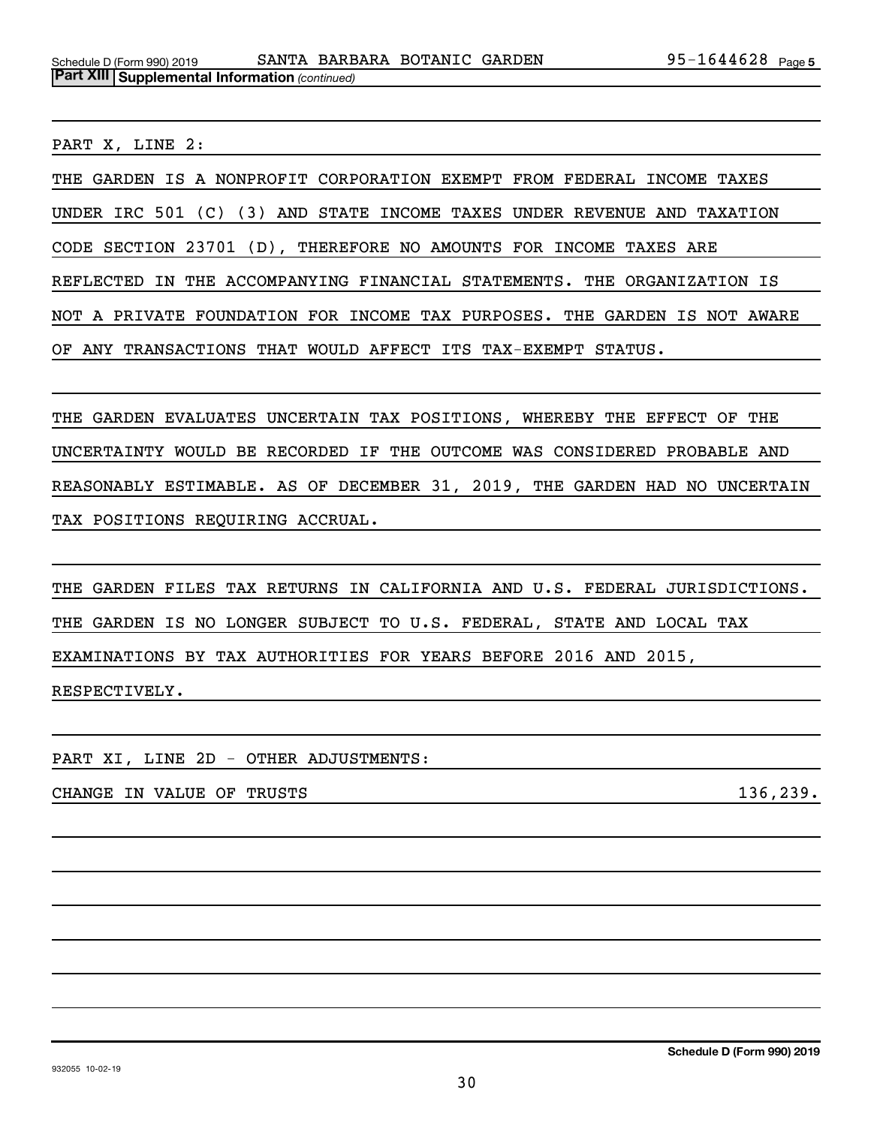PART X, LINE 2:

THE GARDEN IS A NONPROFIT CORPORATION EXEMPT FROM FEDERAL INCOME TAXES UNDER IRC 501 (C) (3) AND STATE INCOME TAXES UNDER REVENUE AND TAXATION CODE SECTION 23701 (D), THEREFORE NO AMOUNTS FOR INCOME TAXES ARE REFLECTED IN THE ACCOMPANYING FINANCIAL STATEMENTS. THE ORGANIZATION IS NOT A PRIVATE FOUNDATION FOR INCOME TAX PURPOSES. THE GARDEN IS NOT AWARE OF ANY TRANSACTIONS THAT WOULD AFFECT ITS TAX-EXEMPT STATUS.

THE GARDEN EVALUATES UNCERTAIN TAX POSITIONS, WHEREBY THE EFFECT OF THE UNCERTAINTY WOULD BE RECORDED IF THE OUTCOME WAS CONSIDERED PROBABLE AND REASONABLY ESTIMABLE. AS OF DECEMBER 31, 2019, THE GARDEN HAD NO UNCERTAIN TAX POSITIONS REQUIRING ACCRUAL.

THE GARDEN FILES TAX RETURNS IN CALIFORNIA AND U.S. FEDERAL JURISDICTIONS. THE GARDEN IS NO LONGER SUBJECT TO U.S. FEDERAL, STATE AND LOCAL TAX EXAMINATIONS BY TAX AUTHORITIES FOR YEARS BEFORE 2016 AND 2015, RESPECTIVELY.

PART XI, LINE 2D - OTHER ADJUSTMENTS:

CHANGE IN VALUE OF TRUSTS 136,239.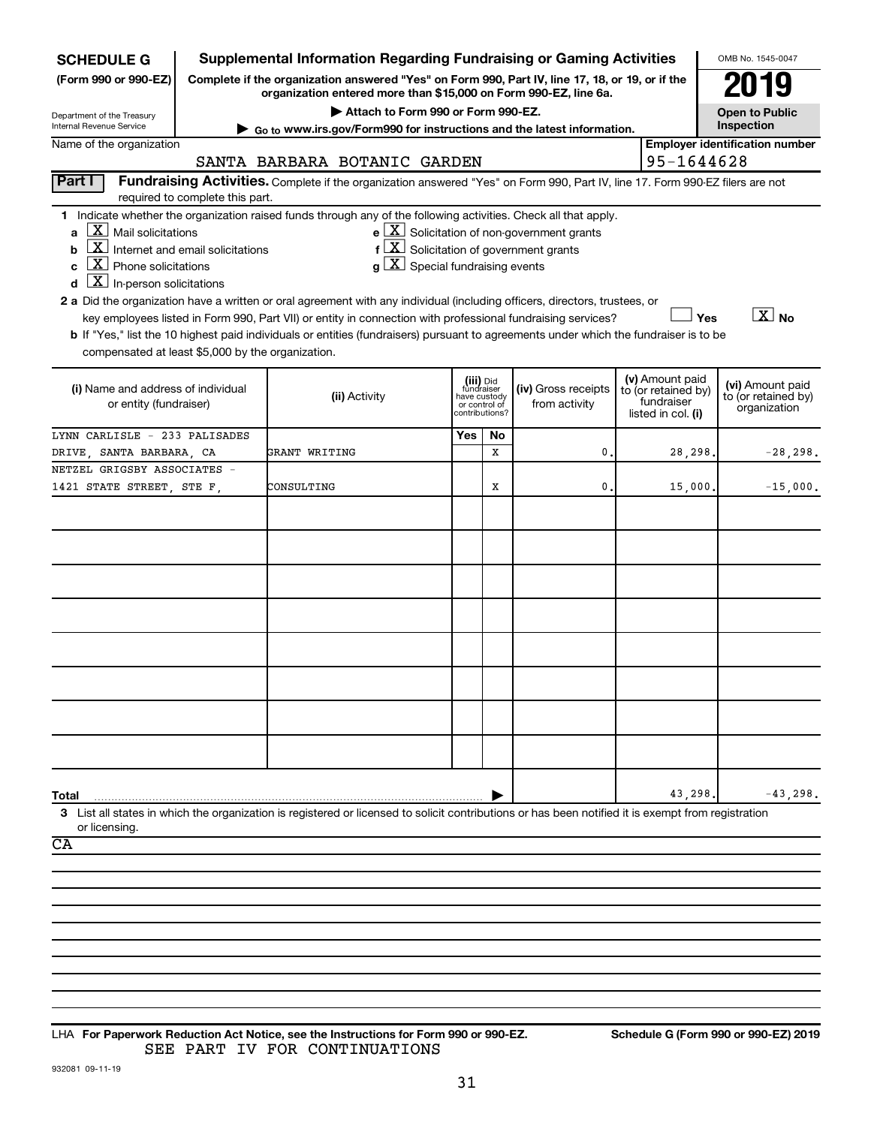| <b>SCHEDULE G</b>                                                                                                                                                                                                                                                                                                                                                                                                                                                                                                                                                                                                 | <b>Supplemental Information Regarding Fundraising or Gaming Activities</b>                                                                                               |     |                                                                            |                                                                                                                             |                                                                            | OMB No. 1545-0047                                       |  |  |  |  |
|-------------------------------------------------------------------------------------------------------------------------------------------------------------------------------------------------------------------------------------------------------------------------------------------------------------------------------------------------------------------------------------------------------------------------------------------------------------------------------------------------------------------------------------------------------------------------------------------------------------------|--------------------------------------------------------------------------------------------------------------------------------------------------------------------------|-----|----------------------------------------------------------------------------|-----------------------------------------------------------------------------------------------------------------------------|----------------------------------------------------------------------------|---------------------------------------------------------|--|--|--|--|
| Complete if the organization answered "Yes" on Form 990, Part IV, line 17, 18, or 19, or if the<br>(Form 990 or 990-EZ)<br>organization entered more than \$15,000 on Form 990-EZ, line 6a.                                                                                                                                                                                                                                                                                                                                                                                                                       |                                                                                                                                                                          |     |                                                                            |                                                                                                                             |                                                                            |                                                         |  |  |  |  |
| Department of the Treasury                                                                                                                                                                                                                                                                                                                                                                                                                                                                                                                                                                                        | Attach to Form 990 or Form 990-EZ.                                                                                                                                       |     |                                                                            |                                                                                                                             |                                                                            | <b>Open to Public</b>                                   |  |  |  |  |
| Internal Revenue Service                                                                                                                                                                                                                                                                                                                                                                                                                                                                                                                                                                                          | ► Go to www.irs.gov/Form990 for instructions and the latest information.                                                                                                 |     |                                                                            |                                                                                                                             |                                                                            | Inspection                                              |  |  |  |  |
| Name of the organization                                                                                                                                                                                                                                                                                                                                                                                                                                                                                                                                                                                          | SANTA BARBARA BOTANIC GARDEN                                                                                                                                             |     |                                                                            |                                                                                                                             |                                                                            | <b>Employer identification number</b><br>95-1644628     |  |  |  |  |
| Part I                                                                                                                                                                                                                                                                                                                                                                                                                                                                                                                                                                                                            | Fundraising Activities. Complete if the organization answered "Yes" on Form 990, Part IV, line 17. Form 990-EZ filers are not                                            |     |                                                                            |                                                                                                                             |                                                                            |                                                         |  |  |  |  |
| required to complete this part.                                                                                                                                                                                                                                                                                                                                                                                                                                                                                                                                                                                   |                                                                                                                                                                          |     |                                                                            |                                                                                                                             |                                                                            |                                                         |  |  |  |  |
| 1 Indicate whether the organization raised funds through any of the following activities. Check all that apply.<br>$\lfloor \underline{X} \rfloor$ Mail solicitations<br>a<br>$\boxed{\text{X}}$ Internet and email solicitations<br>b<br>$\boxed{\text{X}}$ Phone solicitations<br>C<br>$\boxed{\textbf{X}}$ In-person solicitations<br>d<br>2 a Did the organization have a written or oral agreement with any individual (including officers, directors, trustees, or<br>b If "Yes," list the 10 highest paid individuals or entities (fundraisers) pursuant to agreements under which the fundraiser is to be | $\mathbf{f}$<br>$ \mathbf{X} $ Special fundraising events<br>key employees listed in Form 990, Part VII) or entity in connection with professional fundraising services? |     |                                                                            | $\mathbf{e}$ $\boxed{\mathbf{X}}$ Solicitation of non-government grants<br>$ \mathbf{X} $ Solicitation of government grants |                                                                            | $\boxed{X}$ No<br>Yes                                   |  |  |  |  |
| compensated at least \$5,000 by the organization.                                                                                                                                                                                                                                                                                                                                                                                                                                                                                                                                                                 |                                                                                                                                                                          |     |                                                                            |                                                                                                                             |                                                                            |                                                         |  |  |  |  |
| (i) Name and address of individual<br>or entity (fundraiser)                                                                                                                                                                                                                                                                                                                                                                                                                                                                                                                                                      | (ii) Activity                                                                                                                                                            |     | (iii) Did<br>fundraiser<br>have custody<br>or control of<br>contributions? | (iv) Gross receipts<br>from activity                                                                                        | (v) Amount paid<br>to (or retained by)<br>fundraiser<br>listed in col. (i) | (vi) Amount paid<br>to (or retained by)<br>organization |  |  |  |  |
| LYNN CARLISLE - 233 PALISADES                                                                                                                                                                                                                                                                                                                                                                                                                                                                                                                                                                                     |                                                                                                                                                                          | Yes | No                                                                         |                                                                                                                             |                                                                            |                                                         |  |  |  |  |
| DRIVE, SANTA BARBARA, CA                                                                                                                                                                                                                                                                                                                                                                                                                                                                                                                                                                                          | GRANT WRITING                                                                                                                                                            |     | X                                                                          | 0                                                                                                                           | 28,298.                                                                    | $-28, 298.$                                             |  |  |  |  |
| NETZEL GRIGSBY ASSOCIATES -<br>1421 STATE STREET, STE F,                                                                                                                                                                                                                                                                                                                                                                                                                                                                                                                                                          | CONSULTING                                                                                                                                                               |     | х                                                                          | 0.                                                                                                                          | 15,000.                                                                    | $-15,000.$                                              |  |  |  |  |
|                                                                                                                                                                                                                                                                                                                                                                                                                                                                                                                                                                                                                   |                                                                                                                                                                          |     |                                                                            |                                                                                                                             |                                                                            |                                                         |  |  |  |  |
|                                                                                                                                                                                                                                                                                                                                                                                                                                                                                                                                                                                                                   |                                                                                                                                                                          |     |                                                                            |                                                                                                                             |                                                                            |                                                         |  |  |  |  |
|                                                                                                                                                                                                                                                                                                                                                                                                                                                                                                                                                                                                                   |                                                                                                                                                                          |     |                                                                            |                                                                                                                             |                                                                            |                                                         |  |  |  |  |
|                                                                                                                                                                                                                                                                                                                                                                                                                                                                                                                                                                                                                   |                                                                                                                                                                          |     |                                                                            |                                                                                                                             |                                                                            |                                                         |  |  |  |  |
| Total<br>3 List all states in which the organization is registered or licensed to solicit contributions or has been notified it is exempt from registration                                                                                                                                                                                                                                                                                                                                                                                                                                                       |                                                                                                                                                                          |     |                                                                            |                                                                                                                             | 43,298                                                                     | $-43,298.$                                              |  |  |  |  |
| or licensing.                                                                                                                                                                                                                                                                                                                                                                                                                                                                                                                                                                                                     |                                                                                                                                                                          |     |                                                                            |                                                                                                                             |                                                                            |                                                         |  |  |  |  |
| CA                                                                                                                                                                                                                                                                                                                                                                                                                                                                                                                                                                                                                |                                                                                                                                                                          |     |                                                                            |                                                                                                                             |                                                                            |                                                         |  |  |  |  |
|                                                                                                                                                                                                                                                                                                                                                                                                                                                                                                                                                                                                                   |                                                                                                                                                                          |     |                                                                            |                                                                                                                             |                                                                            |                                                         |  |  |  |  |
|                                                                                                                                                                                                                                                                                                                                                                                                                                                                                                                                                                                                                   |                                                                                                                                                                          |     |                                                                            |                                                                                                                             |                                                                            |                                                         |  |  |  |  |
|                                                                                                                                                                                                                                                                                                                                                                                                                                                                                                                                                                                                                   |                                                                                                                                                                          |     |                                                                            |                                                                                                                             |                                                                            |                                                         |  |  |  |  |
|                                                                                                                                                                                                                                                                                                                                                                                                                                                                                                                                                                                                                   |                                                                                                                                                                          |     |                                                                            |                                                                                                                             |                                                                            |                                                         |  |  |  |  |

932081 09-11-19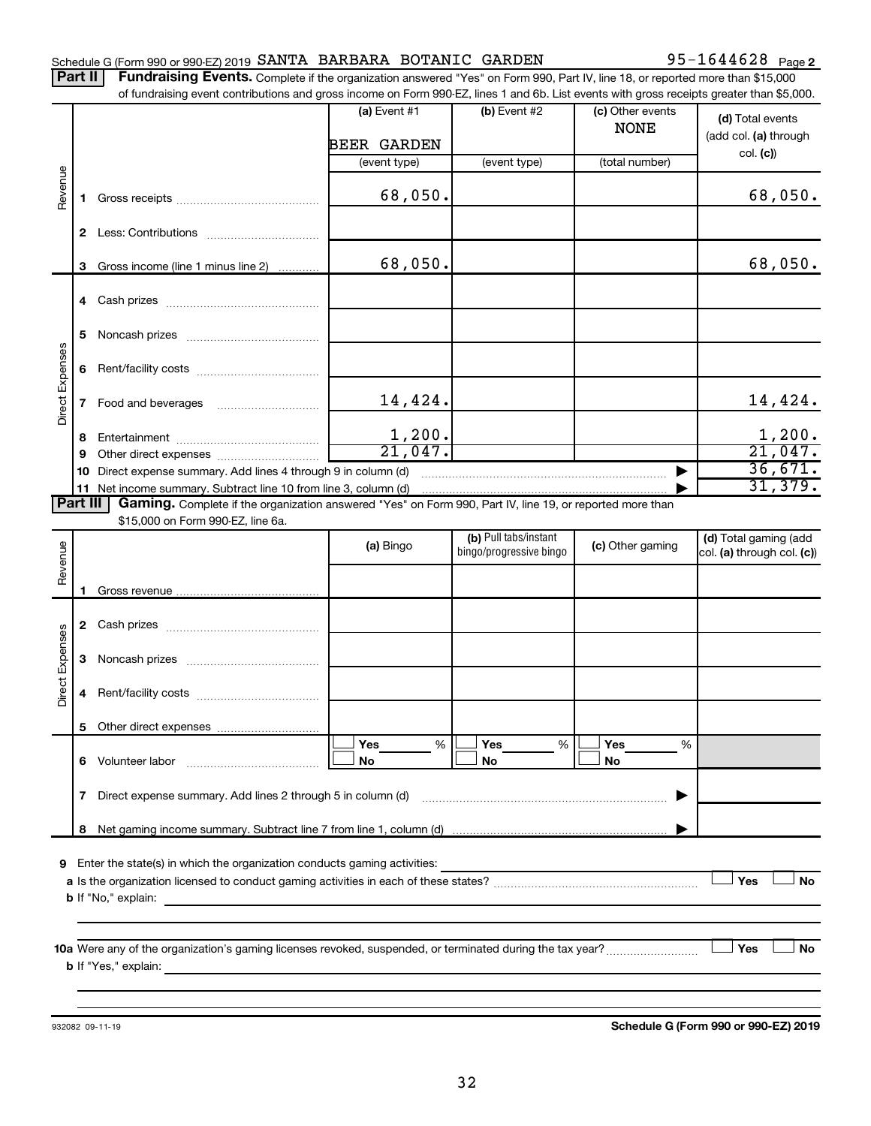### Schedule G (Form 990 or 990-EZ) 2019  $SANTA$  BARBARA BOTANIC  $GARDEN$  95-1644628  $Page$ **Part**

95-1644628 Page 2

| <b>II   Fundraising Events.</b> Complete if the organization answered "Yes" on Form 990, Part IV, line 18, or reported more than \$15,000 |
|-------------------------------------------------------------------------------------------------------------------------------------------|
| of fundraising event contributions and gross income on Form 990-EZ, lines 1 and 6b. List events with gross receipts greater than \$5,000. |

|                        |              | OF IDITIONS IN POSTED SHOWING THE ORIGINAL CONTRACT ON A SUBSTRAINING OF THE STATES OF SHOWING STREET IN A SUBSTRAINER ON A SUBSTRAINER ON A SUBSTRAINER ON A SUBSTRAINER ON A SUBSTRAINER ON A SUBSTRAINER ON A SUBSTRAINER O |                    |                                                  |                                 |                                                     |
|------------------------|--------------|--------------------------------------------------------------------------------------------------------------------------------------------------------------------------------------------------------------------------------|--------------------|--------------------------------------------------|---------------------------------|-----------------------------------------------------|
|                        |              |                                                                                                                                                                                                                                | (a) Event $#1$     | $(b)$ Event #2                                   | (c) Other events<br><b>NONE</b> | (d) Total events<br>(add col. (a) through           |
|                        |              |                                                                                                                                                                                                                                | <b>BEER GARDEN</b> |                                                  |                                 | col. (c)                                            |
|                        |              |                                                                                                                                                                                                                                | (event type)       | (event type)                                     | (total number)                  |                                                     |
| Revenue                | 1.           |                                                                                                                                                                                                                                | 68,050.            |                                                  |                                 | 68,050.                                             |
|                        |              |                                                                                                                                                                                                                                |                    |                                                  |                                 |                                                     |
|                        | 3            | Gross income (line 1 minus line 2)                                                                                                                                                                                             | 68,050.            |                                                  |                                 | 68,050.                                             |
|                        |              |                                                                                                                                                                                                                                |                    |                                                  |                                 |                                                     |
|                        | 5            |                                                                                                                                                                                                                                |                    |                                                  |                                 |                                                     |
|                        | 6            |                                                                                                                                                                                                                                |                    |                                                  |                                 |                                                     |
| Direct Expenses        | $\mathbf{7}$ |                                                                                                                                                                                                                                | 14,424.            |                                                  |                                 | 14,424.                                             |
|                        | 8            |                                                                                                                                                                                                                                | 1,200.             |                                                  |                                 | 1,200.                                              |
|                        | 9            |                                                                                                                                                                                                                                | 21,047.            |                                                  |                                 | 21,047.                                             |
|                        | 10           | Direct expense summary. Add lines 4 through 9 in column (d)                                                                                                                                                                    |                    |                                                  |                                 | 36,671.                                             |
|                        |              |                                                                                                                                                                                                                                |                    |                                                  |                                 | 31,379.                                             |
| <b>Part III</b>        |              | Gaming. Complete if the organization answered "Yes" on Form 990, Part IV, line 19, or reported more than                                                                                                                       |                    |                                                  |                                 |                                                     |
|                        |              | \$15,000 on Form 990-EZ, line 6a.                                                                                                                                                                                              |                    |                                                  |                                 |                                                     |
| Revenue                |              |                                                                                                                                                                                                                                | (a) Bingo          | (b) Pull tabs/instant<br>bingo/progressive bingo | (c) Other gaming                | (d) Total gaming (add<br>col. (a) through col. (c)) |
|                        |              |                                                                                                                                                                                                                                |                    |                                                  |                                 |                                                     |
|                        | 1.           |                                                                                                                                                                                                                                |                    |                                                  |                                 |                                                     |
|                        |              |                                                                                                                                                                                                                                |                    |                                                  |                                 |                                                     |
| <b>Direct Expenses</b> | 3            |                                                                                                                                                                                                                                |                    |                                                  |                                 |                                                     |
|                        | 4            |                                                                                                                                                                                                                                |                    |                                                  |                                 |                                                     |
|                        |              |                                                                                                                                                                                                                                |                    |                                                  |                                 |                                                     |
|                        |              |                                                                                                                                                                                                                                | Yes<br>%           | Yes<br>%                                         | Yes<br>%                        |                                                     |
|                        | 6            | Volunteer labor                                                                                                                                                                                                                | No                 | No                                               | No                              |                                                     |
|                        | 7            | Direct expense summary. Add lines 2 through 5 in column (d)                                                                                                                                                                    |                    |                                                  |                                 |                                                     |
|                        | 8            |                                                                                                                                                                                                                                |                    |                                                  |                                 |                                                     |
|                        |              |                                                                                                                                                                                                                                |                    |                                                  |                                 |                                                     |
| 9                      |              | Enter the state(s) in which the organization conducts gaming activities:                                                                                                                                                       |                    |                                                  |                                 |                                                     |
|                        |              |                                                                                                                                                                                                                                |                    |                                                  |                                 | Yes<br>No                                           |
|                        |              | <b>b</b> If "No," explain:                                                                                                                                                                                                     |                    |                                                  |                                 |                                                     |
|                        |              |                                                                                                                                                                                                                                |                    |                                                  |                                 |                                                     |
|                        |              |                                                                                                                                                                                                                                |                    |                                                  |                                 |                                                     |
|                        |              |                                                                                                                                                                                                                                |                    |                                                  |                                 | Yes<br>No                                           |
|                        |              |                                                                                                                                                                                                                                |                    |                                                  |                                 |                                                     |
|                        |              |                                                                                                                                                                                                                                |                    |                                                  |                                 |                                                     |
|                        |              |                                                                                                                                                                                                                                |                    |                                                  |                                 |                                                     |

932082 09-11-19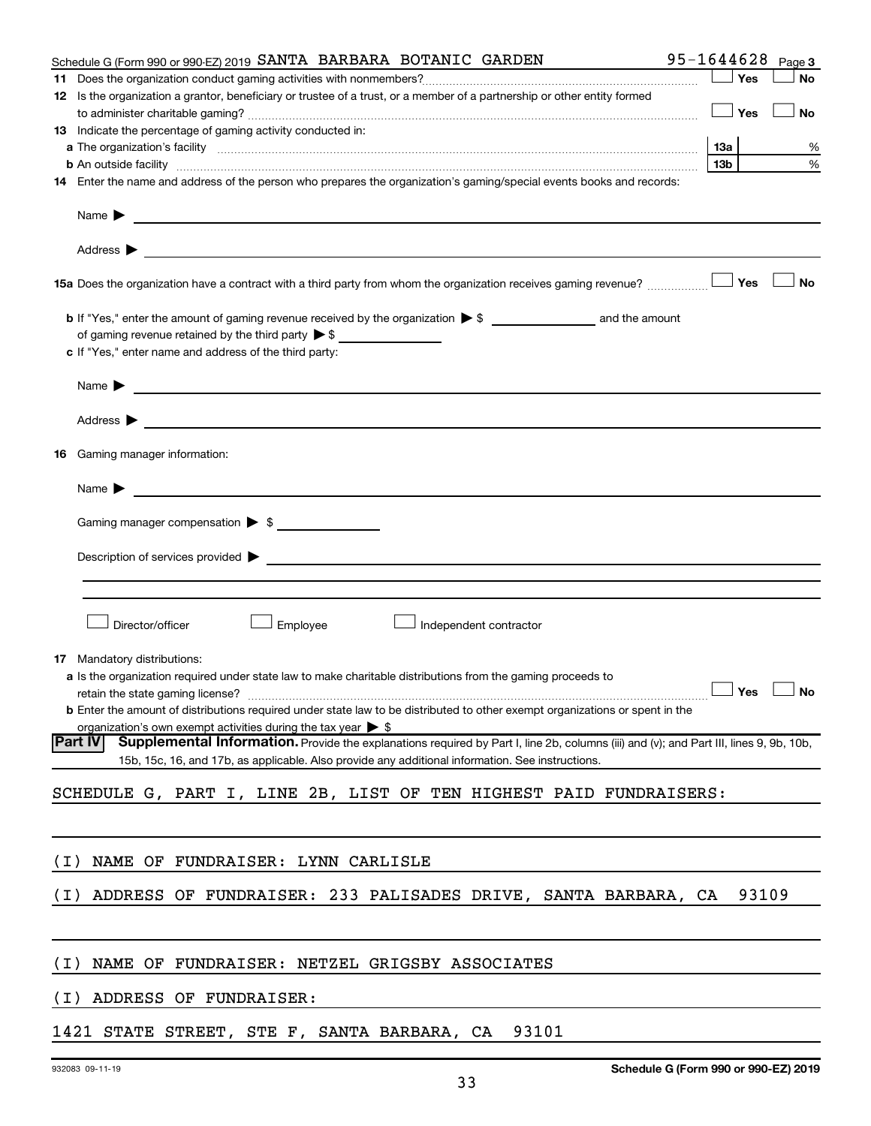|       | Schedule G (Form 990 or 990-EZ) 2019 SANTA BARBARA BOTANIC GARDEN                                                                                                                 | 95-1644628      | Page 3    |
|-------|-----------------------------------------------------------------------------------------------------------------------------------------------------------------------------------|-----------------|-----------|
|       |                                                                                                                                                                                   | Yes             | No        |
|       | 12 Is the organization a grantor, beneficiary or trustee of a trust, or a member of a partnership or other entity formed                                                          |                 |           |
|       |                                                                                                                                                                                   | Yes             | No        |
|       | 13 Indicate the percentage of gaming activity conducted in:                                                                                                                       |                 |           |
|       |                                                                                                                                                                                   | 13a             | %         |
|       | <b>b</b> An outside facility <i>www.communicality www.communicality.communicality www.communicality www.communicality.communicality www.communicality.com</i>                     | 13 <sub>b</sub> | %         |
|       | 14 Enter the name and address of the person who prepares the organization's gaming/special events books and records:                                                              |                 |           |
|       |                                                                                                                                                                                   |                 |           |
|       |                                                                                                                                                                                   |                 |           |
|       | 15a Does the organization have a contract with a third party from whom the organization receives gaming revenue?                                                                  | Yes             | <b>No</b> |
|       |                                                                                                                                                                                   |                 |           |
|       |                                                                                                                                                                                   |                 |           |
|       | c If "Yes," enter name and address of the third party:                                                                                                                            |                 |           |
|       | Name $\blacktriangleright$<br><u> 1980 - Andrea State Barbara, amerikan bahasa di sebagai personal di sebagai personal di sebagai personal di s</u>                               |                 |           |
|       |                                                                                                                                                                                   |                 |           |
|       | 16 Gaming manager information:                                                                                                                                                    |                 |           |
|       |                                                                                                                                                                                   |                 |           |
|       | Gaming manager compensation > \$                                                                                                                                                  |                 |           |
|       |                                                                                                                                                                                   |                 |           |
|       |                                                                                                                                                                                   |                 |           |
|       |                                                                                                                                                                                   |                 |           |
|       |                                                                                                                                                                                   |                 |           |
|       | Director/officer<br>Employee<br>Independent contractor                                                                                                                            |                 |           |
|       |                                                                                                                                                                                   |                 |           |
|       | <b>17</b> Mandatory distributions:                                                                                                                                                |                 |           |
|       | a Is the organization required under state law to make charitable distributions from the gaming proceeds to                                                                       |                 |           |
|       | retain the state gaming license? $\Box$ No<br><b>b</b> Enter the amount of distributions required under state law to be distributed to other exempt organizations or spent in the |                 |           |
|       | organization's own exempt activities during the tax year $\triangleright$ \$                                                                                                      |                 |           |
|       | Part IV<br>Supplemental Information. Provide the explanations required by Part I, line 2b, columns (iii) and (v); and Part III, lines 9, 9b, 10b,                                 |                 |           |
|       | 15b, 15c, 16, and 17b, as applicable. Also provide any additional information. See instructions.                                                                                  |                 |           |
|       |                                                                                                                                                                                   |                 |           |
|       | SCHEDULE G, PART I, LINE 2B, LIST OF TEN HIGHEST PAID FUNDRAISERS:                                                                                                                |                 |           |
|       |                                                                                                                                                                                   |                 |           |
| ( I ) | NAME OF FUNDRAISER: LYNN CARLISLE                                                                                                                                                 |                 |           |
| ( I ) | ADDRESS OF FUNDRAISER: 233 PALISADES DRIVE, SANTA BARBARA, CA                                                                                                                     |                 | 93109     |
|       |                                                                                                                                                                                   |                 |           |
|       |                                                                                                                                                                                   |                 |           |
| ( I ) | FUNDRAISER: NETZEL GRIGSBY ASSOCIATES<br>NAME OF                                                                                                                                  |                 |           |
| ( I ) | ADDRESS OF FUNDRAISER:                                                                                                                                                            |                 |           |
|       |                                                                                                                                                                                   |                 |           |

# 1421 STATE STREET, STE F, SANTA BARBARA, CA 93101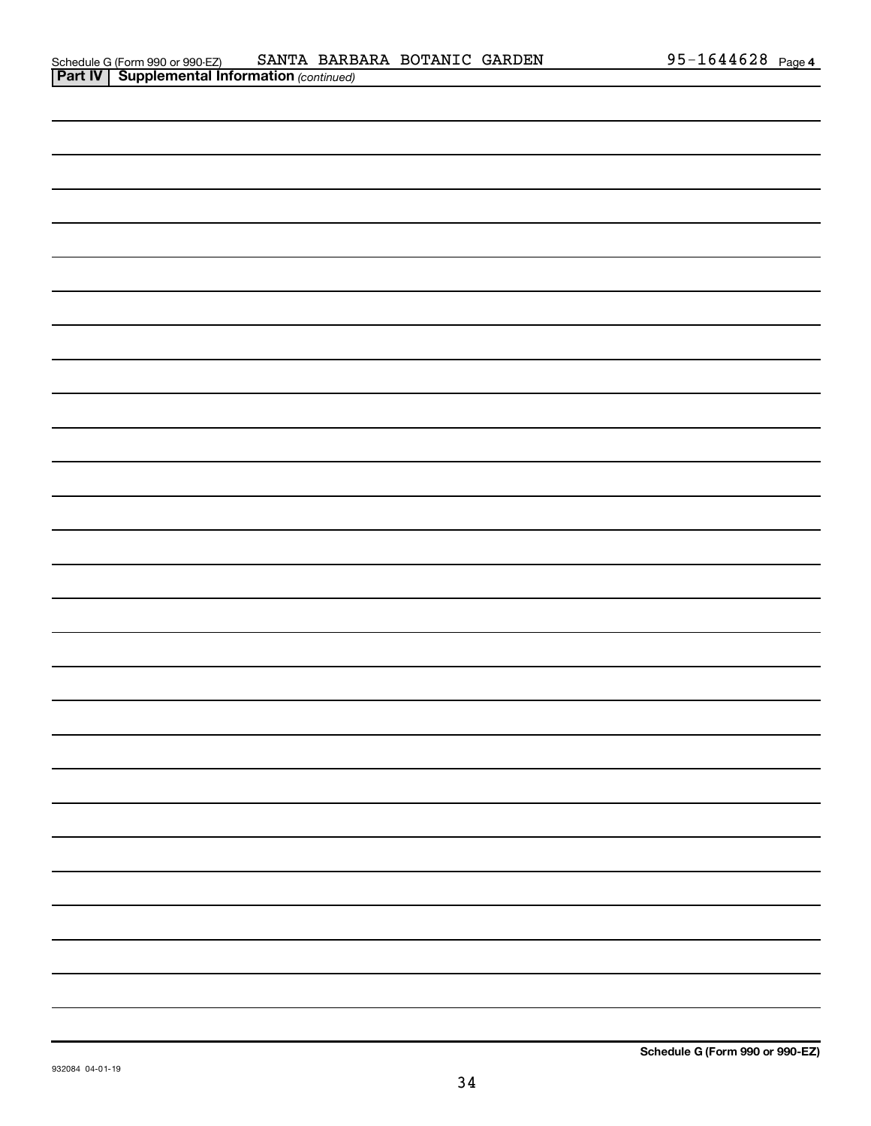| . . |  |  |  |  |
|-----|--|--|--|--|
|     |  |  |  |  |
|     |  |  |  |  |
|     |  |  |  |  |
|     |  |  |  |  |
|     |  |  |  |  |
|     |  |  |  |  |
|     |  |  |  |  |
|     |  |  |  |  |
|     |  |  |  |  |
|     |  |  |  |  |
|     |  |  |  |  |
|     |  |  |  |  |
|     |  |  |  |  |
|     |  |  |  |  |
|     |  |  |  |  |
|     |  |  |  |  |
|     |  |  |  |  |
|     |  |  |  |  |
|     |  |  |  |  |
|     |  |  |  |  |
|     |  |  |  |  |
|     |  |  |  |  |
|     |  |  |  |  |
|     |  |  |  |  |
|     |  |  |  |  |
|     |  |  |  |  |
|     |  |  |  |  |
|     |  |  |  |  |
|     |  |  |  |  |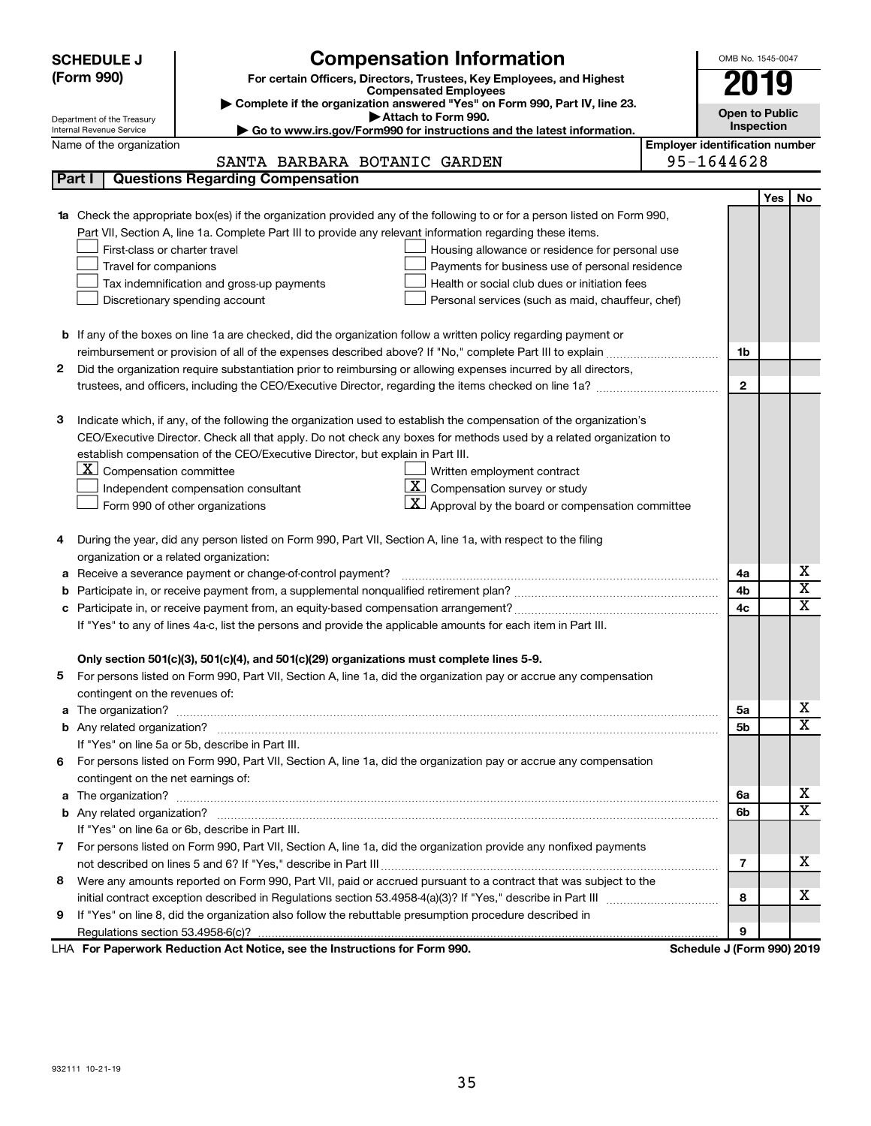|        | <b>SCHEDULE J</b>                                                                                                                              | <b>Compensation Information</b>                                                                                        |                                       | OMB No. 1545-0047          |            |                         |  |  |
|--------|------------------------------------------------------------------------------------------------------------------------------------------------|------------------------------------------------------------------------------------------------------------------------|---------------------------------------|----------------------------|------------|-------------------------|--|--|
|        | (Form 990)                                                                                                                                     | For certain Officers, Directors, Trustees, Key Employees, and Highest                                                  |                                       |                            |            |                         |  |  |
|        |                                                                                                                                                | <b>Compensated Employees</b>                                                                                           |                                       |                            | 2019       |                         |  |  |
|        |                                                                                                                                                | Complete if the organization answered "Yes" on Form 990, Part IV, line 23.<br>Attach to Form 990.                      |                                       | <b>Open to Public</b>      |            |                         |  |  |
|        | Department of the Treasury<br>Inspection<br>Go to www.irs.gov/Form990 for instructions and the latest information.<br>Internal Revenue Service |                                                                                                                        |                                       |                            |            |                         |  |  |
|        | Name of the organization                                                                                                                       |                                                                                                                        | <b>Employer identification number</b> |                            |            |                         |  |  |
|        |                                                                                                                                                | SANTA BARBARA BOTANIC GARDEN                                                                                           |                                       | 95-1644628                 |            |                         |  |  |
|        | Part I                                                                                                                                         | <b>Questions Regarding Compensation</b>                                                                                |                                       |                            |            |                         |  |  |
|        |                                                                                                                                                |                                                                                                                        |                                       |                            | <b>Yes</b> | No                      |  |  |
|        |                                                                                                                                                | Check the appropriate box(es) if the organization provided any of the following to or for a person listed on Form 990, |                                       |                            |            |                         |  |  |
|        |                                                                                                                                                | Part VII, Section A, line 1a. Complete Part III to provide any relevant information regarding these items.             |                                       |                            |            |                         |  |  |
|        | First-class or charter travel                                                                                                                  | Housing allowance or residence for personal use                                                                        |                                       |                            |            |                         |  |  |
|        | Travel for companions                                                                                                                          | Payments for business use of personal residence                                                                        |                                       |                            |            |                         |  |  |
|        |                                                                                                                                                | Health or social club dues or initiation fees<br>Tax indemnification and gross-up payments                             |                                       |                            |            |                         |  |  |
|        |                                                                                                                                                | Discretionary spending account<br>Personal services (such as maid, chauffeur, chef)                                    |                                       |                            |            |                         |  |  |
|        |                                                                                                                                                |                                                                                                                        |                                       |                            |            |                         |  |  |
|        |                                                                                                                                                | <b>b</b> If any of the boxes on line 1a are checked, did the organization follow a written policy regarding payment or |                                       |                            |            |                         |  |  |
|        |                                                                                                                                                |                                                                                                                        |                                       | 1b                         |            |                         |  |  |
| 2      |                                                                                                                                                | Did the organization require substantiation prior to reimbursing or allowing expenses incurred by all directors,       |                                       |                            |            |                         |  |  |
|        |                                                                                                                                                | trustees, and officers, including the CEO/Executive Director, regarding the items checked on line 1a?                  |                                       | $\mathbf{2}$               |            |                         |  |  |
|        |                                                                                                                                                |                                                                                                                        |                                       |                            |            |                         |  |  |
| З      |                                                                                                                                                | Indicate which, if any, of the following the organization used to establish the compensation of the organization's     |                                       |                            |            |                         |  |  |
|        |                                                                                                                                                | CEO/Executive Director. Check all that apply. Do not check any boxes for methods used by a related organization to     |                                       |                            |            |                         |  |  |
|        |                                                                                                                                                | establish compensation of the CEO/Executive Director, but explain in Part III.                                         |                                       |                            |            |                         |  |  |
|        | $ \mathbf{X} $ Compensation committee                                                                                                          | Written employment contract                                                                                            |                                       |                            |            |                         |  |  |
|        |                                                                                                                                                | $ \mathbf{X} $ Compensation survey or study<br>Independent compensation consultant                                     |                                       |                            |            |                         |  |  |
|        |                                                                                                                                                | $ \mathbf{X} $ Approval by the board or compensation committee<br>Form 990 of other organizations                      |                                       |                            |            |                         |  |  |
|        |                                                                                                                                                | During the year, did any person listed on Form 990, Part VII, Section A, line 1a, with respect to the filing           |                                       |                            |            |                         |  |  |
| 4      |                                                                                                                                                |                                                                                                                        |                                       |                            |            |                         |  |  |
|        | organization or a related organization:                                                                                                        | Receive a severance payment or change-of-control payment?                                                              |                                       |                            |            | х                       |  |  |
| а<br>b |                                                                                                                                                |                                                                                                                        |                                       | 4a<br>4b                   |            | $\overline{\textbf{x}}$ |  |  |
|        |                                                                                                                                                |                                                                                                                        |                                       | 4c                         |            | $\mathbf x$             |  |  |
|        |                                                                                                                                                | If "Yes" to any of lines 4a-c, list the persons and provide the applicable amounts for each item in Part III.          |                                       |                            |            |                         |  |  |
|        |                                                                                                                                                |                                                                                                                        |                                       |                            |            |                         |  |  |
|        |                                                                                                                                                | Only section 501(c)(3), 501(c)(4), and 501(c)(29) organizations must complete lines 5-9.                               |                                       |                            |            |                         |  |  |
| 5      |                                                                                                                                                | For persons listed on Form 990, Part VII, Section A, line 1a, did the organization pay or accrue any compensation      |                                       |                            |            |                         |  |  |
|        | contingent on the revenues of:                                                                                                                 |                                                                                                                        |                                       |                            |            |                         |  |  |
| a      |                                                                                                                                                |                                                                                                                        |                                       | 5a                         |            | х                       |  |  |
|        |                                                                                                                                                |                                                                                                                        |                                       | 5b                         |            | X                       |  |  |
|        |                                                                                                                                                | If "Yes" on line 5a or 5b, describe in Part III.                                                                       |                                       |                            |            |                         |  |  |
|        |                                                                                                                                                | 6 For persons listed on Form 990, Part VII, Section A, line 1a, did the organization pay or accrue any compensation    |                                       |                            |            |                         |  |  |
|        | contingent on the net earnings of:                                                                                                             |                                                                                                                        |                                       |                            |            |                         |  |  |
| а      |                                                                                                                                                |                                                                                                                        |                                       | 6а                         |            | х                       |  |  |
|        |                                                                                                                                                |                                                                                                                        |                                       | 6b                         |            | X                       |  |  |
|        |                                                                                                                                                | If "Yes" on line 6a or 6b, describe in Part III.                                                                       |                                       |                            |            |                         |  |  |
|        |                                                                                                                                                | 7 For persons listed on Form 990, Part VII, Section A, line 1a, did the organization provide any nonfixed payments     |                                       |                            |            |                         |  |  |
|        |                                                                                                                                                |                                                                                                                        |                                       | 7                          |            | x                       |  |  |
| 8      |                                                                                                                                                | Were any amounts reported on Form 990, Part VII, paid or accrued pursuant to a contract that was subject to the        |                                       |                            |            |                         |  |  |
|        |                                                                                                                                                |                                                                                                                        |                                       | 8                          |            | x                       |  |  |
| 9      |                                                                                                                                                | If "Yes" on line 8, did the organization also follow the rebuttable presumption procedure described in                 |                                       |                            |            |                         |  |  |
|        |                                                                                                                                                |                                                                                                                        |                                       | 9                          |            |                         |  |  |
|        |                                                                                                                                                | LHA For Paperwork Reduction Act Notice, see the Instructions for Form 990.                                             |                                       | Schedule J (Form 990) 2019 |            |                         |  |  |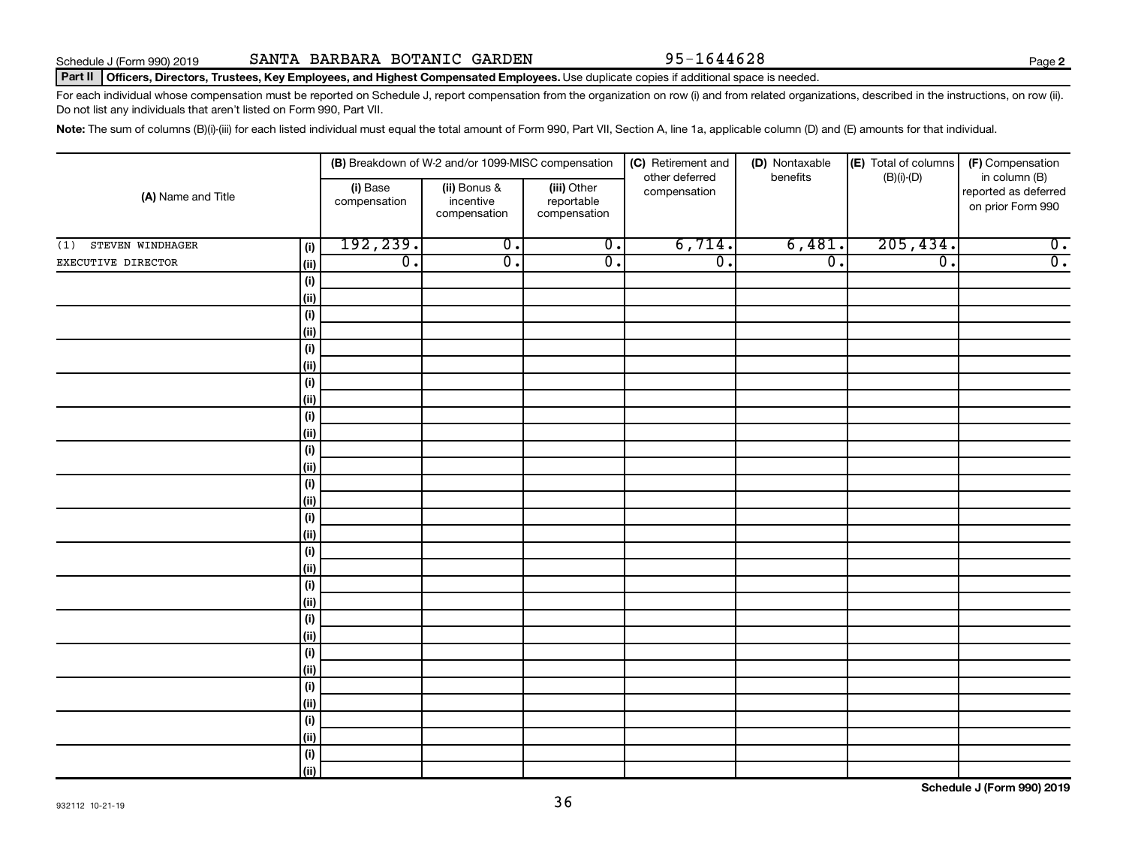#### Part II | Officers, Directors, Trustees, Key Employees, and Highest Compensated Employees. Use duplicate copies if additional space is needed.

For each individual whose compensation must be reported on Schedule J, report compensation from the organization on row (i) and from related organizations, described in the instructions, on row (ii). Do not list any individuals that aren't listed on Form 990, Part VII.

Note: The sum of columns (B)(i)-(iii) for each listed individual must equal the total amount of Form 990, Part VII, Section A, line 1a, applicable column (D) and (E) amounts for that individual.

| (A) Name and Title      |                    |                          | (B) Breakdown of W-2 and/or 1099-MISC compensation |                                           | (C) Retirement and             | (D) Nontaxable   | (E) Total of columns<br>(F) Compensation |                                                            |  |
|-------------------------|--------------------|--------------------------|----------------------------------------------------|-------------------------------------------|--------------------------------|------------------|------------------------------------------|------------------------------------------------------------|--|
|                         |                    | (i) Base<br>compensation | (ii) Bonus &<br>incentive<br>compensation          | (iii) Other<br>reportable<br>compensation | other deferred<br>compensation | benefits         | $(B)(i)$ - $(D)$                         | in column (B)<br>reported as deferred<br>on prior Form 990 |  |
| STEVEN WINDHAGER<br>(1) | (i)                | 192,239.                 | $\overline{0}$ .                                   | $\overline{0}$ .                          | 6,714.                         | 6,481.           | 205, 434.                                | $\overline{0}$ .                                           |  |
| EXECUTIVE DIRECTOR      | (ii)               | $\overline{0}$ .         | $\overline{0}$ .                                   | $\overline{0}$ .                          | $\overline{0}$ .               | $\overline{0}$ . | $\overline{\mathfrak{o}}$ .              | $\overline{0}$ .                                           |  |
|                         | (i)                |                          |                                                    |                                           |                                |                  |                                          |                                                            |  |
|                         | (ii)               |                          |                                                    |                                           |                                |                  |                                          |                                                            |  |
|                         | $(\sf{i})$         |                          |                                                    |                                           |                                |                  |                                          |                                                            |  |
|                         | (ii)               |                          |                                                    |                                           |                                |                  |                                          |                                                            |  |
|                         | $(\sf{i})$         |                          |                                                    |                                           |                                |                  |                                          |                                                            |  |
|                         | (ii)               |                          |                                                    |                                           |                                |                  |                                          |                                                            |  |
|                         | (i)                |                          |                                                    |                                           |                                |                  |                                          |                                                            |  |
|                         | (ii)               |                          |                                                    |                                           |                                |                  |                                          |                                                            |  |
|                         | (i)                |                          |                                                    |                                           |                                |                  |                                          |                                                            |  |
|                         | (i)                |                          |                                                    |                                           |                                |                  |                                          |                                                            |  |
|                         | (i)                |                          |                                                    |                                           |                                |                  |                                          |                                                            |  |
|                         | (i)                |                          |                                                    |                                           |                                |                  |                                          |                                                            |  |
|                         | (i)                |                          |                                                    |                                           |                                |                  |                                          |                                                            |  |
|                         | (ii)               |                          |                                                    |                                           |                                |                  |                                          |                                                            |  |
|                         | $(\sf{i})$<br>(ii) |                          |                                                    |                                           |                                |                  |                                          |                                                            |  |
|                         | $(\sf{i})$         |                          |                                                    |                                           |                                |                  |                                          |                                                            |  |
|                         | (ii)               |                          |                                                    |                                           |                                |                  |                                          |                                                            |  |
|                         | (i)                |                          |                                                    |                                           |                                |                  |                                          |                                                            |  |
|                         | (ii)               |                          |                                                    |                                           |                                |                  |                                          |                                                            |  |
|                         | (i)                |                          |                                                    |                                           |                                |                  |                                          |                                                            |  |
|                         | (ii)               |                          |                                                    |                                           |                                |                  |                                          |                                                            |  |
|                         | (i)                |                          |                                                    |                                           |                                |                  |                                          |                                                            |  |
|                         | (ii)               |                          |                                                    |                                           |                                |                  |                                          |                                                            |  |
|                         | (i)                |                          |                                                    |                                           |                                |                  |                                          |                                                            |  |
|                         | (ii)               |                          |                                                    |                                           |                                |                  |                                          |                                                            |  |
|                         | (i)                |                          |                                                    |                                           |                                |                  |                                          |                                                            |  |
|                         | (ii)               |                          |                                                    |                                           |                                |                  |                                          |                                                            |  |
|                         | (i)                |                          |                                                    |                                           |                                |                  |                                          |                                                            |  |
|                         | (ii)               |                          |                                                    |                                           |                                |                  |                                          |                                                            |  |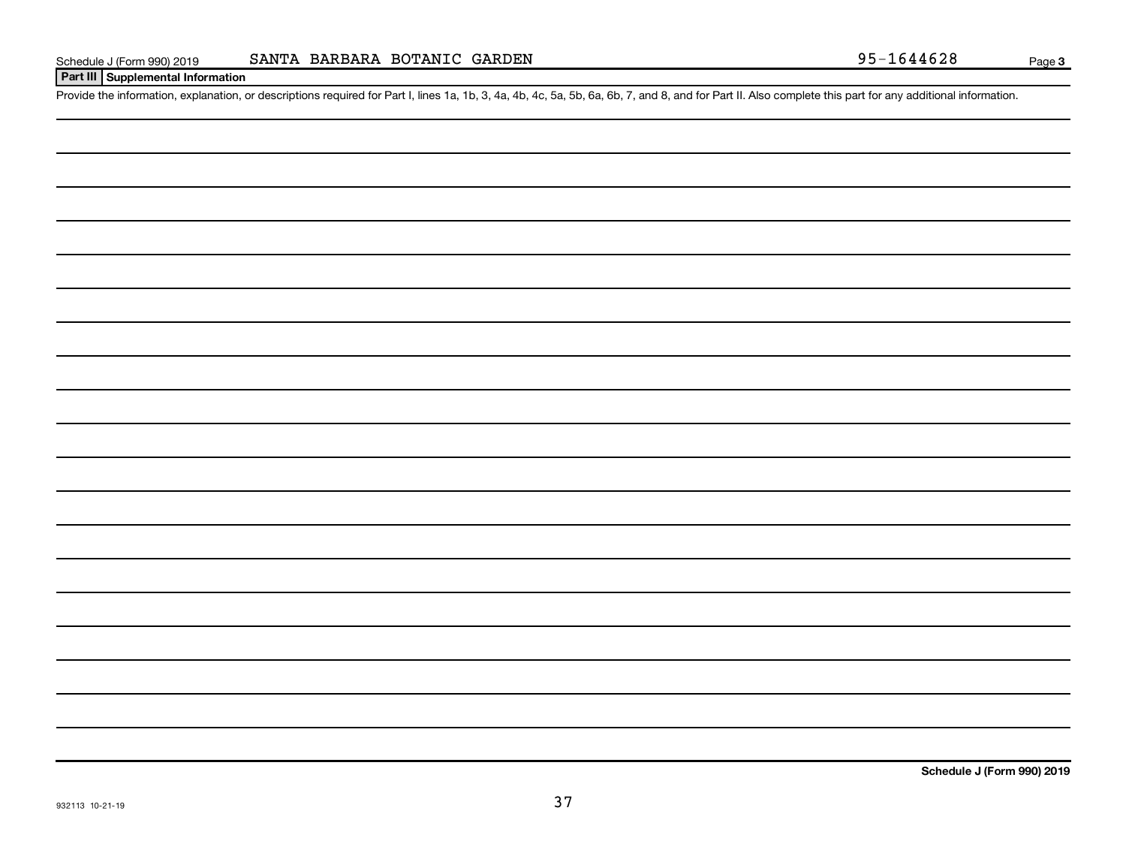## **Part III Supplemental Information**

Provide the information, explanation, or descriptions required for Part I, lines 1a, 1b, 3, 4a, 4b, 4c, 5a, 5b, 6a, 6b, 7, and 8, and for Part II. Also complete this part for any additional information.

**Schedule J (Form 990) 2019**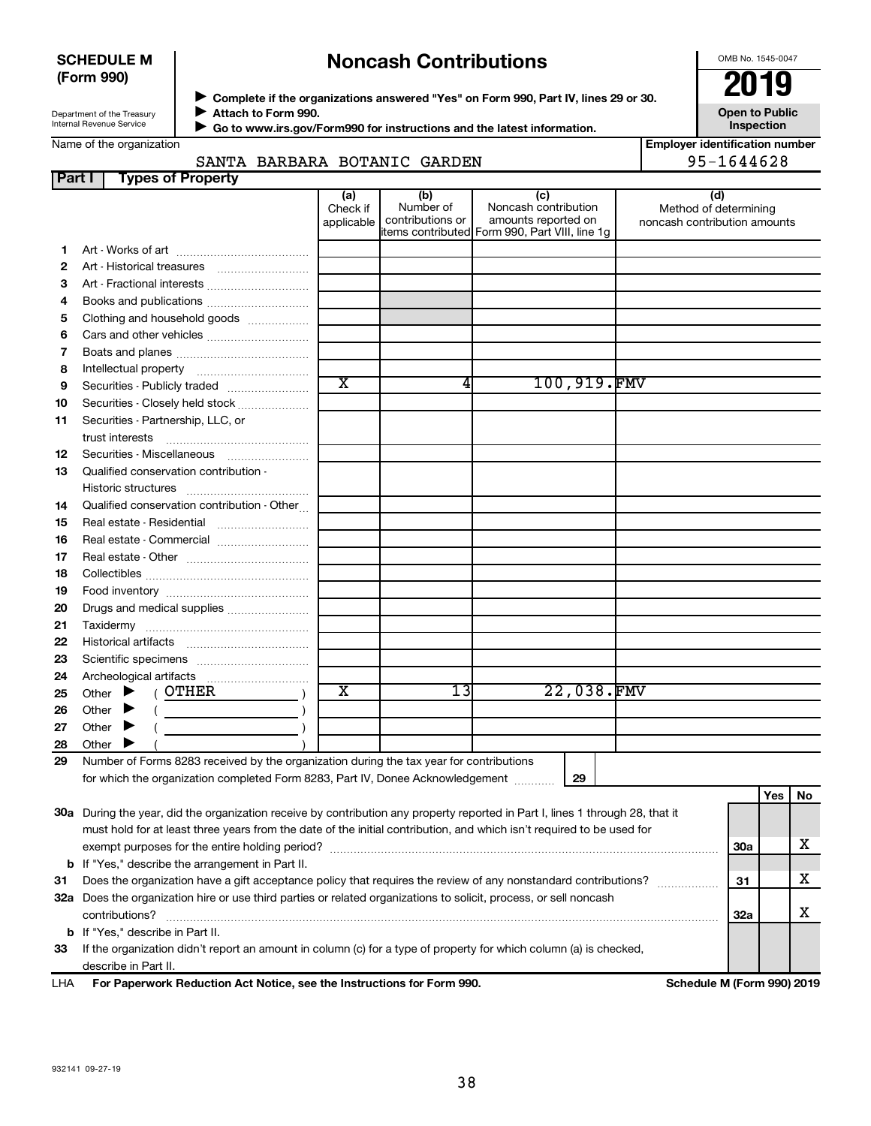### **SCHEDULE M (Form 990)**

# **Noncash Contributions**

OMB No. 1545-0047

**Open to Public**

Department of the Treasury Internal Revenue Service

Name of the organization

◆ Complete if the organizations answered "Yes" on Form 990, Part IV, lines 29 or 30.<br>▶ Complete if the organizations answered "Yes" on Form 990, Part IV, lines 29 or 30. **Attach to Form 990.**  $\blacktriangleright$ 

 **Go to www.irs.gov/Form990 for instructions and the latest information.** J

**Inspection Employer identification number**

# SANTA BARBARA BOTANIC GARDEN 95-1644628

| Part I | <b>Types of Property</b>                                                                                                       |                               |                                      |                                                                                                      |                                                              |            |    |
|--------|--------------------------------------------------------------------------------------------------------------------------------|-------------------------------|--------------------------------------|------------------------------------------------------------------------------------------------------|--------------------------------------------------------------|------------|----|
|        |                                                                                                                                | (a)<br>Check if<br>applicable | (b)<br>Number of<br>contributions or | (c)<br>Noncash contribution<br>amounts reported on<br>items contributed Form 990, Part VIII, line 1g | (d)<br>Method of determining<br>noncash contribution amounts |            |    |
| 1      |                                                                                                                                |                               |                                      |                                                                                                      |                                                              |            |    |
| 2      | Art - Historical treasures                                                                                                     |                               |                                      |                                                                                                      |                                                              |            |    |
| З      | Art - Fractional interests                                                                                                     |                               |                                      |                                                                                                      |                                                              |            |    |
| 4      | Books and publications                                                                                                         |                               |                                      |                                                                                                      |                                                              |            |    |
| 5      | Clothing and household goods                                                                                                   |                               |                                      |                                                                                                      |                                                              |            |    |
| 6      | Cars and other vehicles                                                                                                        |                               |                                      |                                                                                                      |                                                              |            |    |
| 7      |                                                                                                                                |                               |                                      |                                                                                                      |                                                              |            |    |
| 8      |                                                                                                                                |                               |                                      |                                                                                                      |                                                              |            |    |
| 9      | Securities - Publicly traded                                                                                                   | $\overline{\text{x}}$         | 4                                    | 100,919.FMV                                                                                          |                                                              |            |    |
| 10     | Securities - Closely held stock                                                                                                |                               |                                      |                                                                                                      |                                                              |            |    |
| 11     | Securities - Partnership, LLC, or                                                                                              |                               |                                      |                                                                                                      |                                                              |            |    |
|        | trust interests                                                                                                                |                               |                                      |                                                                                                      |                                                              |            |    |
| 12     | Securities - Miscellaneous                                                                                                     |                               |                                      |                                                                                                      |                                                              |            |    |
| 13     | Qualified conservation contribution -                                                                                          |                               |                                      |                                                                                                      |                                                              |            |    |
|        |                                                                                                                                |                               |                                      |                                                                                                      |                                                              |            |    |
| 14     | Qualified conservation contribution - Other                                                                                    |                               |                                      |                                                                                                      |                                                              |            |    |
| 15     |                                                                                                                                |                               |                                      |                                                                                                      |                                                              |            |    |
| 16     | Real estate - Commercial                                                                                                       |                               |                                      |                                                                                                      |                                                              |            |    |
| 17     |                                                                                                                                |                               |                                      |                                                                                                      |                                                              |            |    |
| 18     |                                                                                                                                |                               |                                      |                                                                                                      |                                                              |            |    |
| 19     |                                                                                                                                |                               |                                      |                                                                                                      |                                                              |            |    |
| 20     | Drugs and medical supplies                                                                                                     |                               |                                      |                                                                                                      |                                                              |            |    |
| 21     |                                                                                                                                |                               |                                      |                                                                                                      |                                                              |            |    |
| 22     |                                                                                                                                |                               |                                      |                                                                                                      |                                                              |            |    |
| 23     |                                                                                                                                |                               |                                      |                                                                                                      |                                                              |            |    |
| 24     |                                                                                                                                |                               |                                      |                                                                                                      |                                                              |            |    |
| 25     | $($ OTHER<br>Other<br>▸                                                                                                        | х                             | 13                                   | 22,038.FMV                                                                                           |                                                              |            |    |
| 26     | $\overline{\phantom{a}}$ )<br>Other                                                                                            |                               |                                      |                                                                                                      |                                                              |            |    |
| 27     | Other<br>▸                                                                                                                     |                               |                                      |                                                                                                      |                                                              |            |    |
| 28     | Other                                                                                                                          |                               |                                      |                                                                                                      |                                                              |            |    |
| 29     | Number of Forms 8283 received by the organization during the tax year for contributions                                        |                               |                                      |                                                                                                      |                                                              |            |    |
|        | for which the organization completed Form 8283, Part IV, Donee Acknowledgement                                                 |                               |                                      | 29                                                                                                   |                                                              |            |    |
|        |                                                                                                                                |                               |                                      |                                                                                                      |                                                              | <b>Yes</b> | No |
|        | 30a During the year, did the organization receive by contribution any property reported in Part I, lines 1 through 28, that it |                               |                                      |                                                                                                      |                                                              |            |    |
|        | must hold for at least three years from the date of the initial contribution, and which isn't required to be used for          |                               |                                      |                                                                                                      |                                                              |            |    |
|        |                                                                                                                                |                               |                                      |                                                                                                      |                                                              | <b>30a</b> | х  |
|        | <b>b</b> If "Yes," describe the arrangement in Part II.                                                                        |                               |                                      |                                                                                                      |                                                              |            |    |
| 31     | Does the organization have a gift acceptance policy that requires the review of any nonstandard contributions?                 |                               |                                      |                                                                                                      |                                                              | 31         | х  |
|        | 32a Does the organization hire or use third parties or related organizations to solicit, process, or sell noncash              |                               |                                      |                                                                                                      |                                                              |            | X  |
|        | contributions?                                                                                                                 |                               |                                      |                                                                                                      |                                                              | <b>32a</b> |    |
|        | <b>b</b> If "Yes," describe in Part II.                                                                                        |                               |                                      |                                                                                                      |                                                              |            |    |
| 33     | If the organization didn't report an amount in column (c) for a type of property for which column (a) is checked,              |                               |                                      |                                                                                                      |                                                              |            |    |
|        | describe in Part II.                                                                                                           |                               |                                      |                                                                                                      |                                                              |            |    |
| LHA    | For Paperwork Reduction Act Notice, see the Instructions for Form 990.                                                         |                               |                                      |                                                                                                      | Schedule M (Form 990) 2019                                   |            |    |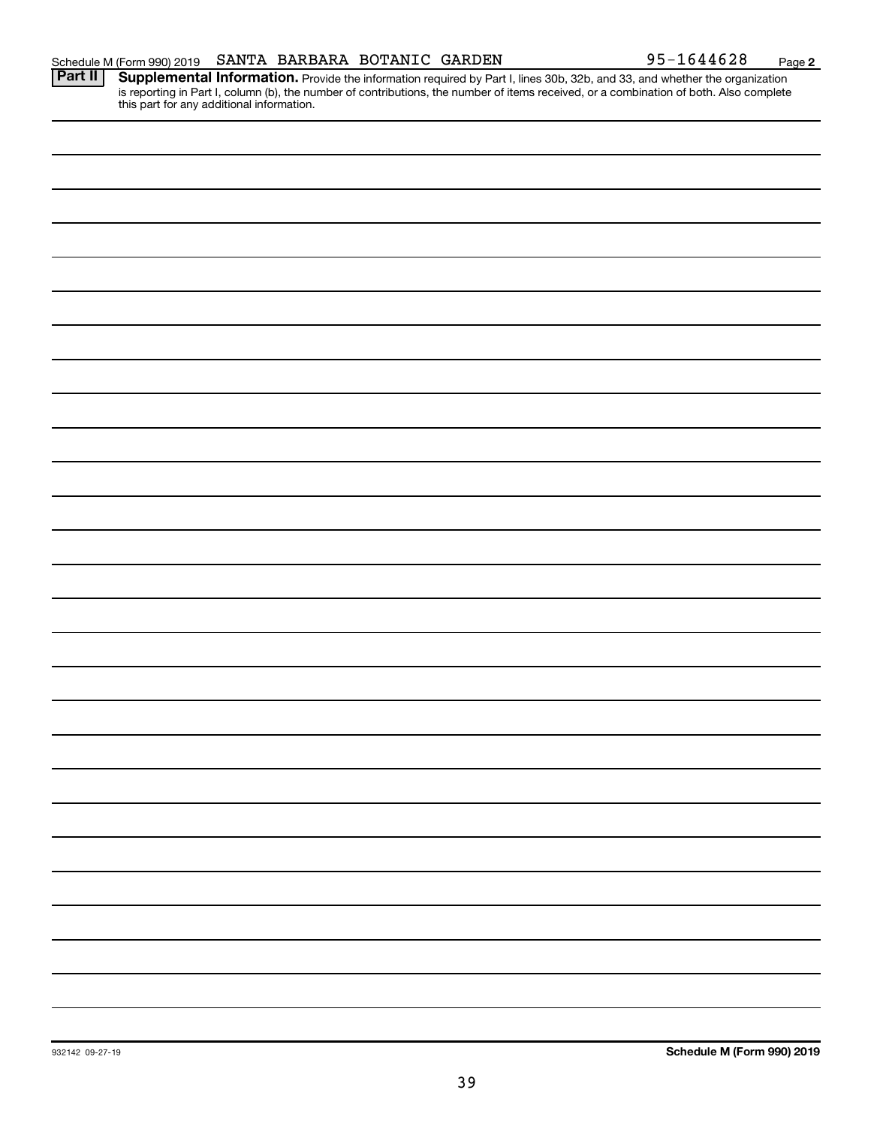**2**

Provide the information required by Part I, lines 30b, 32b, and 33, and whether the organization is reporting in Part I, column (b), the number of contributions, the number of items received, or a combination of both. Also complete this part for any additional information. **Part II Supplemental Information.**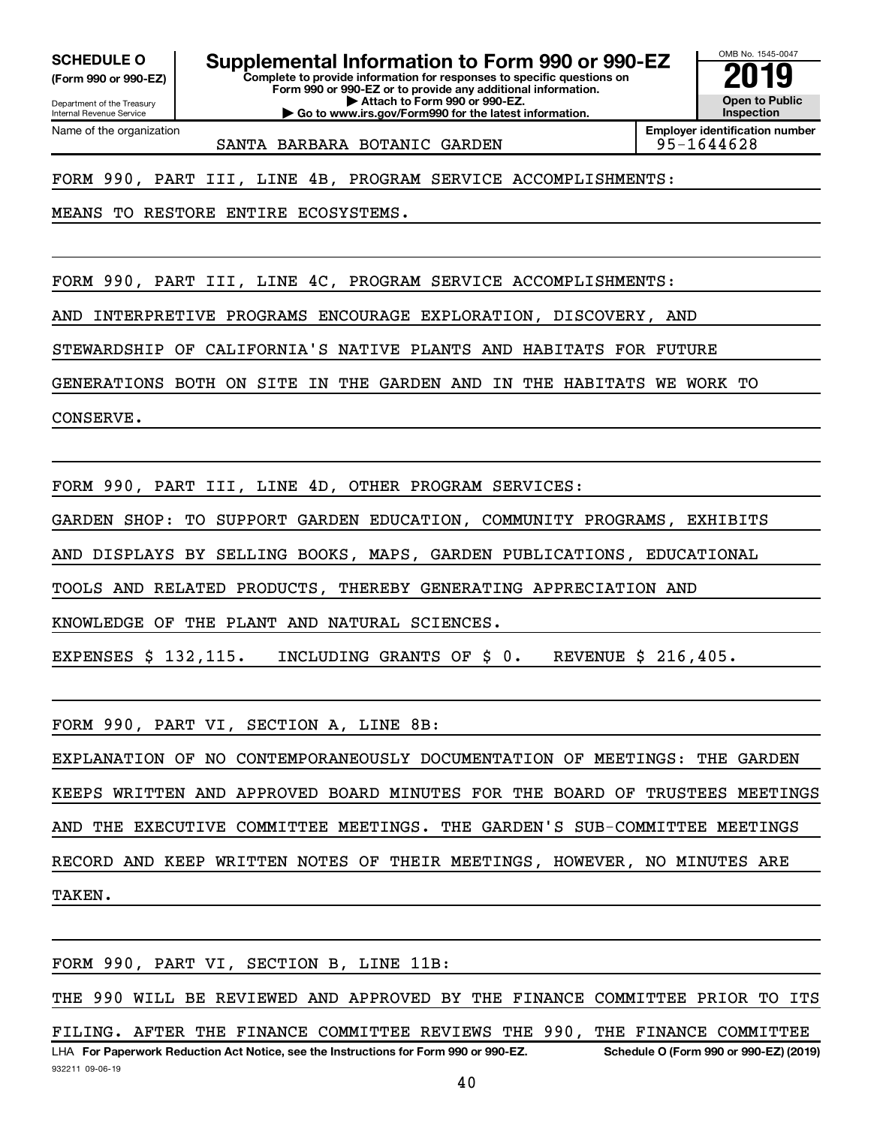**(Form 990 or 990-EZ)**

SCHEDULE O **Supplemental Information to Form 990 or 990-EZ** 2019<br>(Form 990 or 990-EZ)

**Complete to provide information for responses to specific questions on Form 990 or 990-EZ or to provide any additional information. | Attach to Form 990 or 990-EZ. | Go to www.irs.gov/Form990 for the latest information.**

Department of the Treasury Internal Revenue Service Name of the organization

**Employer identification number**

SANTA BARBARA BOTANIC GARDEN 195-1644628

OMB No. 1545-0047

**Open to Public Inspection**

FORM 990, PART III, LINE 4B, PROGRAM SERVICE ACCOMPLISHMENTS:

MEANS TO RESTORE ENTIRE ECOSYSTEMS.

FORM 990, PART III, LINE 4C, PROGRAM SERVICE ACCOMPLISHMENTS:

AND INTERPRETIVE PROGRAMS ENCOURAGE EXPLORATION, DISCOVERY, AND

STEWARDSHIP OF CALIFORNIA'S NATIVE PLANTS AND HABITATS FOR FUTURE

GENERATIONS BOTH ON SITE IN THE GARDEN AND IN THE HABITATS WE WORK TO

CONSERVE.

FORM 990, PART III, LINE 4D, OTHER PROGRAM SERVICES:

GARDEN SHOP: TO SUPPORT GARDEN EDUCATION, COMMUNITY PROGRAMS, EXHIBITS

AND DISPLAYS BY SELLING BOOKS, MAPS, GARDEN PUBLICATIONS, EDUCATIONAL

TOOLS AND RELATED PRODUCTS, THEREBY GENERATING APPRECIATION AND

KNOWLEDGE OF THE PLANT AND NATURAL SCIENCES.

EXPENSES \$ 132,115. INCLUDING GRANTS OF \$ 0. REVENUE \$ 216,405.

FORM 990, PART VI, SECTION A, LINE 8B:

EXPLANATION OF NO CONTEMPORANEOUSLY DOCUMENTATION OF MEETINGS: THE GARDEN KEEPS WRITTEN AND APPROVED BOARD MINUTES FOR THE BOARD OF TRUSTEES MEETINGS AND THE EXECUTIVE COMMITTEE MEETINGS. THE GARDEN'S SUB-COMMITTEE MEETINGS RECORD AND KEEP WRITTEN NOTES OF THEIR MEETINGS, HOWEVER, NO MINUTES ARE TAKEN.

932211 09-06-19 LHA For Paperwork Reduction Act Notice, see the Instructions for Form 990 or 990-EZ. Schedule O (Form 990 or 990-EZ) (2019) FORM 990, PART VI, SECTION B, LINE 11B: THE 990 WILL BE REVIEWED AND APPROVED BY THE FINANCE COMMITTEE PRIOR TO ITS FILING. AFTER THE FINANCE COMMITTEE REVIEWS THE 990, THE FINANCE COMMITTEE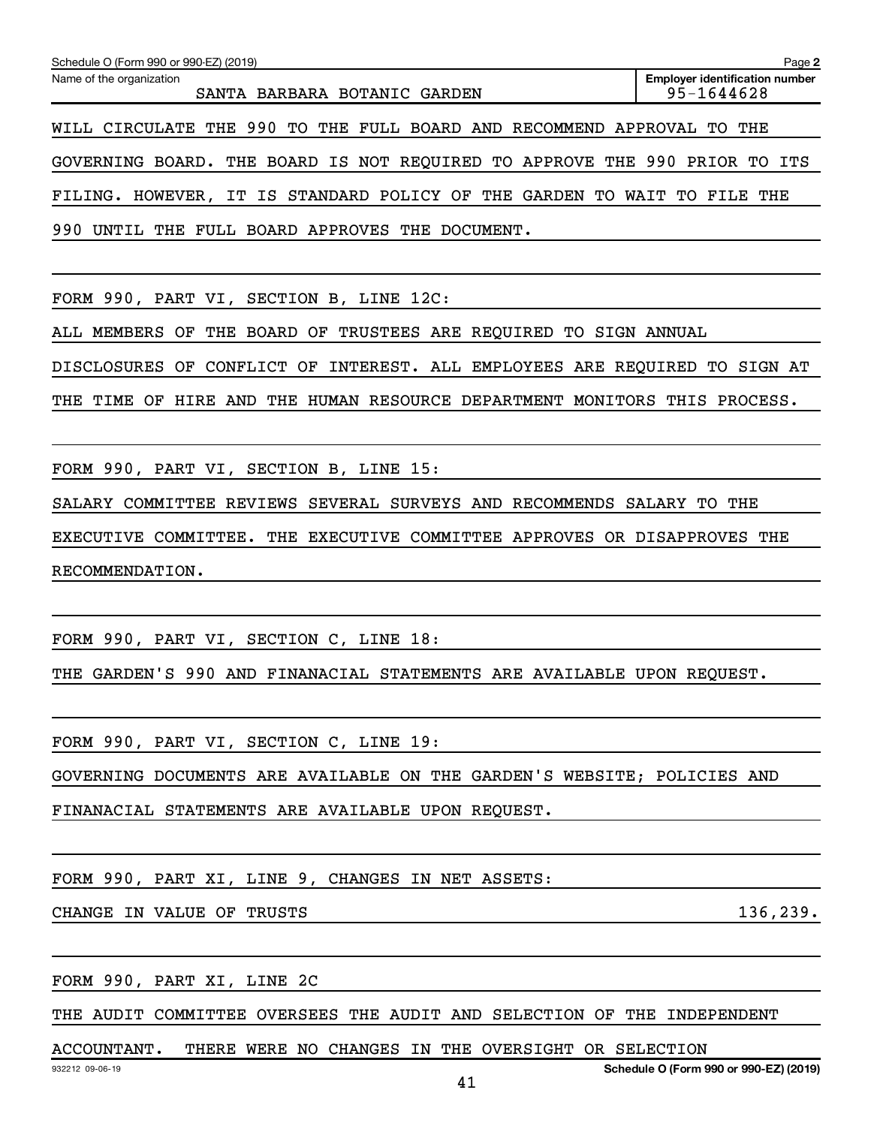| Schedule O (Form 990 or 990-EZ) (2019)                                     | Page 2                                              |
|----------------------------------------------------------------------------|-----------------------------------------------------|
| Name of the organization<br>SANTA BARBARA BOTANIC GARDEN                   | <b>Employer identification number</b><br>95-1644628 |
| WILL CIRCULATE THE 990 TO THE FULL BOARD AND RECOMMEND APPROVAL            | THE<br>TO.                                          |
| GOVERNING BOARD. THE BOARD IS NOT REQUIRED TO APPROVE THE 990 PRIOR TO ITS |                                                     |
| FILING. HOWEVER, IT IS STANDARD POLICY OF THE GARDEN TO                    | WAIT TO<br>FILE THE                                 |
| 990<br>UNTIL THE FULL BOARD APPROVES THE DOCUMENT.                         |                                                     |
|                                                                            |                                                     |

FORM 990, PART VI, SECTION B, LINE 12C:

ALL MEMBERS OF THE BOARD OF TRUSTEES ARE REQUIRED TO SIGN ANNUAL

DISCLOSURES OF CONFLICT OF INTEREST. ALL EMPLOYEES ARE REQUIRED TO SIGN AT

THE TIME OF HIRE AND THE HUMAN RESOURCE DEPARTMENT MONITORS THIS PROCESS.

FORM 990, PART VI, SECTION B, LINE 15:

SALARY COMMITTEE REVIEWS SEVERAL SURVEYS AND RECOMMENDS SALARY TO THE

EXECUTIVE COMMITTEE. THE EXECUTIVE COMMITTEE APPROVES OR DISAPPROVES THE RECOMMENDATION.

FORM 990, PART VI, SECTION C, LINE 18:

THE GARDEN'S 990 AND FINANACIAL STATEMENTS ARE AVAILABLE UPON REQUEST.

FORM 990, PART VI, SECTION C, LINE 19:

GOVERNING DOCUMENTS ARE AVAILABLE ON THE GARDEN'S WEBSITE; POLICIES AND

FINANACIAL STATEMENTS ARE AVAILABLE UPON REQUEST.

FORM 990, PART XI, LINE 9, CHANGES IN NET ASSETS:

CHANGE IN VALUE OF TRUSTS 136,239.

FORM 990, PART XI, LINE 2C

THE AUDIT COMMITTEE OVERSEES THE AUDIT AND SELECTION OF THE INDEPENDENT

#### ACCOUNTANT. THERE WERE NO CHANGES IN THE OVERSIGHT OR SELECTION

**Schedule O (Form 990 or 990-EZ) (2019)**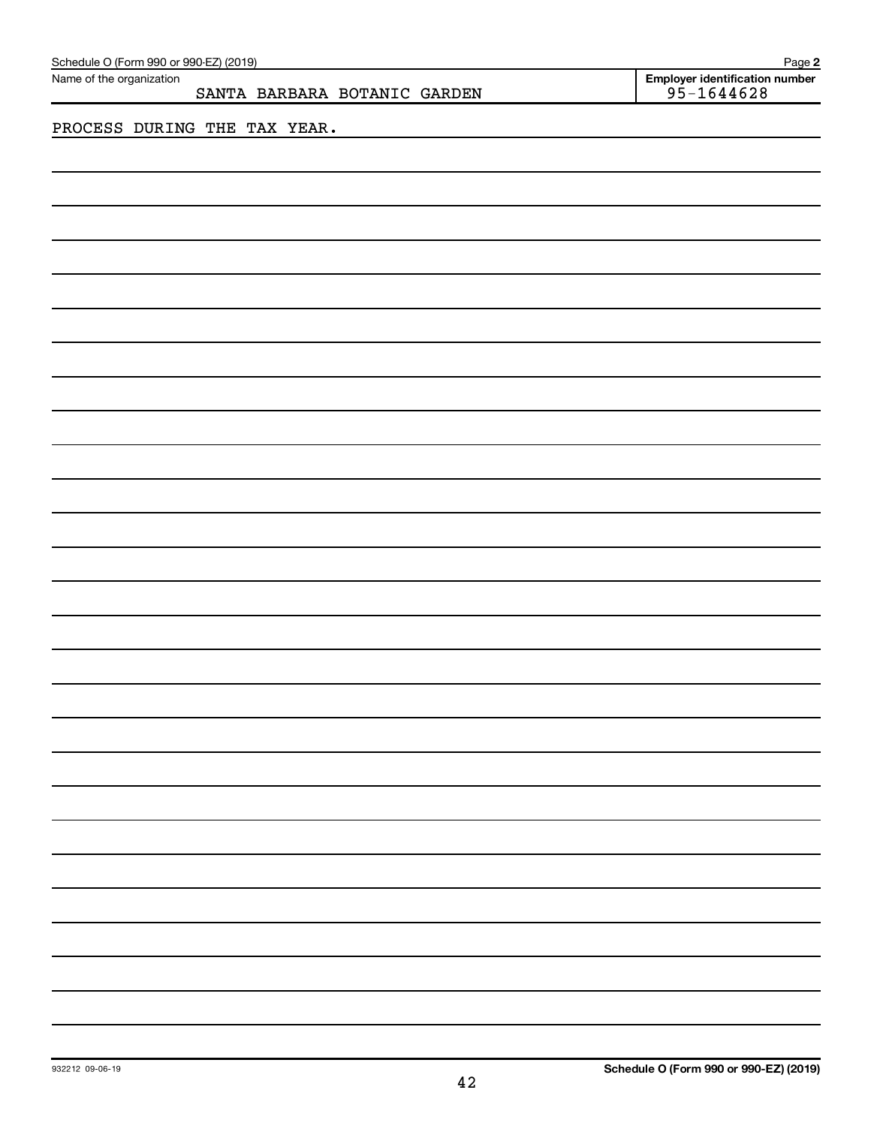| Schedule O (Form 990 or 990-EZ) (2019)<br>Page 2         |                                                  |  |  |  |  |  |  |  |  |
|----------------------------------------------------------|--------------------------------------------------|--|--|--|--|--|--|--|--|
| Name of the organization<br>SANTA BARBARA BOTANIC GARDEN | Employer identification number<br>$95 - 1644628$ |  |  |  |  |  |  |  |  |
| PROCESS DURING THE TAX YEAR.                             |                                                  |  |  |  |  |  |  |  |  |
|                                                          |                                                  |  |  |  |  |  |  |  |  |
|                                                          |                                                  |  |  |  |  |  |  |  |  |
|                                                          |                                                  |  |  |  |  |  |  |  |  |
|                                                          |                                                  |  |  |  |  |  |  |  |  |
|                                                          |                                                  |  |  |  |  |  |  |  |  |
|                                                          |                                                  |  |  |  |  |  |  |  |  |
|                                                          |                                                  |  |  |  |  |  |  |  |  |
|                                                          |                                                  |  |  |  |  |  |  |  |  |
|                                                          |                                                  |  |  |  |  |  |  |  |  |
|                                                          |                                                  |  |  |  |  |  |  |  |  |
|                                                          |                                                  |  |  |  |  |  |  |  |  |
|                                                          |                                                  |  |  |  |  |  |  |  |  |
|                                                          |                                                  |  |  |  |  |  |  |  |  |
|                                                          |                                                  |  |  |  |  |  |  |  |  |
|                                                          |                                                  |  |  |  |  |  |  |  |  |
|                                                          |                                                  |  |  |  |  |  |  |  |  |
|                                                          |                                                  |  |  |  |  |  |  |  |  |
|                                                          |                                                  |  |  |  |  |  |  |  |  |
|                                                          |                                                  |  |  |  |  |  |  |  |  |
|                                                          |                                                  |  |  |  |  |  |  |  |  |
|                                                          |                                                  |  |  |  |  |  |  |  |  |
|                                                          |                                                  |  |  |  |  |  |  |  |  |
|                                                          |                                                  |  |  |  |  |  |  |  |  |
|                                                          |                                                  |  |  |  |  |  |  |  |  |
|                                                          |                                                  |  |  |  |  |  |  |  |  |
|                                                          |                                                  |  |  |  |  |  |  |  |  |
|                                                          |                                                  |  |  |  |  |  |  |  |  |